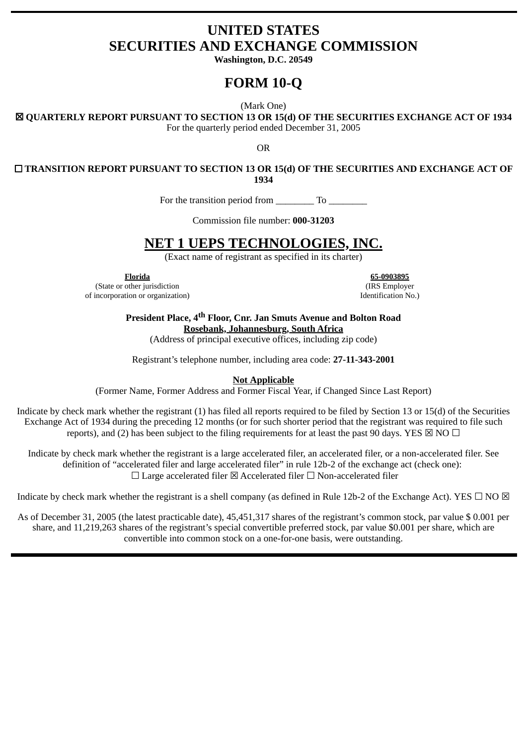# **UNITED STATES SECURITIES AND EXCHANGE COMMISSION**

**Washington, D.C. 20549**

# **FORM 10-Q**

(Mark One)

☒ **QUARTERLY REPORT PURSUANT TO SECTION 13 OR 15(d) OF THE SECURITIES EXCHANGE ACT OF 1934**

For the quarterly period ended December 31, 2005

OR

☐ **TRANSITION REPORT PURSUANT TO SECTION 13 OR 15(d) OF THE SECURITIES AND EXCHANGE ACT OF 1934**

For the transition period from To

Commission file number: **000-31203**

# **NET 1 UEPS TECHNOLOGIES, INC.**

(Exact name of registrant as specified in its charter)

(State or other jurisdiction (IRS Employer of incorporation or organization) Identification No.)

**Florida 65-0903895**

**President Place, 4th Floor, Cnr. Jan Smuts Avenue and Bolton Road Rosebank, Johannesburg, South Africa**

(Address of principal executive offices, including zip code)

Registrant's telephone number, including area code: **27-11-343-2001**

**Not Applicable**

(Former Name, Former Address and Former Fiscal Year, if Changed Since Last Report)

Indicate by check mark whether the registrant (1) has filed all reports required to be filed by Section 13 or 15(d) of the Securities Exchange Act of 1934 during the preceding 12 months (or for such shorter period that the registrant was required to file such reports), and (2) has been subject to the filing requirements for at least the past 90 days. YES  $\boxtimes$  NO  $\Box$ 

Indicate by check mark whether the registrant is a large accelerated filer, an accelerated filer, or a non-accelerated filer. See definition of "accelerated filer and large accelerated filer" in rule 12b-2 of the exchange act (check one): ☐ Large accelerated filer ☒ Accelerated filer ☐ Non-accelerated filer

Indicate by check mark whether the registrant is a shell company (as defined in Rule 12b-2 of the Exchange Act). YES  $\Box$  NO  $\boxtimes$ 

As of December 31, 2005 (the latest practicable date), 45,451,317 shares of the registrant's common stock, par value \$ 0.001 per share, and 11,219,263 shares of the registrant's special convertible preferred stock, par value \$0.001 per share, which are convertible into common stock on a one-for-one basis, were outstanding.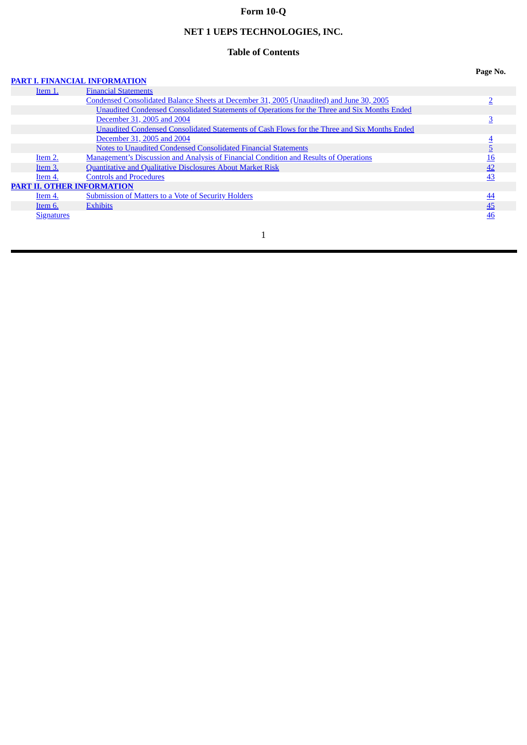# **Form 10-Q**

# **NET 1 UEPS TECHNOLOGIES, INC.**

## **Table of Contents**

### **PART I. FINANCIAL [INFORMATION](#page-2-0)**

| Page No. |
|----------|
|----------|

|                   | тамт в гимарски промиатор                                                                    |           |
|-------------------|----------------------------------------------------------------------------------------------|-----------|
| Item 1.           | <b>Financial Statements</b>                                                                  |           |
|                   | Condensed Consolidated Balance Sheets at December 31, 2005 (Unaudited) and June 30, 2005     |           |
|                   | Unaudited Condensed Consolidated Statements of Operations for the Three and Six Months Ended |           |
|                   | December 31, 2005 and 2004                                                                   |           |
|                   | Unaudited Condensed Consolidated Statements of Cash Flows for the Three and Six Months Ended |           |
|                   | December 31, 2005 and 2004                                                                   |           |
|                   | Notes to Unaudited Condensed Consolidated Financial Statements                               |           |
| Item 2.           | <b>Management's Discussion and Analysis of Financial Condition and Results of Operations</b> | 16        |
| Item 3.           | <b>Quantitative and Qualitative Disclosures About Market Risk</b>                            | 42        |
| Item 4.           | <b>Controls and Procedures</b>                                                               | 43        |
|                   | <b>PART II. OTHER INFORMATION</b>                                                            |           |
| Item 4.           | <b>Submission of Matters to a Vote of Security Holders</b>                                   | <u>44</u> |
| Item 6.           | <b>Exhibits</b>                                                                              | 45        |
| <b>Signatures</b> |                                                                                              | 46        |
|                   |                                                                                              |           |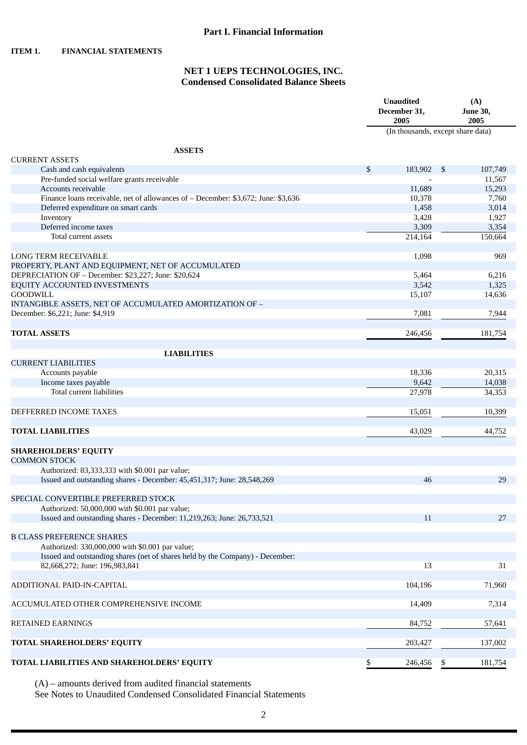<span id="page-2-0"></span>**ITEM 1. FINANCIAL STATEMENTS**

### **NET 1 UEPS TECHNOLOGIES, INC. Condensed Consolidated Balance Sheets**

|                                                                                   | <b>Unaudited</b><br>December 31,<br>2005 | (A)<br><b>June 30,</b><br>2005 |
|-----------------------------------------------------------------------------------|------------------------------------------|--------------------------------|
|                                                                                   | (In thousands, except share data)        |                                |
| <b>ASSETS</b>                                                                     |                                          |                                |
| <b>CURRENT ASSETS</b>                                                             |                                          |                                |
| Cash and cash equivalents                                                         | \$<br>183,902 \$                         | 107,749                        |
| Pre-funded social welfare grants receivable                                       |                                          | 11,567                         |
| Accounts receivable                                                               | 11,689                                   | 15,293                         |
| Finance loans receivable, net of allowances of - December: \$3,672; June: \$3,636 | 10,378                                   | 7,760                          |
| Deferred expenditure on smart cards                                               | 1,458                                    | 3,014                          |
| Inventory                                                                         | 3,428                                    | 1,927                          |
| Deferred income taxes<br>Total current assets                                     | 3,309                                    | 3,354                          |
|                                                                                   | 214,164                                  | 150,664                        |
| <b>LONG TERM RECEIVABLE</b>                                                       | 1,098                                    | 969                            |
| PROPERTY, PLANT AND EQUIPMENT, NET OF ACCUMULATED                                 |                                          |                                |
| DEPRECIATION OF - December: \$23,227; June: \$20,624                              | 5.464                                    | 6,216                          |
| EQUITY ACCOUNTED INVESTMENTS                                                      | 3,542                                    | 1,325                          |
| <b>GOODWILL</b>                                                                   | 15,107                                   | 14,636                         |
| INTANGIBLE ASSETS, NET OF ACCUMULATED AMORTIZATION OF -                           |                                          |                                |
| December: \$6,221; June: \$4,919                                                  | 7,081                                    | 7,944                          |
|                                                                                   |                                          |                                |
| <b>TOTAL ASSETS</b>                                                               | 246,456                                  | 181,754                        |
|                                                                                   |                                          |                                |
| <b>LIABILITIES</b>                                                                |                                          |                                |
| <b>CURRENT LIABILITIES</b>                                                        |                                          |                                |
| Accounts payable                                                                  | 18,336                                   | 20,315                         |
| Income taxes payable                                                              | 9,642                                    | 14,038                         |
| Total current liabilities                                                         | 27,978                                   | 34,353                         |
|                                                                                   |                                          |                                |
| DEFFERRED INCOME TAXES                                                            | 15,051                                   | 10,399                         |
|                                                                                   |                                          |                                |
| <b>TOTAL LIABILITIES</b>                                                          | 43,029                                   | 44,752                         |
|                                                                                   |                                          |                                |
| <b>SHAREHOLDERS' EQUITY</b>                                                       |                                          |                                |
| <b>COMMON STOCK</b>                                                               |                                          |                                |
| Authorized: 83,333,333 with \$0.001 par value;                                    |                                          |                                |
| Issued and outstanding shares - December: 45,451,317; June: 28,548,269            | 46                                       | 29                             |
|                                                                                   |                                          |                                |
| SPECIAL CONVERTIBLE PREFERRED STOCK                                               |                                          |                                |
| Authorized: 50,000,000 with \$0.001 par value;                                    |                                          |                                |
| Issued and outstanding shares - December: 11,219,263; June: 26,733,521            | 11                                       | 27                             |
| <b>B CLASS PREFERENCE SHARES</b>                                                  |                                          |                                |
| Authorized: 330,000,000 with \$0.001 par value;                                   |                                          |                                |
| Issued and outstanding shares (net of shares held by the Company) - December:     |                                          |                                |
| 82,668,272; June: 196,983,841                                                     | 13                                       | 31                             |
|                                                                                   |                                          |                                |
| ADDITIONAL PAID-IN-CAPITAL                                                        | 104,196                                  | 71,960                         |
|                                                                                   |                                          |                                |
| ACCUMULATED OTHER COMPREHENSIVE INCOME                                            | 14,409                                   | 7,314                          |
|                                                                                   |                                          |                                |
| <b>RETAINED EARNINGS</b>                                                          | 84,752                                   | 57,641                         |
|                                                                                   |                                          |                                |
| TOTAL SHAREHOLDERS' EQUITY                                                        | 203,427                                  | 137,002                        |
|                                                                                   |                                          |                                |
| TOTAL LIABILITIES AND SHAREHOLDERS' EQUITY                                        | \$<br>246,456                            | \$<br>181,754                  |

(A) – amounts derived from audited financial statements

See Notes to Unaudited Condensed Consolidated Financial Statements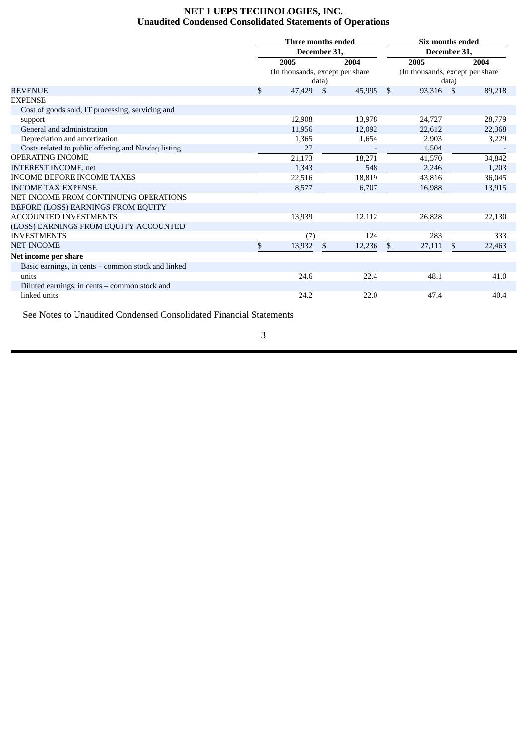### **NET 1 UEPS TECHNOLOGIES, INC. Unaudited Condensed Consolidated Statements of Operations**

<span id="page-3-0"></span>

|                                                     |              | Three months ended              |       |           |    | Six months ended                |               |        |  |  |
|-----------------------------------------------------|--------------|---------------------------------|-------|-----------|----|---------------------------------|---------------|--------|--|--|
|                                                     | December 31, |                                 |       |           |    |                                 | December 31,  |        |  |  |
|                                                     |              | 2005                            |       | 2004      |    | 2005                            |               | 2004   |  |  |
|                                                     |              | (In thousands, except per share |       |           |    | (In thousands, except per share |               |        |  |  |
|                                                     |              |                                 | data) |           |    |                                 | data)         |        |  |  |
| <b>REVENUE</b>                                      | \$           | 47.429                          | -\$   | 45,995 \$ |    | 93,316                          | -\$           | 89,218 |  |  |
| <b>EXPENSE</b>                                      |              |                                 |       |           |    |                                 |               |        |  |  |
| Cost of goods sold, IT processing, servicing and    |              |                                 |       |           |    |                                 |               |        |  |  |
| support                                             |              | 12,908                          |       | 13,978    |    | 24,727                          |               | 28,779 |  |  |
| General and administration                          |              | 11,956                          |       | 12,092    |    | 22,612                          |               | 22,368 |  |  |
| Depreciation and amortization                       |              | 1,365                           |       | 1,654     |    | 2,903                           |               | 3,229  |  |  |
| Costs related to public offering and Nasdaq listing |              | 27                              |       |           |    | 1,504                           |               |        |  |  |
| <b>OPERATING INCOME</b>                             |              | 21,173                          |       | 18,271    |    | 41,570                          |               | 34,842 |  |  |
| <b>INTEREST INCOME, net</b>                         |              | 1,343                           |       | 548       |    | 2,246                           |               | 1,203  |  |  |
| INCOME BEFORE INCOME TAXES                          |              | 22,516                          |       | 18,819    |    | 43,816                          |               | 36,045 |  |  |
| <b>INCOME TAX EXPENSE</b>                           |              | 8,577                           |       | 6,707     |    | 16,988                          |               | 13,915 |  |  |
| NET INCOME FROM CONTINUING OPERATIONS               |              |                                 |       |           |    |                                 |               |        |  |  |
| BEFORE (LOSS) EARNINGS FROM EQUITY                  |              |                                 |       |           |    |                                 |               |        |  |  |
| <b>ACCOUNTED INVESTMENTS</b>                        |              | 13,939                          |       | 12,112    |    | 26,828                          |               | 22,130 |  |  |
| (LOSS) EARNINGS FROM EQUITY ACCOUNTED               |              |                                 |       |           |    |                                 |               |        |  |  |
| <b>INVESTMENTS</b>                                  |              | (7)                             |       | 124       |    | 283                             |               | 333    |  |  |
| <b>NET INCOME</b>                                   | \$           | 13,932                          | \$    | 12,236    | \$ | 27,111                          | <sup>\$</sup> | 22,463 |  |  |
| Net income per share                                |              |                                 |       |           |    |                                 |               |        |  |  |
| Basic earnings, in cents – common stock and linked  |              |                                 |       |           |    |                                 |               |        |  |  |
| units                                               |              | 24.6                            |       | 22.4      |    | 48.1                            |               | 41.0   |  |  |
| Diluted earnings, in cents - common stock and       |              |                                 |       |           |    |                                 |               |        |  |  |
| linked units                                        |              | 24.2                            |       | 22.0      |    | 47.4                            |               | 40.4   |  |  |

See Notes to Unaudited Condensed Consolidated Financial Statements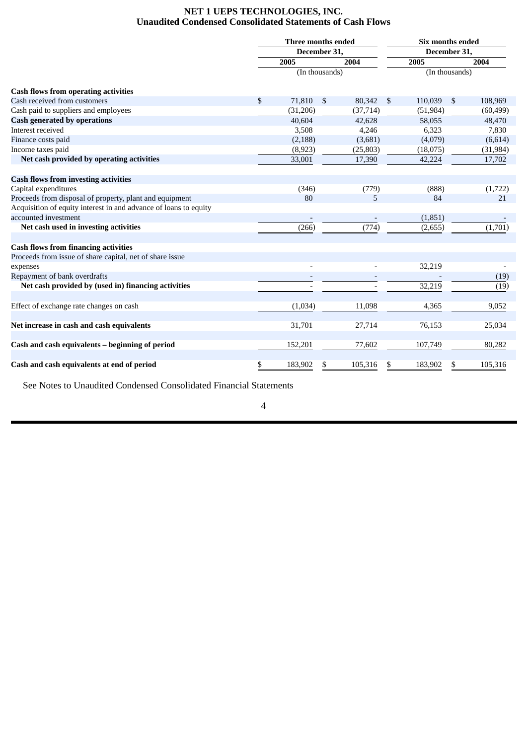### **NET 1 UEPS TECHNOLOGIES, INC. Unaudited Condensed Consolidated Statements of Cash Flows**

<span id="page-4-0"></span>

|                                                                  | Three months ended |    |                    | Six months ended |    |           |  |  |
|------------------------------------------------------------------|--------------------|----|--------------------|------------------|----|-----------|--|--|
|                                                                  | December 31,       |    |                    | December 31,     |    |           |  |  |
|                                                                  | 2005               |    | 2004               | 2005             |    | 2004      |  |  |
|                                                                  | (In thousands)     |    |                    | (In thousands)   |    |           |  |  |
| <b>Cash flows from operating activities</b>                      |                    |    |                    |                  |    |           |  |  |
| Cash received from customers                                     | \$<br>71,810       | \$ | 80,342             | \$<br>110,039    | \$ | 108,969   |  |  |
| Cash paid to suppliers and employees                             | (31,206)           |    | (37, 714)          | (51, 984)        |    | (60, 499) |  |  |
| <b>Cash generated by operations</b>                              | 40,604             |    | 42,628             | 58,055           |    | 48,470    |  |  |
| Interest received                                                | 3,508              |    | 4,246              | 6,323            |    | 7,830     |  |  |
| Finance costs paid                                               | (2, 188)           |    | (3,681)            | (4,079)          |    | (6,614)   |  |  |
| Income taxes paid                                                | (8,923)            |    | (25, 803)          | (18,075)         |    | (31, 984) |  |  |
| Net cash provided by operating activities                        | 33,001             |    | 17,390             | 42,224           |    | 17,702    |  |  |
| <b>Cash flows from investing activities</b>                      |                    |    |                    |                  |    |           |  |  |
| Capital expenditures                                             | (346)              |    | (779)              | (888)            |    | (1, 722)  |  |  |
| Proceeds from disposal of property, plant and equipment          | 80                 |    | 5                  | 84               |    | 21        |  |  |
| Acquisition of equity interest in and advance of loans to equity |                    |    |                    |                  |    |           |  |  |
| accounted investment                                             |                    |    |                    | (1,851)          |    |           |  |  |
| Net cash used in investing activities                            | (266)              |    | $\overline{(774)}$ | (2,655)          |    | (1,701)   |  |  |
| <b>Cash flows from financing activities</b>                      |                    |    |                    |                  |    |           |  |  |
| Proceeds from issue of share capital, net of share issue         |                    |    |                    |                  |    |           |  |  |
| expenses                                                         |                    |    |                    | 32,219           |    |           |  |  |
| Repayment of bank overdrafts                                     |                    |    |                    |                  |    | (19)      |  |  |
| Net cash provided by (used in) financing activities              |                    |    |                    | 32,219           |    | (19)      |  |  |
| Effect of exchange rate changes on cash                          | (1,034)            |    | 11,098             | 4,365            |    | 9,052     |  |  |
|                                                                  |                    |    |                    |                  |    |           |  |  |
| Net increase in cash and cash equivalents                        | 31,701             |    | 27,714             | 76,153           |    | 25,034    |  |  |
| Cash and cash equivalents - beginning of period                  | 152,201            |    | 77,602             | 107,749          |    | 80,282    |  |  |
| Cash and cash equivalents at end of period                       | \$<br>183,902      |    | 105,316            | 183,902          | \$ | 105,316   |  |  |

See Notes to Unaudited Condensed Consolidated Financial Statements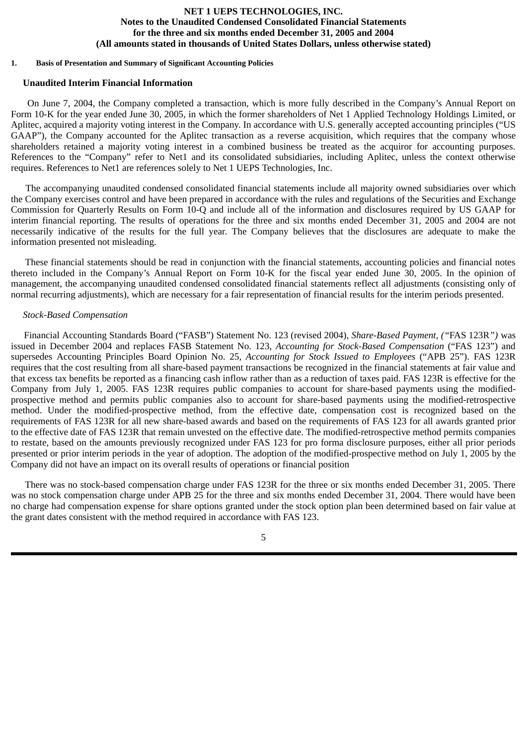### **NET 1 UEPS TECHNOLOGIES, INC. Notes to the Unaudited Condensed Consolidated Financial Statements for the three and six months ended December 31, 2005 and 2004 (All amounts stated in thousands of United States Dollars, unless otherwise stated)**

#### <span id="page-5-0"></span>**1. Basis of Presentation and Summary of Significant Accounting Policies**

#### **Unaudited Interim Financial Information**

On June 7, 2004, the Company completed a transaction, which is more fully described in the Company's Annual Report on Form 10-K for the year ended June 30, 2005, in which the former shareholders of Net 1 Applied Technology Holdings Limited, or Aplitec, acquired a majority voting interest in the Company. In accordance with U.S. generally accepted accounting principles ("US GAAP"), the Company accounted for the Aplitec transaction as a reverse acquisition, which requires that the company whose shareholders retained a majority voting interest in a combined business be treated as the acquiror for accounting purposes. References to the "Company" refer to Net1 and its consolidated subsidiaries, including Aplitec, unless the context otherwise requires. References to Net1 are references solely to Net 1 UEPS Technologies, Inc.

The accompanying unaudited condensed consolidated financial statements include all majority owned subsidiaries over which the Company exercises control and have been prepared in accordance with the rules and regulations of the Securities and Exchange Commission for Quarterly Results on Form 10-Q and include all of the information and disclosures required by US GAAP for interim financial reporting. The results of operations for the three and six months ended December 31, 2005 and 2004 are not necessarily indicative of the results for the full year. The Company believes that the disclosures are adequate to make the information presented not misleading.

These financial statements should be read in conjunction with the financial statements, accounting policies and financial notes thereto included in the Company's Annual Report on Form 10-K for the fiscal year ended June 30, 2005. In the opinion of management, the accompanying unaudited condensed consolidated financial statements reflect all adjustments (consisting only of normal recurring adjustments), which are necessary for a fair representation of financial results for the interim periods presented.

#### *Stock-Based Compensation*

Financial Accounting Standards Board ("FASB") Statement No. 123 (revised 2004)*, Share-Based Payment, ("*FAS 123R*")* was issued in December 2004 and replaces FASB Statement No. 123, *Accounting for Stock-Based Compensation* ("FAS 123") and supersedes Accounting Principles Board Opinion No. 25, *Accounting for Stock Issued to Employees* ("APB 25"). FAS 123R requires that the cost resulting from all share-based payment transactions be recognized in the financial statements at fair value and that excess tax benefits be reported as a financing cash inflow rather than as a reduction of taxes paid. FAS 123R is effective for the Company from July 1, 2005. FAS 123R requires public companies to account for share-based payments using the modifiedprospective method and permits public companies also to account for share-based payments using the modified-retrospective method. Under the modified-prospective method, from the effective date, compensation cost is recognized based on the requirements of FAS 123R for all new share-based awards and based on the requirements of FAS 123 for all awards granted prior to the effective date of FAS 123R that remain unvested on the effective date. The modified-retrospective method permits companies to restate, based on the amounts previously recognized under FAS 123 for pro forma disclosure purposes, either all prior periods presented or prior interim periods in the year of adoption. The adoption of the modified-prospective method on July 1, 2005 by the Company did not have an impact on its overall results of operations or financial position

There was no stock-based compensation charge under FAS 123R for the three or six months ended December 31, 2005. There was no stock compensation charge under APB 25 for the three and six months ended December 31, 2004. There would have been no charge had compensation expense for share options granted under the stock option plan been determined based on fair value at the grant dates consistent with the method required in accordance with FAS 123.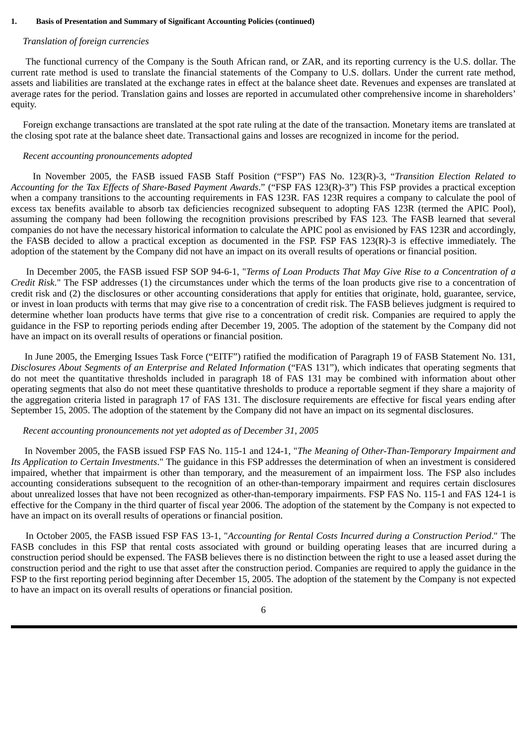#### **1. Basis of Presentation and Summary of Significant Accounting Policies (continued)**

#### *Translation of foreign currencies*

The functional currency of the Company is the South African rand, or ZAR, and its reporting currency is the U.S. dollar. The current rate method is used to translate the financial statements of the Company to U.S. dollars. Under the current rate method, assets and liabilities are translated at the exchange rates in effect at the balance sheet date. Revenues and expenses are translated at average rates for the period. Translation gains and losses are reported in accumulated other comprehensive income in shareholders' equity.

Foreign exchange transactions are translated at the spot rate ruling at the date of the transaction. Monetary items are translated at the closing spot rate at the balance sheet date. Transactional gains and losses are recognized in income for the period.

#### *Recent accounting pronouncements adopted*

In November 2005, the FASB issued FASB Staff Position ("FSP") FAS No. 123(R)-3, "*Transition Election Related to Accounting for the Tax Effects of Share-Based Payment Awards*." ("FSP FAS 123(R)-3") This FSP provides a practical exception when a company transitions to the accounting requirements in FAS 123R*.* FAS 123R requires a company to calculate the pool of excess tax benefits available to absorb tax deficiencies recognized subsequent to adopting FAS 123R (termed the APIC Pool), assuming the company had been following the recognition provisions prescribed by FAS 123*.* The FASB learned that several companies do not have the necessary historical information to calculate the APIC pool as envisioned by FAS 123R and accordingly, the FASB decided to allow a practical exception as documented in the FSP. FSP FAS 123(R)-3 is effective immediately. The adoption of the statement by the Company did not have an impact on its overall results of operations or financial position.

In December 2005, the FASB issued FSP SOP 94-6-1, "*Terms of Loan Products That May Give Rise to a Concentration of a Credit Risk*." The FSP addresses (1) the circumstances under which the terms of the loan products give rise to a concentration of credit risk and (2) the disclosures or other accounting considerations that apply for entities that originate, hold, guarantee, service, or invest in loan products with terms that may give rise to a concentration of credit risk. The FASB believes judgment is required to determine whether loan products have terms that give rise to a concentration of credit risk. Companies are required to apply the guidance in the FSP to reporting periods ending after December 19, 2005. The adoption of the statement by the Company did not have an impact on its overall results of operations or financial position.

In June 2005, the Emerging Issues Task Force ("EITF") ratified the modification of Paragraph 19 of FASB Statement No. 131, *Disclosures About Segments of an Enterprise and Related Information ("FAS 131")*, which indicates that operating segments that do not meet the quantitative thresholds included in paragraph 18 of FAS 131 may be combined with information about other operating segments that also do not meet these quantitative thresholds to produce a reportable segment if they share a majority of the aggregation criteria listed in paragraph 17 of FAS 131. The disclosure requirements are effective for fiscal years ending after September 15, 2005. The adoption of the statement by the Company did not have an impact on its segmental disclosures.

#### *Recent accounting pronouncements not yet adopted as of December 31, 2005*

In November 2005, the FASB issued FSP FAS No. 115-1 and 124-1, "*The Meaning of Other-Than-Temporary Impairment and Its Application to Certain Investments*." The guidance in this FSP addresses the determination of when an investment is considered impaired, whether that impairment is other than temporary, and the measurement of an impairment loss. The FSP also includes accounting considerations subsequent to the recognition of an other-than-temporary impairment and requires certain disclosures about unrealized losses that have not been recognized as other-than-temporary impairments. FSP FAS No. 115-1 and FAS 124-1 is effective for the Company in the third quarter of fiscal year 2006. The adoption of the statement by the Company is not expected to have an impact on its overall results of operations or financial position.

In October 2005, the FASB issued FSP FAS 13-1, "*Accounting for Rental Costs Incurred during a Construction Period*." The FASB concludes in this FSP that rental costs associated with ground or building operating leases that are incurred during a construction period should be expensed. The FASB believes there is no distinction between the right to use a leased asset during the construction period and the right to use that asset after the construction period. Companies are required to apply the guidance in the FSP to the first reporting period beginning after December 15, 2005. The adoption of the statement by the Company is not expected to have an impact on its overall results of operations or financial position.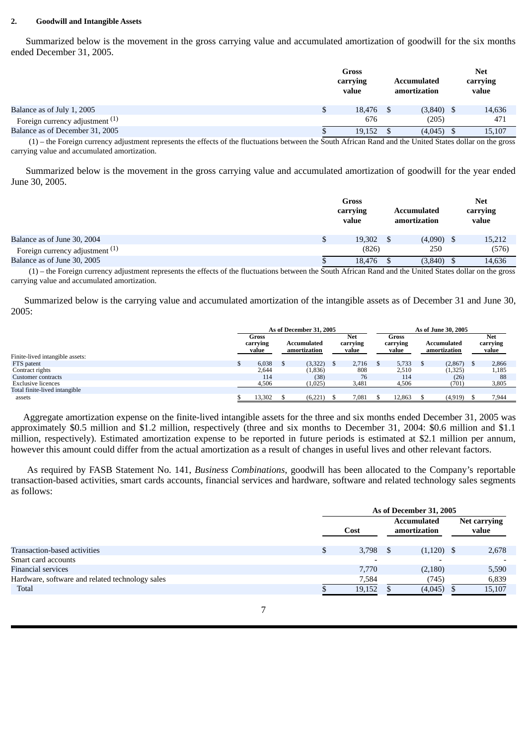#### **2. Goodwill and Intangible Assets**

Summarized below is the movement in the gross carrying value and accumulated amortization of goodwill for the six months ended December 31, 2005.

|                                            | Gross<br>carrying<br>value | Accumulated<br>amortization | <b>Net</b><br>carrying<br>value |
|--------------------------------------------|----------------------------|-----------------------------|---------------------------------|
| Balance as of July 1, 2005                 | \$<br>18,476               | $(3,840)$ \$                | 14,636                          |
| Foreign currency adjustment <sup>(1)</sup> | 676                        | (205)                       | 471                             |
| Balance as of December 31, 2005            | 19.152                     | $(4,045)$ \$                | 15,107                          |

(1) – the Foreign currency adjustment represents the effects of the fluctuations between the South African Rand and the United States dollar on the gross carrying value and accumulated amortization.

Summarized below is the movement in the gross carrying value and accumulated amortization of goodwill for the year ended June 30, 2005.

|                                      |   | Gross<br>carrying<br>value | Accumulated<br>amortization | <b>Net</b><br>carrying<br>value |
|--------------------------------------|---|----------------------------|-----------------------------|---------------------------------|
| Balance as of June 30, 2004          | Φ | 19,302                     | $(4,090)$ \$                | 15,212                          |
| Foreign currency adjustment $^{(1)}$ |   | (826)                      | 250                         | (576)                           |
| Balance as of June 30, 2005          |   | 18,476                     | $(3,840)$ \$                | 14,636                          |

(1) – the Foreign currency adjustment represents the effects of the fluctuations between the South African Rand and the United States dollar on the gross carrying value and accumulated amortization.

Summarized below is the carrying value and accumulated amortization of the intangible assets as of December 31 and June 30, 2005:

|                                 | As of December 31, 2005    |        |                             |         |                                 |       | As of June 30, 2005        |        |                             |         |  |                          |
|---------------------------------|----------------------------|--------|-----------------------------|---------|---------------------------------|-------|----------------------------|--------|-----------------------------|---------|--|--------------------------|
|                                 | Gross<br>carrying<br>value |        | Accumulated<br>amortization |         | <b>Net</b><br>carrying<br>value |       | Gross<br>carrying<br>value |        | Accumulated<br>amortization |         |  | Net<br>carrying<br>value |
| Finite-lived intangible assets: |                            |        |                             |         |                                 |       |                            |        |                             |         |  |                          |
| FTS patent                      |                            | 6.038  |                             | (3,322) |                                 | 2,716 | - S                        | 5,733  |                             | (2,867) |  | 2,866                    |
| Contract rights                 |                            | 2.644  |                             | (1,836) |                                 | 808   |                            | 2,510  |                             | (1,325) |  | 1,185                    |
| Customer contracts              |                            | 114    |                             | (38)    |                                 | 76    |                            | 114    |                             | (26)    |  | 88                       |
| <b>Exclusive licences</b>       |                            | 4,506  |                             | (1,025) |                                 | 3,481 |                            | 4,506  |                             | (701)   |  | 3,805                    |
| Total finite-lived intangible   |                            |        |                             |         |                                 |       |                            |        |                             |         |  |                          |
| assets                          |                            | 13,302 |                             | (6,221) |                                 | 7,081 |                            | 12.863 |                             | (4,919) |  | 7,944                    |

Aggregate amortization expense on the finite-lived intangible assets for the three and six months ended December 31, 2005 was approximately \$0.5 million and \$1.2 million, respectively (three and six months to December 31, 2004: \$0.6 million and \$1.1 million, respectively). Estimated amortization expense to be reported in future periods is estimated at \$2.1 million per annum, however this amount could differ from the actual amortization as a result of changes in useful lives and other relevant factors.

As required by FASB Statement No. 141, *Business Combinations*, goodwill has been allocated to the Company's reportable transaction-based activities, smart cards accounts, financial services and hardware, software and related technology sales segments as follows:

|                                                 | As of December 31, 2005  |  |                                    |  |                       |  |  |  |  |
|-------------------------------------------------|--------------------------|--|------------------------------------|--|-----------------------|--|--|--|--|
|                                                 | Cost                     |  | <b>Accumulated</b><br>amortization |  | Net carrying<br>value |  |  |  |  |
| Transaction-based activities                    | 3,798                    |  | $(1,120)$ \$                       |  | 2,678                 |  |  |  |  |
| Smart card accounts                             | $\overline{\phantom{a}}$ |  |                                    |  |                       |  |  |  |  |
| Financial services                              | 7,770                    |  | (2,180)                            |  | 5,590                 |  |  |  |  |
| Hardware, software and related technology sales | 7,584                    |  | (745)                              |  | 6,839                 |  |  |  |  |
| <b>Total</b>                                    | 19,152                   |  | (4,045)                            |  | 15,107                |  |  |  |  |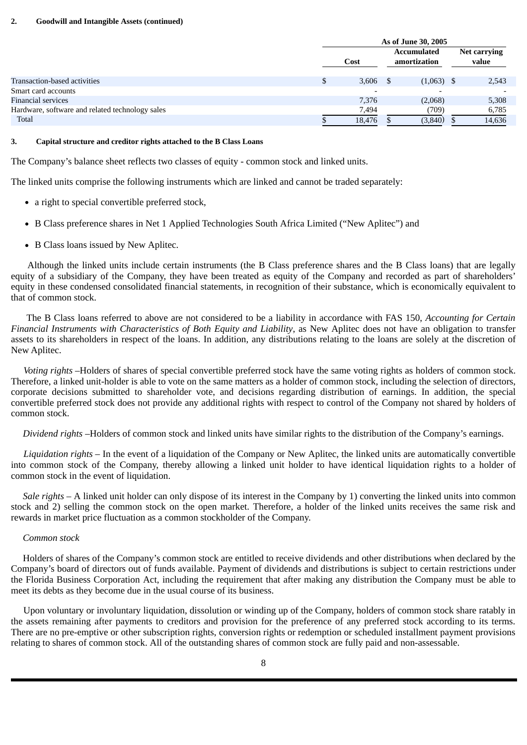#### **2. Goodwill and Intangible Assets (continued)**

|                                                 | As of June 30, 2005      |  |                                    |  |                       |  |  |  |  |
|-------------------------------------------------|--------------------------|--|------------------------------------|--|-----------------------|--|--|--|--|
|                                                 | Cost                     |  | <b>Accumulated</b><br>amortization |  | Net carrying<br>value |  |  |  |  |
| Transaction-based activities                    | $3,606$ \$               |  | $(1,063)$ \$                       |  | 2,543                 |  |  |  |  |
| Smart card accounts                             | $\overline{\phantom{a}}$ |  | $\overline{\phantom{0}}$           |  |                       |  |  |  |  |
| Financial services                              | 7,376                    |  | (2,068)                            |  | 5,308                 |  |  |  |  |
| Hardware, software and related technology sales | 7,494                    |  | (709)                              |  | 6,785                 |  |  |  |  |
| Total                                           | 18,476                   |  | (3, 840)                           |  | 14,636                |  |  |  |  |

#### **3. Capital structure and creditor rights attached to the B Class Loans**

The Company's balance sheet reflects two classes of equity - common stock and linked units.

The linked units comprise the following instruments which are linked and cannot be traded separately:

- a right to special convertible preferred stock,
- B Class preference shares in Net 1 Applied Technologies South Africa Limited ("New Aplitec") and
- B Class loans issued by New Aplitec.

Although the linked units include certain instruments (the B Class preference shares and the B Class loans) that are legally equity of a subsidiary of the Company, they have been treated as equity of the Company and recorded as part of shareholders' equity in these condensed consolidated financial statements, in recognition of their substance, which is economically equivalent to that of common stock.

The B Class loans referred to above are not considered to be a liability in accordance with FAS 150, *Accounting for Certain Financial Instruments with Characteristics of Both Equity and Liability*, as New Aplitec does not have an obligation to transfer assets to its shareholders in respect of the loans. In addition, any distributions relating to the loans are solely at the discretion of New Aplitec.

*Voting rights* –Holders of shares of special convertible preferred stock have the same voting rights as holders of common stock. Therefore, a linked unit-holder is able to vote on the same matters as a holder of common stock, including the selection of directors, corporate decisions submitted to shareholder vote, and decisions regarding distribution of earnings. In addition, the special convertible preferred stock does not provide any additional rights with respect to control of the Company not shared by holders of common stock.

*Dividend rights* –Holders of common stock and linked units have similar rights to the distribution of the Company's earnings.

*Liquidation rights* – In the event of a liquidation of the Company or New Aplitec, the linked units are automatically convertible into common stock of the Company, thereby allowing a linked unit holder to have identical liquidation rights to a holder of common stock in the event of liquidation.

 *Sale rights* – A linked unit holder can only dispose of its interest in the Company by 1) converting the linked units into common stock and 2) selling the common stock on the open market. Therefore, a holder of the linked units receives the same risk and rewards in market price fluctuation as a common stockholder of the Company.

#### *Common stock*

 Holders of shares of the Company's common stock are entitled to receive dividends and other distributions when declared by the Company's board of directors out of funds available. Payment of dividends and distributions is subject to certain restrictions under the Florida Business Corporation Act, including the requirement that after making any distribution the Company must be able to meet its debts as they become due in the usual course of its business.

Upon voluntary or involuntary liquidation, dissolution or winding up of the Company, holders of common stock share ratably in the assets remaining after payments to creditors and provision for the preference of any preferred stock according to its terms. There are no pre-emptive or other subscription rights, conversion rights or redemption or scheduled installment payment provisions relating to shares of common stock. All of the outstanding shares of common stock are fully paid and non-assessable.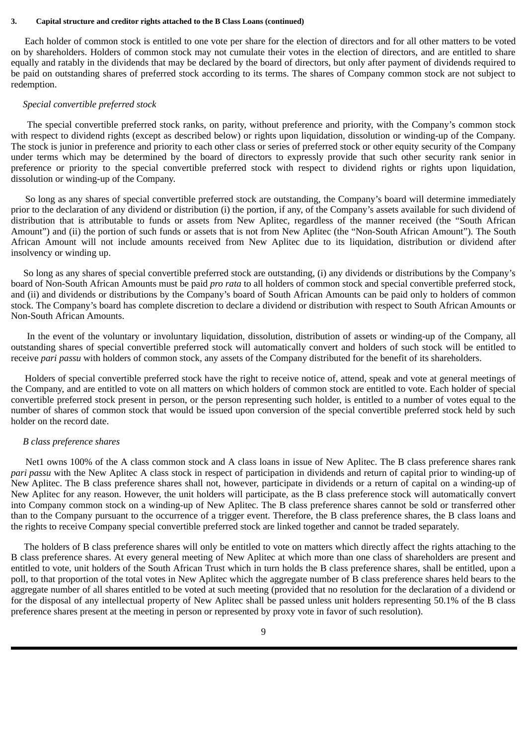#### **3. Capital structure and creditor rights attached to the B Class Loans (continued)**

Each holder of common stock is entitled to one vote per share for the election of directors and for all other matters to be voted on by shareholders. Holders of common stock may not cumulate their votes in the election of directors, and are entitled to share equally and ratably in the dividends that may be declared by the board of directors, but only after payment of dividends required to be paid on outstanding shares of preferred stock according to its terms. The shares of Company common stock are not subject to redemption.

#### *Special convertible preferred stock*

The special convertible preferred stock ranks, on parity, without preference and priority, with the Company's common stock with respect to dividend rights (except as described below) or rights upon liquidation, dissolution or winding-up of the Company. The stock is junior in preference and priority to each other class or series of preferred stock or other equity security of the Company under terms which may be determined by the board of directors to expressly provide that such other security rank senior in preference or priority to the special convertible preferred stock with respect to dividend rights or rights upon liquidation, dissolution or winding-up of the Company.

So long as any shares of special convertible preferred stock are outstanding, the Company's board will determine immediately prior to the declaration of any dividend or distribution (i) the portion, if any, of the Company's assets available for such dividend of distribution that is attributable to funds or assets from New Aplitec, regardless of the manner received (the "South African Amount") and (ii) the portion of such funds or assets that is not from New Aplitec (the "Non-South African Amount"). The South African Amount will not include amounts received from New Aplitec due to its liquidation, distribution or dividend after insolvency or winding up.

So long as any shares of special convertible preferred stock are outstanding, (i) any dividends or distributions by the Company's board of Non-South African Amounts must be paid *pro rata* to all holders of common stock and special convertible preferred stock, and (ii) and dividends or distributions by the Company's board of South African Amounts can be paid only to holders of common stock. The Company's board has complete discretion to declare a dividend or distribution with respect to South African Amounts or Non-South African Amounts.

In the event of the voluntary or involuntary liquidation, dissolution, distribution of assets or winding-up of the Company, all outstanding shares of special convertible preferred stock will automatically convert and holders of such stock will be entitled to receive *pari passu* with holders of common stock, any assets of the Company distributed for the benefit of its shareholders.

Holders of special convertible preferred stock have the right to receive notice of, attend, speak and vote at general meetings of the Company, and are entitled to vote on all matters on which holders of common stock are entitled to vote. Each holder of special convertible preferred stock present in person, or the person representing such holder, is entitled to a number of votes equal to the number of shares of common stock that would be issued upon conversion of the special convertible preferred stock held by such holder on the record date.

#### *B class preference shares*

Net1 owns 100% of the A class common stock and A class loans in issue of New Aplitec. The B class preference shares rank *pari passu* with the New Aplitec A class stock in respect of participation in dividends and return of capital prior to winding-up of New Aplitec. The B class preference shares shall not, however, participate in dividends or a return of capital on a winding-up of New Aplitec for any reason. However, the unit holders will participate, as the B class preference stock will automatically convert into Company common stock on a winding-up of New Aplitec. The B class preference shares cannot be sold or transferred other than to the Company pursuant to the occurrence of a trigger event. Therefore, the B class preference shares, the B class loans and the rights to receive Company special convertible preferred stock are linked together and cannot be traded separately.

The holders of B class preference shares will only be entitled to vote on matters which directly affect the rights attaching to the B class preference shares. At every general meeting of New Aplitec at which more than one class of shareholders are present and entitled to vote, unit holders of the South African Trust which in turn holds the B class preference shares, shall be entitled, upon a poll, to that proportion of the total votes in New Aplitec which the aggregate number of B class preference shares held bears to the aggregate number of all shares entitled to be voted at such meeting (provided that no resolution for the declaration of a dividend or for the disposal of any intellectual property of New Aplitec shall be passed unless unit holders representing 50.1% of the B class preference shares present at the meeting in person or represented by proxy vote in favor of such resolution).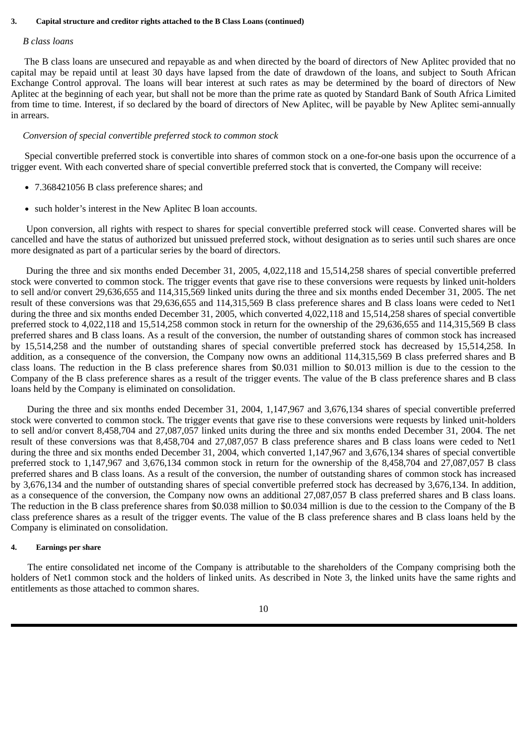#### **3. Capital structure and creditor rights attached to the B Class Loans (continued)**

#### *B class loans*

The B class loans are unsecured and repayable as and when directed by the board of directors of New Aplitec provided that no capital may be repaid until at least 30 days have lapsed from the date of drawdown of the loans, and subject to South African Exchange Control approval. The loans will bear interest at such rates as may be determined by the board of directors of New Aplitec at the beginning of each year, but shall not be more than the prime rate as quoted by Standard Bank of South Africa Limited from time to time. Interest, if so declared by the board of directors of New Aplitec, will be payable by New Aplitec semi-annually in arrears.

#### *Conversion of special convertible preferred stock to common stock*

Special convertible preferred stock is convertible into shares of common stock on a one-for-one basis upon the occurrence of a trigger event. With each converted share of special convertible preferred stock that is converted, the Company will receive:

- 7.368421056 B class preference shares; and
- such holder's interest in the New Aplitec B loan accounts.

Upon conversion, all rights with respect to shares for special convertible preferred stock will cease. Converted shares will be cancelled and have the status of authorized but unissued preferred stock, without designation as to series until such shares are once more designated as part of a particular series by the board of directors.

During the three and six months ended December 31, 2005, 4,022,118 and 15,514,258 shares of special convertible preferred stock were converted to common stock. The trigger events that gave rise to these conversions were requests by linked unit-holders to sell and/or convert 29,636,655 and 114,315,569 linked units during the three and six months ended December 31, 2005. The net result of these conversions was that 29,636,655 and 114,315,569 B class preference shares and B class loans were ceded to Net1 during the three and six months ended December 31, 2005, which converted 4,022,118 and 15,514,258 shares of special convertible preferred stock to 4,022,118 and 15,514,258 common stock in return for the ownership of the 29,636,655 and 114,315,569 B class preferred shares and B class loans. As a result of the conversion, the number of outstanding shares of common stock has increased by 15,514,258 and the number of outstanding shares of special convertible preferred stock has decreased by 15,514,258. In addition, as a consequence of the conversion, the Company now owns an additional 114,315,569 B class preferred shares and B class loans. The reduction in the B class preference shares from \$0.031 million to \$0.013 million is due to the cession to the Company of the B class preference shares as a result of the trigger events. The value of the B class preference shares and B class loans held by the Company is eliminated on consolidation.

During the three and six months ended December 31, 2004, 1,147,967 and 3,676,134 shares of special convertible preferred stock were converted to common stock. The trigger events that gave rise to these conversions were requests by linked unit-holders to sell and/or convert 8,458,704 and 27,087,057 linked units during the three and six months ended December 31, 2004. The net result of these conversions was that 8,458,704 and 27,087,057 B class preference shares and B class loans were ceded to Net1 during the three and six months ended December 31, 2004, which converted 1,147,967 and 3,676,134 shares of special convertible preferred stock to 1,147,967 and 3,676,134 common stock in return for the ownership of the 8,458,704 and 27,087,057 B class preferred shares and B class loans. As a result of the conversion, the number of outstanding shares of common stock has increased by 3,676,134 and the number of outstanding shares of special convertible preferred stock has decreased by 3,676,134. In addition, as a consequence of the conversion, the Company now owns an additional 27,087,057 B class preferred shares and B class loans. The reduction in the B class preference shares from \$0.038 million to \$0.034 million is due to the cession to the Company of the B class preference shares as a result of the trigger events. The value of the B class preference shares and B class loans held by the Company is eliminated on consolidation.

#### **4. Earnings per share**

The entire consolidated net income of the Company is attributable to the shareholders of the Company comprising both the holders of Net1 common stock and the holders of linked units. As described in Note 3, the linked units have the same rights and entitlements as those attached to common shares.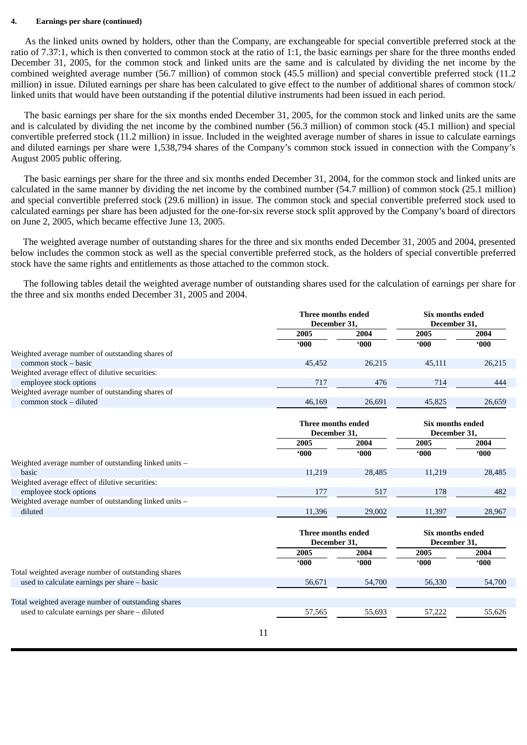#### **4. Earnings per share (continued)**

As the linked units owned by holders, other than the Company, are exchangeable for special convertible preferred stock at the ratio of 7.37:1, which is then converted to common stock at the ratio of 1:1, the basic earnings per share for the three months ended December 31, 2005, for the common stock and linked units are the same and is calculated by dividing the net income by the combined weighted average number (56.7 million) of common stock (45.5 million) and special convertible preferred stock (11.2 million) in issue. Diluted earnings per share has been calculated to give effect to the number of additional shares of common stock/ linked units that would have been outstanding if the potential dilutive instruments had been issued in each period.

The basic earnings per share for the six months ended December 31, 2005, for the common stock and linked units are the same and is calculated by dividing the net income by the combined number (56.3 million) of common stock (45.1 million) and special convertible preferred stock (11.2 million) in issue. Included in the weighted average number of shares in issue to calculate earnings and diluted earnings per share were 1,538,794 shares of the Company's common stock issued in connection with the Company's August 2005 public offering.

The basic earnings per share for the three and six months ended December 31, 2004, for the common stock and linked units are calculated in the same manner by dividing the net income by the combined number (54.7 million) of common stock (25.1 million) and special convertible preferred stock (29.6 million) in issue. The common stock and special convertible preferred stock used to calculated earnings per share has been adjusted for the one-for-six reverse stock split approved by the Company's board of directors on June 2, 2005, which became effective June 13, 2005.

The weighted average number of outstanding shares for the three and six months ended December 31, 2005 and 2004, presented below includes the common stock as well as the special convertible preferred stock, as the holders of special convertible preferred stock have the same rights and entitlements as those attached to the common stock.

The following tables detail the weighted average number of outstanding shares used for the calculation of earnings per share for the three and six months ended December 31, 2005 and 2004.

|                                                       | Three months ended        |              | <b>Six months ended</b> |               |  |
|-------------------------------------------------------|---------------------------|--------------|-------------------------|---------------|--|
|                                                       | December 31,              |              | December 31,            |               |  |
|                                                       | 2005                      | 2004         | 2005                    | 2004          |  |
|                                                       | 000                       | 000          | 000                     | $000^{\circ}$ |  |
| Weighted average number of outstanding shares of      |                           |              |                         |               |  |
| common stock - basic                                  | 45,452                    | 26,215       | 45,111                  | 26,215        |  |
| Weighted average effect of dilutive securities:       |                           |              |                         |               |  |
| employee stock options                                | 717                       | 476          | 714                     | 444           |  |
| Weighted average number of outstanding shares of      |                           |              |                         |               |  |
| common stock - diluted                                | 46,169                    | 26,691       | 45,825                  | 26,659        |  |
|                                                       | Three months ended        |              | Six months ended        |               |  |
|                                                       | December 31,              | December 31, |                         |               |  |
|                                                       | 2005                      | 2004         | 2005                    | 2004          |  |
|                                                       | 000                       | 000          | 000                     | $000^{\circ}$ |  |
| Weighted average number of outstanding linked units - |                           |              |                         |               |  |
| basic                                                 | 11.219                    | 28,485       | 11,219                  | 28,485        |  |
| Weighted average effect of dilutive securities:       |                           |              |                         |               |  |
| employee stock options                                | 177                       | 517          | 178                     | 482           |  |
| Weighted average number of outstanding linked units - |                           |              |                         |               |  |
| diluted                                               | 11,396                    | 29,002       | 11,397                  | 28,967        |  |
|                                                       | <b>Three months ended</b> |              | <b>Six months ended</b> |               |  |
|                                                       | December 31,              |              | December 31,            |               |  |
|                                                       | 2005                      | 2004         | 2005                    | 2004          |  |
|                                                       | 000                       | 000          | 000                     | 000           |  |
| Total weighted average number of outstanding shares   |                           |              |                         |               |  |
| used to calculate earnings per share - basic          | 56,671                    | 54,700       | 56,330                  | 54,700        |  |
|                                                       |                           |              |                         |               |  |
| Total weighted average number of outstanding shares   |                           |              |                         |               |  |
| used to calculate earnings per share - diluted        | 57,565                    | 55,693       | 57,222                  | 55,626        |  |
|                                                       |                           |              |                         |               |  |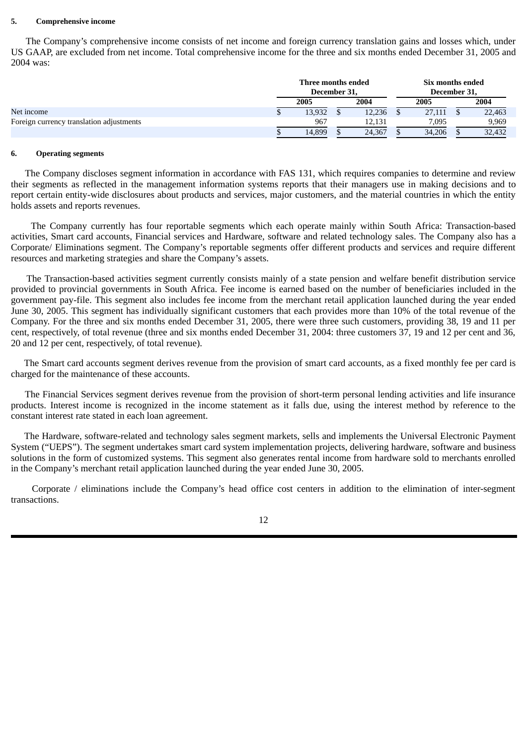#### **5. Comprehensive income**

The Company's comprehensive income consists of net income and foreign currency translation gains and losses which, under US GAAP, are excluded from net income. Total comprehensive income for the three and six months ended December 31, 2005 and 2004 was:

|                                          | Three months ended<br>December 31, |  |        | Six months ended<br>December 31, |  |        |  |  |
|------------------------------------------|------------------------------------|--|--------|----------------------------------|--|--------|--|--|
|                                          | 2005                               |  | 2004   | 2005                             |  | 2004   |  |  |
| Net income                               | 13,932                             |  | 12,236 | 27,111                           |  | 22,463 |  |  |
| Foreign currency translation adjustments | 967                                |  | 12.131 | 7,095                            |  | 9,969  |  |  |
|                                          | 14,899                             |  | 24,367 | 34,206                           |  | 32,432 |  |  |

#### **6. Operating segments**

The Company discloses segment information in accordance with FAS 131, which requires companies to determine and review their segments as reflected in the management information systems reports that their managers use in making decisions and to report certain entity-wide disclosures about products and services, major customers, and the material countries in which the entity holds assets and reports revenues.

The Company currently has four reportable segments which each operate mainly within South Africa: Transaction-based activities, Smart card accounts, Financial services and Hardware, software and related technology sales. The Company also has a Corporate/ Eliminations segment. The Company's reportable segments offer different products and services and require different resources and marketing strategies and share the Company's assets.

The Transaction-based activities segment currently consists mainly of a state pension and welfare benefit distribution service provided to provincial governments in South Africa. Fee income is earned based on the number of beneficiaries included in the government pay-file. This segment also includes fee income from the merchant retail application launched during the year ended June 30, 2005. This segment has individually significant customers that each provides more than 10% of the total revenue of the Company. For the three and six months ended December 31, 2005, there were three such customers, providing 38, 19 and 11 per cent, respectively, of total revenue (three and six months ended December 31, 2004: three customers 37, 19 and 12 per cent and 36, 20 and 12 per cent, respectively, of total revenue).

The Smart card accounts segment derives revenue from the provision of smart card accounts, as a fixed monthly fee per card is charged for the maintenance of these accounts.

The Financial Services segment derives revenue from the provision of short-term personal lending activities and life insurance products. Interest income is recognized in the income statement as it falls due, using the interest method by reference to the constant interest rate stated in each loan agreement.

The Hardware, software-related and technology sales segment markets, sells and implements the Universal Electronic Payment System ("UEPS"). The segment undertakes smart card system implementation projects, delivering hardware, software and business solutions in the form of customized systems. This segment also generates rental income from hardware sold to merchants enrolled in the Company's merchant retail application launched during the year ended June 30, 2005.

Corporate / eliminations include the Company's head office cost centers in addition to the elimination of inter-segment transactions.

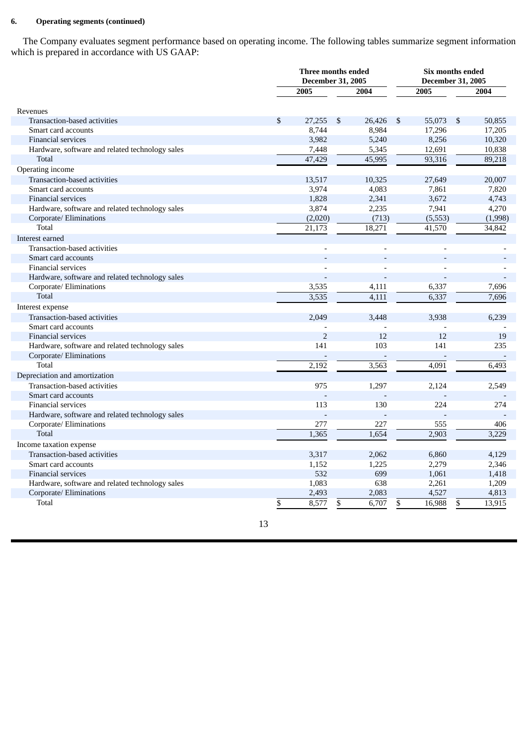### **6. Operating segments (continued)**

The Company evaluates segment performance based on operating income. The following tables summarize segment information which is prepared in accordance with US GAAP:

|                                                 | Three months ended<br><b>December 31, 2005</b> |                |      |        |              | Six months ended<br><b>December 31, 2005</b><br>2004<br>\$<br>50,855<br>17,205<br>8,256<br>10,320<br>10,838<br>89,218 |         |  |
|-------------------------------------------------|------------------------------------------------|----------------|------|--------|--------------|-----------------------------------------------------------------------------------------------------------------------|---------|--|
|                                                 |                                                | 2005           | 2004 |        | 2005         |                                                                                                                       |         |  |
| Revenues                                        |                                                |                |      |        |              |                                                                                                                       |         |  |
| Transaction-based activities                    | \$                                             | 27,255         | \$   | 26,426 | \$<br>55,073 |                                                                                                                       |         |  |
| Smart card accounts                             |                                                | 8,744          |      | 8,984  | 17,296       |                                                                                                                       |         |  |
| <b>Financial services</b>                       |                                                | 3,982          |      | 5,240  |              |                                                                                                                       |         |  |
| Hardware, software and related technology sales |                                                | 7,448          |      | 5,345  | 12,691       |                                                                                                                       |         |  |
| Total                                           |                                                | 47,429         |      | 45,995 | 93,316       |                                                                                                                       |         |  |
| Operating income                                |                                                |                |      |        |              |                                                                                                                       |         |  |
| Transaction-based activities                    |                                                | 13,517         |      | 10,325 | 27,649       |                                                                                                                       | 20,007  |  |
| Smart card accounts                             |                                                | 3,974          |      | 4,083  | 7,861        |                                                                                                                       | 7,820   |  |
| <b>Financial services</b>                       |                                                | 1,828          |      | 2,341  | 3,672        |                                                                                                                       | 4,743   |  |
| Hardware, software and related technology sales |                                                | 3,874          |      | 2,235  | 7,941        |                                                                                                                       | 4,270   |  |
| Corporate/ Eliminations                         |                                                | (2,020)        |      | (713)  | (5, 553)     |                                                                                                                       | (1,998) |  |
| Total                                           |                                                | 21,173         |      | 18,271 | 41,570       |                                                                                                                       | 34,842  |  |
| Interest earned                                 |                                                |                |      |        |              |                                                                                                                       |         |  |
| Transaction-based activities                    |                                                |                |      |        |              |                                                                                                                       |         |  |
| Smart card accounts                             |                                                |                |      |        |              |                                                                                                                       |         |  |
| <b>Financial services</b>                       |                                                |                |      |        |              |                                                                                                                       |         |  |
| Hardware, software and related technology sales |                                                |                |      |        |              |                                                                                                                       |         |  |
| Corporate/ Eliminations                         |                                                | 3,535          |      | 4,111  | 6,337        |                                                                                                                       | 7,696   |  |
| Total                                           |                                                | 3,535          |      | 4,111  | 6,337        |                                                                                                                       | 7,696   |  |
| Interest expense                                |                                                |                |      |        |              |                                                                                                                       |         |  |
| Transaction-based activities                    |                                                | 2,049          |      | 3,448  | 3,938        |                                                                                                                       | 6,239   |  |
| Smart card accounts                             |                                                |                |      |        |              |                                                                                                                       |         |  |
| <b>Financial services</b>                       |                                                | $\overline{2}$ |      | 12     | 12           |                                                                                                                       | 19      |  |
| Hardware, software and related technology sales |                                                | 141            |      | 103    | 141          |                                                                                                                       | 235     |  |
| Corporate/ Eliminations                         |                                                |                |      |        |              |                                                                                                                       |         |  |
| Total                                           |                                                | 2,192          |      | 3,563  | 4,091        |                                                                                                                       | 6,493   |  |
| Depreciation and amortization                   |                                                |                |      |        |              |                                                                                                                       |         |  |
| Transaction-based activities                    |                                                | 975            |      | 1,297  | 2,124        |                                                                                                                       | 2,549   |  |
| Smart card accounts                             |                                                |                |      |        |              |                                                                                                                       |         |  |
| <b>Financial services</b>                       |                                                | 113            |      | 130    | 224          |                                                                                                                       | 274     |  |
| Hardware, software and related technology sales |                                                |                |      |        |              |                                                                                                                       |         |  |
| Corporate/ Eliminations                         |                                                | 277            |      | 227    | 555          |                                                                                                                       | 406     |  |
| <b>Total</b>                                    |                                                | 1,365          |      | 1,654  | 2,903        |                                                                                                                       | 3,229   |  |
| Income taxation expense                         |                                                |                |      |        |              |                                                                                                                       |         |  |
| Transaction-based activities                    |                                                | 3,317          |      | 2,062  | 6,860        |                                                                                                                       | 4,129   |  |
| Smart card accounts                             |                                                | 1,152          |      | 1,225  | 2,279        |                                                                                                                       | 2,346   |  |
| <b>Financial services</b>                       |                                                | 532            |      | 699    | 1,061        |                                                                                                                       | 1,418   |  |
| Hardware, software and related technology sales |                                                | 1,083          |      | 638    | 2,261        |                                                                                                                       | 1,209   |  |
| Corporate/ Eliminations                         |                                                | 2,493          |      | 2,083  | 4,527        |                                                                                                                       | 4,813   |  |
| Total                                           | \$                                             | 8,577          | \$   | 6,707  | \$<br>16,988 | \$                                                                                                                    | 13,915  |  |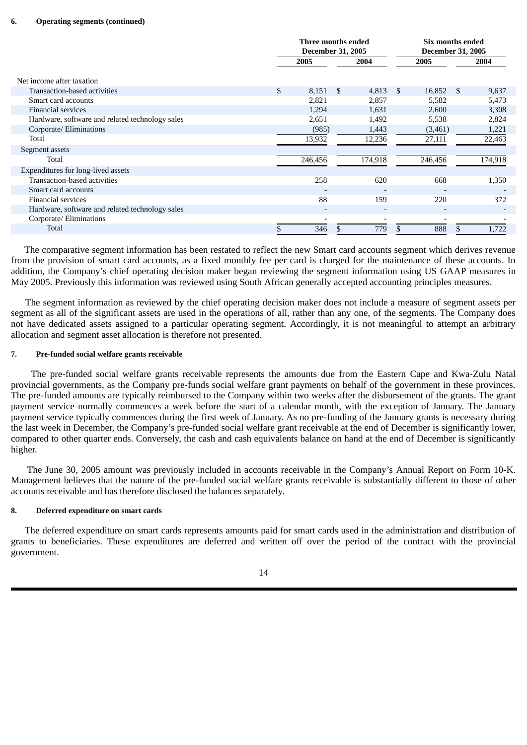|                                                 | Three months ended<br><b>December 31, 2005</b> |                          |    | Six months ended<br><b>December 31, 2005</b> |      |                          |      |         |
|-------------------------------------------------|------------------------------------------------|--------------------------|----|----------------------------------------------|------|--------------------------|------|---------|
|                                                 |                                                | 2005<br>2004             |    |                                              | 2005 |                          | 2004 |         |
| Net income after taxation                       |                                                |                          |    |                                              |      |                          |      |         |
| Transaction-based activities                    | \$                                             | 8,151                    | -S | 4,813                                        | \$.  | 16,852                   | -S   | 9,637   |
| Smart card accounts                             |                                                | 2,821                    |    | 2,857                                        |      | 5,582                    |      | 5,473   |
| <b>Financial services</b>                       |                                                | 1,294                    |    | 1,631                                        |      | 2,600                    |      | 3,308   |
| Hardware, software and related technology sales |                                                | 2,651                    |    | 1,492                                        |      | 5,538                    |      | 2,824   |
| Corporate/ Eliminations                         |                                                | (985)                    |    | 1,443                                        |      | (3,461)                  |      | 1,221   |
| Total                                           |                                                | 13,932                   |    | 12,236                                       |      | 27,111                   |      | 22,463  |
| Segment assets                                  |                                                |                          |    |                                              |      |                          |      |         |
| Total                                           |                                                | 246,456                  |    | 174,918                                      |      | 246,456                  |      | 174,918 |
| Expenditures for long-lived assets              |                                                |                          |    |                                              |      |                          |      |         |
| Transaction-based activities                    |                                                | 258                      |    | 620                                          |      | 668                      |      | 1,350   |
| Smart card accounts                             |                                                | $\overline{\phantom{0}}$ |    | $\overline{\phantom{a}}$                     |      | $\qquad \qquad$          |      |         |
| <b>Financial services</b>                       |                                                | 88                       |    | 159                                          |      | 220                      |      | 372     |
| Hardware, software and related technology sales |                                                | ۰                        |    | $\overline{\phantom{a}}$                     |      | $\overline{\phantom{a}}$ |      |         |
| Corporate/ Eliminations                         |                                                |                          |    |                                              |      |                          |      |         |
| Total                                           |                                                | 346                      |    | 779                                          | \$.  | 888                      |      | 1,722   |

The comparative segment information has been restated to reflect the new Smart card accounts segment which derives revenue from the provision of smart card accounts, as a fixed monthly fee per card is charged for the maintenance of these accounts. In addition, the Company's chief operating decision maker began reviewing the segment information using US GAAP measures in May 2005. Previously this information was reviewed using South African generally accepted accounting principles measures.

The segment information as reviewed by the chief operating decision maker does not include a measure of segment assets per segment as all of the significant assets are used in the operations of all, rather than any one, of the segments. The Company does not have dedicated assets assigned to a particular operating segment. Accordingly, it is not meaningful to attempt an arbitrary allocation and segment asset allocation is therefore not presented.

#### **7. Pre-funded social welfare grants receivable**

The pre-funded social welfare grants receivable represents the amounts due from the Eastern Cape and Kwa-Zulu Natal provincial governments, as the Company pre-funds social welfare grant payments on behalf of the government in these provinces. The pre-funded amounts are typically reimbursed to the Company within two weeks after the disbursement of the grants. The grant payment service normally commences a week before the start of a calendar month, with the exception of January. The January payment service typically commences during the first week of January. As no pre-funding of the January grants is necessary during the last week in December, the Company's pre-funded social welfare grant receivable at the end of December is significantly lower, compared to other quarter ends. Conversely, the cash and cash equivalents balance on hand at the end of December is significantly higher.

The June 30, 2005 amount was previously included in accounts receivable in the Company's Annual Report on Form 10-K. Management believes that the nature of the pre-funded social welfare grants receivable is substantially different to those of other accounts receivable and has therefore disclosed the balances separately.

#### **8. Deferred expenditure on smart cards**

The deferred expenditure on smart cards represents amounts paid for smart cards used in the administration and distribution of grants to beneficiaries. These expenditures are deferred and written off over the period of the contract with the provincial government.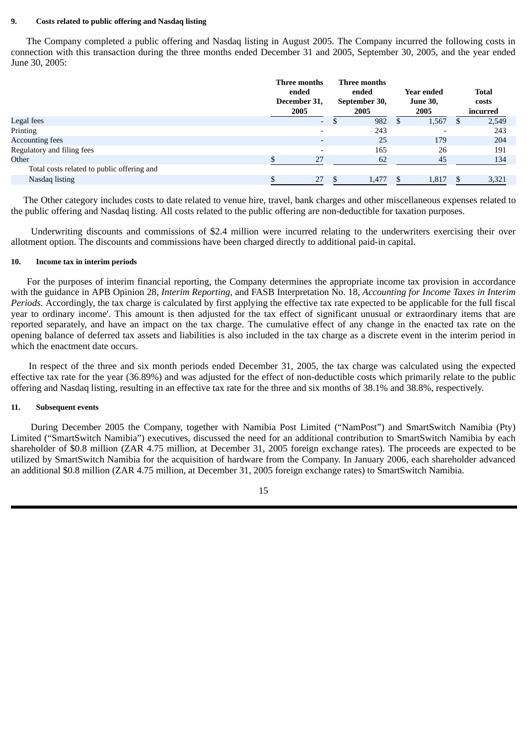#### **9. Costs related to public offering and Nasdaq listing**

The Company completed a public offering and Nasdaq listing in August 2005. The Company incurred the following costs in connection with this transaction during the three months ended December 31 and 2005, September 30, 2005, and the year ended June 30, 2005:

|                                            | Three months<br>ended<br>December 31,<br>2005 |      | Three months<br>ended<br>September 30,<br>2005 |               | <b>Year ended</b><br><b>June 30,</b><br>2005 | <b>Total</b><br>costs<br>incurred |
|--------------------------------------------|-----------------------------------------------|------|------------------------------------------------|---------------|----------------------------------------------|-----------------------------------|
| <b>Legal</b> fees                          | $\overline{\phantom{a}}$                      | - \$ | 982                                            |               | 1,567                                        | 2,549                             |
| Printing                                   | $\overline{\phantom{a}}$                      |      | 243                                            |               | $\overline{\phantom{0}}$                     | 243                               |
| <b>Accounting fees</b>                     | $\overline{\phantom{a}}$                      |      | 25                                             |               | 179                                          | 204                               |
| Regulatory and filing fees                 | $\overline{\phantom{a}}$                      |      | 165                                            |               | 26                                           | 191                               |
| Other                                      | 27                                            |      | 62                                             |               | 45                                           | 134                               |
| Total costs related to public offering and |                                               |      |                                                |               |                                              |                                   |
| Nasdaq listing                             | 27                                            | -S   | 1,477                                          | <sup>\$</sup> | 1,817                                        | 3,321                             |

The Other category includes costs to date related to venue hire, travel, bank charges and other miscellaneous expenses related to the public offering and Nasdaq listing. All costs related to the public offering are non-deductible for taxation purposes.

Underwriting discounts and commissions of \$2.4 million were incurred relating to the underwriters exercising their over allotment option. The discounts and commissions have been charged directly to additional paid-in capital.

#### **10. Income tax in interim periods**

For the purposes of interim financial reporting, the Company determines the appropriate income tax provision in accordance with the guidance in APB Opinion 28, *Interim Reporting*, and FASB Interpretation No. 18, *Accounting for Income Taxes in Interim Periods*. Accordingly, the tax charge is calculated by first applying the effective tax rate expected to be applicable for the full fiscal year to ordinary income'. This amount is then adjusted for the tax effect of significant unusual or extraordinary items that are reported separately, and have an impact on the tax charge. The cumulative effect of any change in the enacted tax rate on the opening balance of deferred tax assets and liabilities is also included in the tax charge as a discrete event in the interim period in which the enactment date occurs.

In respect of the three and six month periods ended December 31, 2005, the tax charge was calculated using the expected effective tax rate for the year (36.89%) and was adjusted for the effect of non-deductible costs which primarily relate to the public offering and Nasdaq listing, resulting in an effective tax rate for the three and six months of 38.1% and 38.8%, respectively.

#### **11. Subsequent events**

During December 2005 the Company, together with Namibia Post Limited ("NamPost") and SmartSwitch Namibia (Pty) Limited ("SmartSwitch Namibia") executives, discussed the need for an additional contribution to SmartSwitch Namibia by each shareholder of \$0.8 million (ZAR 4.75 million, at December 31, 2005 foreign exchange rates). The proceeds are expected to be utilized by SmartSwitch Namibia for the acquisition of hardware from the Company. In January 2006, each shareholder advanced an additional \$0.8 million (ZAR 4.75 million, at December 31, 2005 foreign exchange rates) to SmartSwitch Namibia.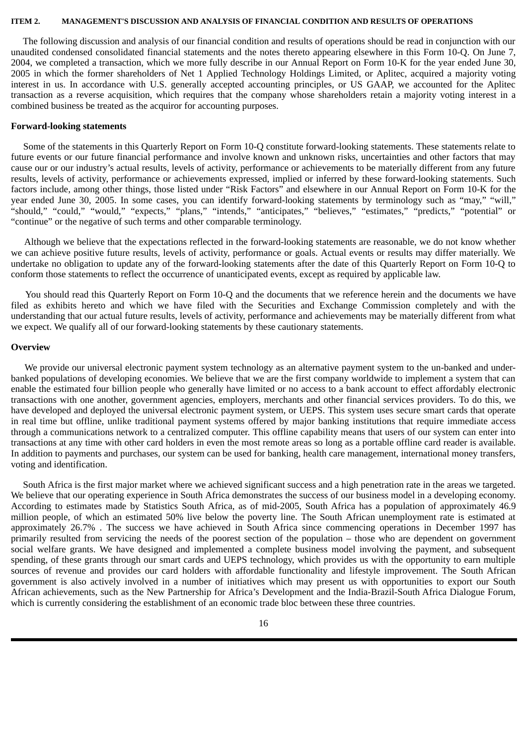#### <span id="page-16-0"></span>**ITEM 2. MANAGEMENT'S DISCUSSION AND ANALYSIS OF FINANCIAL CONDITION AND RESULTS OF OPERATIONS**

The following discussion and analysis of our financial condition and results of operations should be read in conjunction with our unaudited condensed consolidated financial statements and the notes thereto appearing elsewhere in this Form 10-Q. On June 7, 2004, we completed a transaction, which we more fully describe in our Annual Report on Form 10-K for the year ended June 30, 2005 in which the former shareholders of Net 1 Applied Technology Holdings Limited, or Aplitec, acquired a majority voting interest in us. In accordance with U.S. generally accepted accounting principles, or US GAAP, we accounted for the Aplitec transaction as a reverse acquisition, which requires that the company whose shareholders retain a majority voting interest in a combined business be treated as the acquiror for accounting purposes.

#### **Forward-looking statements**

Some of the statements in this Quarterly Report on Form 10-Q constitute forward-looking statements. These statements relate to future events or our future financial performance and involve known and unknown risks, uncertainties and other factors that may cause our or our industry's actual results, levels of activity, performance or achievements to be materially different from any future results, levels of activity, performance or achievements expressed, implied or inferred by these forward-looking statements. Such factors include, among other things, those listed under "Risk Factors" and elsewhere in our Annual Report on Form 10-K for the year ended June 30, 2005. In some cases, you can identify forward-looking statements by terminology such as "may," "will," "should," "could," "would," "expects," "plans," "intends," "anticipates," "believes," "estimates," "predicts," "potential" or "continue" or the negative of such terms and other comparable terminology.

Although we believe that the expectations reflected in the forward-looking statements are reasonable, we do not know whether we can achieve positive future results, levels of activity, performance or goals. Actual events or results may differ materially. We undertake no obligation to update any of the forward-looking statements after the date of this Quarterly Report on Form 10-Q to conform those statements to reflect the occurrence of unanticipated events, except as required by applicable law.

You should read this Quarterly Report on Form 10-Q and the documents that we reference herein and the documents we have filed as exhibits hereto and which we have filed with the Securities and Exchange Commission completely and with the understanding that our actual future results, levels of activity, performance and achievements may be materially different from what we expect. We qualify all of our forward-looking statements by these cautionary statements.

#### **Overview**

We provide our universal electronic payment system technology as an alternative payment system to the un-banked and underbanked populations of developing economies. We believe that we are the first company worldwide to implement a system that can enable the estimated four billion people who generally have limited or no access to a bank account to effect affordably electronic transactions with one another, government agencies, employers, merchants and other financial services providers. To do this, we have developed and deployed the universal electronic payment system, or UEPS. This system uses secure smart cards that operate in real time but offline, unlike traditional payment systems offered by major banking institutions that require immediate access through a communications network to a centralized computer. This offline capability means that users of our system can enter into transactions at any time with other card holders in even the most remote areas so long as a portable offline card reader is available. In addition to payments and purchases, our system can be used for banking, health care management, international money transfers, voting and identification.

South Africa is the first major market where we achieved significant success and a high penetration rate in the areas we targeted. We believe that our operating experience in South Africa demonstrates the success of our business model in a developing economy. According to estimates made by Statistics South Africa, as of mid-2005, South Africa has a population of approximately 46.9 million people, of which an estimated 50% live below the poverty line. The South African unemployment rate is estimated at approximately 26.7% . The success we have achieved in South Africa since commencing operations in December 1997 has primarily resulted from servicing the needs of the poorest section of the population – those who are dependent on government social welfare grants. We have designed and implemented a complete business model involving the payment, and subsequent spending, of these grants through our smart cards and UEPS technology, which provides us with the opportunity to earn multiple sources of revenue and provides our card holders with affordable functionality and lifestyle improvement. The South African government is also actively involved in a number of initiatives which may present us with opportunities to export our South African achievements, such as the New Partnership for Africa's Development and the India-Brazil-South Africa Dialogue Forum, which is currently considering the establishment of an economic trade bloc between these three countries.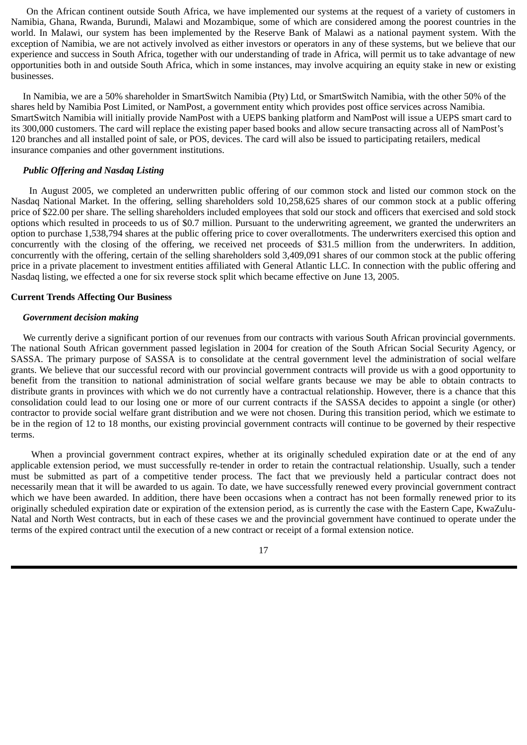On the African continent outside South Africa, we have implemented our systems at the request of a variety of customers in Namibia, Ghana, Rwanda, Burundi, Malawi and Mozambique, some of which are considered among the poorest countries in the world. In Malawi, our system has been implemented by the Reserve Bank of Malawi as a national payment system. With the exception of Namibia, we are not actively involved as either investors or operators in any of these systems, but we believe that our experience and success in South Africa, together with our understanding of trade in Africa, will permit us to take advantage of new opportunities both in and outside South Africa, which in some instances, may involve acquiring an equity stake in new or existing businesses.

 In Namibia, we are a 50% shareholder in SmartSwitch Namibia (Pty) Ltd, or SmartSwitch Namibia, with the other 50% of the shares held by Namibia Post Limited, or NamPost, a government entity which provides post office services across Namibia. SmartSwitch Namibia will initially provide NamPost with a UEPS banking platform and NamPost will issue a UEPS smart card to its 300,000 customers. The card will replace the existing paper based books and allow secure transacting across all of NamPost's 120 branches and all installed point of sale, or POS, devices. The card will also be issued to participating retailers, medical insurance companies and other government institutions.

#### *Public Offering and Nasdaq Listing*

In August 2005, we completed an underwritten public offering of our common stock and listed our common stock on the Nasdaq National Market. In the offering, selling shareholders sold 10,258,625 shares of our common stock at a public offering price of \$22.00 per share. The selling shareholders included employees that sold our stock and officers that exercised and sold stock options which resulted in proceeds to us of \$0.7 million. Pursuant to the underwriting agreement, we granted the underwriters an option to purchase 1,538,794 shares at the public offering price to cover overallotments. The underwriters exercised this option and concurrently with the closing of the offering, we received net proceeds of \$31.5 million from the underwriters. In addition, concurrently with the offering, certain of the selling shareholders sold 3,409,091 shares of our common stock at the public offering price in a private placement to investment entities affiliated with General Atlantic LLC. In connection with the public offering and Nasdaq listing, we effected a one for six reverse stock split which became effective on June 13, 2005.

#### **Current Trends Affecting Our Business**

#### *Government decision making*

We currently derive a significant portion of our revenues from our contracts with various South African provincial governments. The national South African government passed legislation in 2004 for creation of the South African Social Security Agency, or SASSA. The primary purpose of SASSA is to consolidate at the central government level the administration of social welfare grants. We believe that our successful record with our provincial government contracts will provide us with a good opportunity to benefit from the transition to national administration of social welfare grants because we may be able to obtain contracts to distribute grants in provinces with which we do not currently have a contractual relationship. However, there is a chance that this consolidation could lead to our losing one or more of our current contracts if the SASSA decides to appoint a single (or other) contractor to provide social welfare grant distribution and we were not chosen. During this transition period, which we estimate to be in the region of 12 to 18 months, our existing provincial government contracts will continue to be governed by their respective terms.

When a provincial government contract expires, whether at its originally scheduled expiration date or at the end of any applicable extension period, we must successfully re-tender in order to retain the contractual relationship. Usually, such a tender must be submitted as part of a competitive tender process. The fact that we previously held a particular contract does not necessarily mean that it will be awarded to us again. To date, we have successfully renewed every provincial government contract which we have been awarded. In addition, there have been occasions when a contract has not been formally renewed prior to its originally scheduled expiration date or expiration of the extension period, as is currently the case with the Eastern Cape, KwaZulu-Natal and North West contracts, but in each of these cases we and the provincial government have continued to operate under the terms of the expired contract until the execution of a new contract or receipt of a formal extension notice.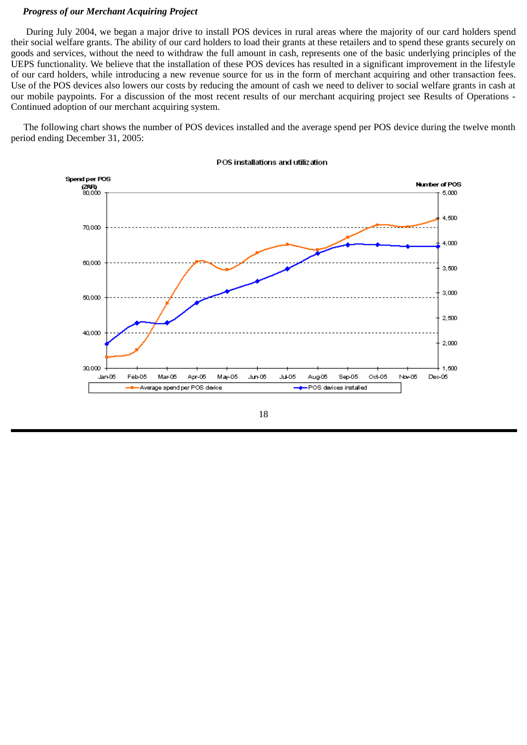#### *Progress of our Merchant Acquiring Project*

During July 2004, we began a major drive to install POS devices in rural areas where the majority of our card holders spend their social welfare grants. The ability of our card holders to load their grants at these retailers and to spend these grants securely on goods and services, without the need to withdraw the full amount in cash, represents one of the basic underlying principles of the UEPS functionality. We believe that the installation of these POS devices has resulted in a significant improvement in the lifestyle of our card holders, while introducing a new revenue source for us in the form of merchant acquiring and other transaction fees. Use of the POS devices also lowers our costs by reducing the amount of cash we need to deliver to social welfare grants in cash at our mobile paypoints. For a discussion of the most recent results of our merchant acquiring project see Results of Operations - Continued adoption of our merchant acquiring system.

The following chart shows the number of POS devices installed and the average spend per POS device during the twelve month period ending December 31, 2005:



#### POS installations and utilization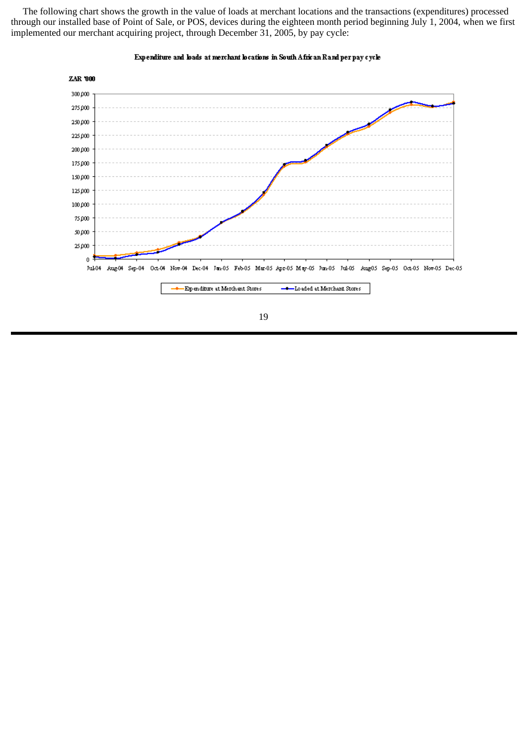The following chart shows the growth in the value of loads at merchant locations and the transactions (expenditures) processed through our installed base of Point of Sale, or POS, devices during the eighteen month period beginning July 1, 2004, when we first implemented our merchant acquiring project, through December 31, 2005, by pay cycle:



#### Expenditure and loads at merchant locations in South African Rand per pay cycle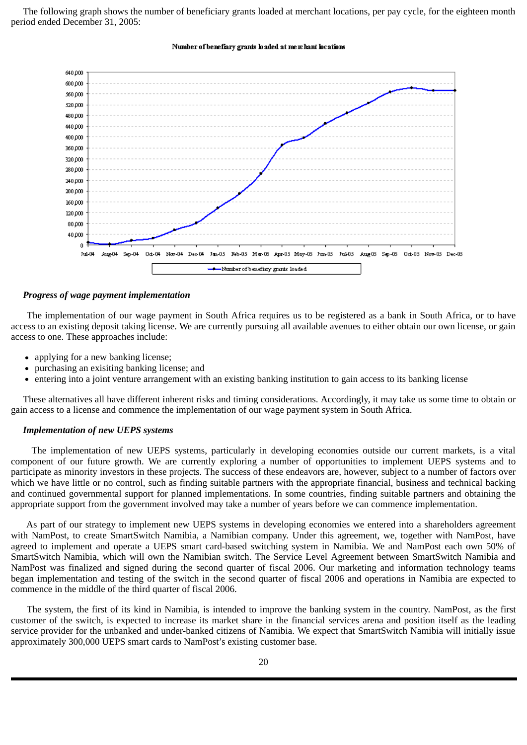The following graph shows the number of beneficiary grants loaded at merchant locations, per pay cycle, for the eighteen month period ended December 31, 2005:



#### Number of benefiary grants loaded at me x hant locations

#### *Progress of wage payment implementation*

The implementation of our wage payment in South Africa requires us to be registered as a bank in South Africa, or to have access to an existing deposit taking license. We are currently pursuing all available avenues to either obtain our own license, or gain access to one. These approaches include:

- applying for a new banking license:
- purchasing an exisiting banking license; and
- entering into a joint venture arrangement with an existing banking institution to gain access to its banking license  $\bullet$

These alternatives all have different inherent risks and timing considerations. Accordingly, it may take us some time to obtain or gain access to a license and commence the implementation of our wage payment system in South Africa.

### *Implementation of new UEPS systems*

The implementation of new UEPS systems, particularly in developing economies outside our current markets, is a vital component of our future growth. We are currently exploring a number of opportunities to implement UEPS systems and to participate as minority investors in these projects. The success of these endeavors are, however, subject to a number of factors over which we have little or no control, such as finding suitable partners with the appropriate financial, business and technical backing and continued governmental support for planned implementations. In some countries, finding suitable partners and obtaining the appropriate support from the government involved may take a number of years before we can commence implementation.

As part of our strategy to implement new UEPS systems in developing economies we entered into a shareholders agreement with NamPost, to create SmartSwitch Namibia, a Namibian company. Under this agreement, we, together with NamPost, have agreed to implement and operate a UEPS smart card-based switching system in Namibia. We and NamPost each own 50% of SmartSwitch Namibia, which will own the Namibian switch. The Service Level Agreement between SmartSwitch Namibia and NamPost was finalized and signed during the second quarter of fiscal 2006. Our marketing and information technology teams began implementation and testing of the switch in the second quarter of fiscal 2006 and operations in Namibia are expected to commence in the middle of the third quarter of fiscal 2006.

The system, the first of its kind in Namibia, is intended to improve the banking system in the country. NamPost, as the first customer of the switch, is expected to increase its market share in the financial services arena and position itself as the leading service provider for the unbanked and under-banked citizens of Namibia. We expect that SmartSwitch Namibia will initially issue approximately 300,000 UEPS smart cards to NamPost's existing customer base.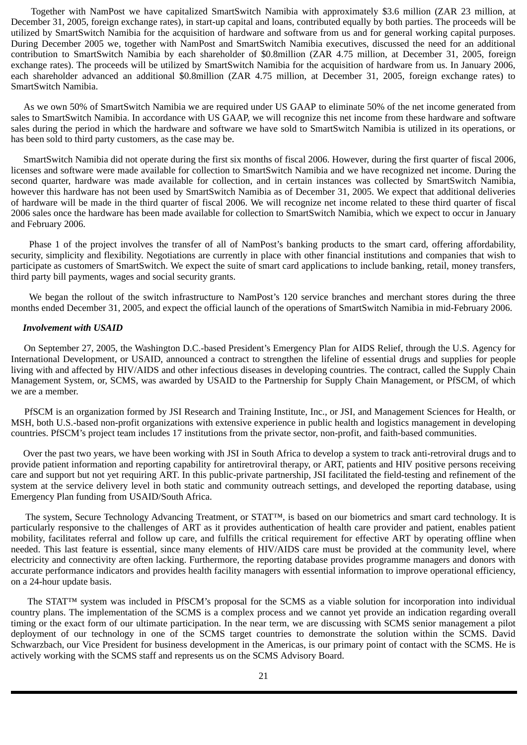Together with NamPost we have capitalized SmartSwitch Namibia with approximately \$3.6 million (ZAR 23 million, at December 31, 2005, foreign exchange rates), in start-up capital and loans, contributed equally by both parties. The proceeds will be utilized by SmartSwitch Namibia for the acquisition of hardware and software from us and for general working capital purposes. During December 2005 we, together with NamPost and SmartSwitch Namibia executives, discussed the need for an additional contribution to SmartSwitch Namibia by each shareholder of \$0.8million (ZAR 4.75 million, at December 31, 2005, foreign exchange rates). The proceeds will be utilized by SmartSwitch Namibia for the acquisition of hardware from us. In January 2006, each shareholder advanced an additional \$0.8million (ZAR 4.75 million, at December 31, 2005, foreign exchange rates) to SmartSwitch Namibia.

As we own 50% of SmartSwitch Namibia we are required under US GAAP to eliminate 50% of the net income generated from sales to SmartSwitch Namibia. In accordance with US GAAP, we will recognize this net income from these hardware and software sales during the period in which the hardware and software we have sold to SmartSwitch Namibia is utilized in its operations, or has been sold to third party customers, as the case may be.

SmartSwitch Namibia did not operate during the first six months of fiscal 2006. However, during the first quarter of fiscal 2006, licenses and software were made available for collection to SmartSwitch Namibia and we have recognized net income. During the second quarter, hardware was made available for collection, and in certain instances was collected by SmartSwitch Namibia, however this hardware has not been used by SmartSwitch Namibia as of December 31, 2005. We expect that additional deliveries of hardware will be made in the third quarter of fiscal 2006. We will recognize net income related to these third quarter of fiscal 2006 sales once the hardware has been made available for collection to SmartSwitch Namibia, which we expect to occur in January and February 2006.

Phase 1 of the project involves the transfer of all of NamPost's banking products to the smart card, offering affordability, security, simplicity and flexibility. Negotiations are currently in place with other financial institutions and companies that wish to participate as customers of SmartSwitch. We expect the suite of smart card applications to include banking, retail, money transfers, third party bill payments, wages and social security grants.

We began the rollout of the switch infrastructure to NamPost's 120 service branches and merchant stores during the three months ended December 31, 2005, and expect the official launch of the operations of SmartSwitch Namibia in mid-February 2006.

#### *Involvement with USAID*

On September 27, 2005, the Washington D.C.-based President's Emergency Plan for AIDS Relief, through the U.S. Agency for International Development, or USAID, announced a contract to strengthen the lifeline of essential drugs and supplies for people living with and affected by HIV/AIDS and other infectious diseases in developing countries. The contract, called the Supply Chain Management System, or, SCMS, was awarded by USAID to the Partnership for Supply Chain Management, or PfSCM, of which we are a member.

PfSCM is an organization formed by JSI Research and Training Institute, Inc., or JSI, and Management Sciences for Health, or MSH, both U.S.-based non-profit organizations with extensive experience in public health and logistics management in developing countries. PfSCM's project team includes 17 institutions from the private sector, non-profit, and faith-based communities.

Over the past two years, we have been working with JSI in South Africa to develop a system to track anti-retroviral drugs and to provide patient information and reporting capability for antiretroviral therapy, or ART, patients and HIV positive persons receiving care and support but not yet requiring ART. In this public-private partnership, JSI facilitated the field-testing and refinement of the system at the service delivery level in both static and community outreach settings, and developed the reporting database, using Emergency Plan funding from USAID/South Africa.

The system, Secure Technology Advancing Treatment, or STAT™, is based on our biometrics and smart card technology. It is particularly responsive to the challenges of ART as it provides authentication of health care provider and patient, enables patient mobility, facilitates referral and follow up care, and fulfills the critical requirement for effective ART by operating offline when needed. This last feature is essential, since many elements of HIV/AIDS care must be provided at the community level, where electricity and connectivity are often lacking. Furthermore, the reporting database provides programme managers and donors with accurate performance indicators and provides health facility managers with essential information to improve operational efficiency, on a 24-hour update basis.

The STAT™ system was included in PfSCM's proposal for the SCMS as a viable solution for incorporation into individual country plans. The implementation of the SCMS is a complex process and we cannot yet provide an indication regarding overall timing or the exact form of our ultimate participation. In the near term, we are discussing with SCMS senior management a pilot deployment of our technology in one of the SCMS target countries to demonstrate the solution within the SCMS. David Schwarzbach, our Vice President for business development in the Americas, is our primary point of contact with the SCMS. He is actively working with the SCMS staff and represents us on the SCMS Advisory Board.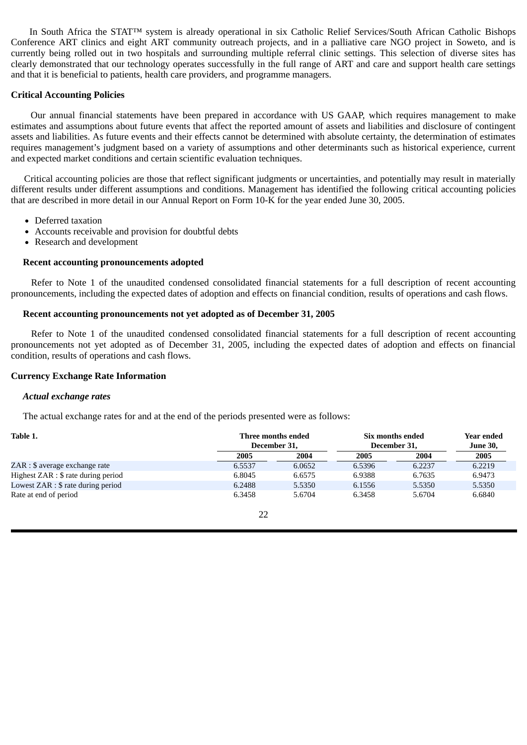In South Africa the STAT™ system is already operational in six Catholic Relief Services/South African Catholic Bishops Conference ART clinics and eight ART community outreach projects, and in a palliative care NGO project in Soweto, and is currently being rolled out in two hospitals and surrounding multiple referral clinic settings. This selection of diverse sites has clearly demonstrated that our technology operates successfully in the full range of ART and care and support health care settings and that it is beneficial to patients, health care providers, and programme managers.

### **Critical Accounting Policies**

Our annual financial statements have been prepared in accordance with US GAAP, which requires management to make estimates and assumptions about future events that affect the reported amount of assets and liabilities and disclosure of contingent assets and liabilities. As future events and their effects cannot be determined with absolute certainty, the determination of estimates requires management's judgment based on a variety of assumptions and other determinants such as historical experience, current and expected market conditions and certain scientific evaluation techniques.

Critical accounting policies are those that reflect significant judgments or uncertainties, and potentially may result in materially different results under different assumptions and conditions. Management has identified the following critical accounting policies that are described in more detail in our Annual Report on Form 10-K for the year ended June 30, 2005.

- Deferred taxation
- Accounts receivable and provision for doubtful debts
- Research and development

### **Recent accounting pronouncements adopted**

Refer to Note 1 of the unaudited condensed consolidated financial statements for a full description of recent accounting pronouncements, including the expected dates of adoption and effects on financial condition, results of operations and cash flows.

#### **Recent accounting pronouncements not yet adopted as of December 31, 2005**

Refer to Note 1 of the unaudited condensed consolidated financial statements for a full description of recent accounting pronouncements not yet adopted as of December 31, 2005, including the expected dates of adoption and effects on financial condition, results of operations and cash flows.

### **Currency Exchange Rate Information**

#### *Actual exchange rates*

The actual exchange rates for and at the end of the periods presented were as follows:

| Table 1.                            | Three months ended<br>December 31, |        | Six months ended<br>December 31, | <b>Year ended</b><br><b>June 30,</b> |        |
|-------------------------------------|------------------------------------|--------|----------------------------------|--------------------------------------|--------|
|                                     | 2005                               | 2004   | 2005                             | 2004                                 | 2005   |
| ZAR : \$ average exchange rate      | 6.5537                             | 6.0652 | 6.5396                           | 6.2237                               | 6.2219 |
| Highest ZAR : \$ rate during period | 6.8045                             | 6.6575 | 6.9388                           | 6.7635                               | 6.9473 |
| Lowest ZAR : \$ rate during period  | 6.2488                             | 5.5350 | 6.1556                           | 5.5350                               | 5.5350 |
| Rate at end of period               | 6.3458                             | 5.6704 | 6.3458                           | 5.6704                               | 6.6840 |
|                                     |                                    |        |                                  |                                      |        |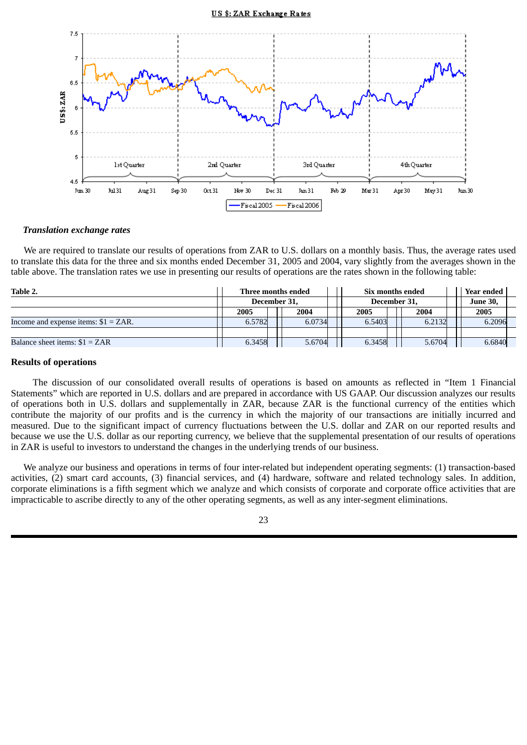#### US \$: ZAR Exchange Rates



#### *Translation exchange rates*

We are required to translate our results of operations from ZAR to U.S. dollars on a monthly basis. Thus, the average rates used to translate this data for the three and six months ended December 31, 2005 and 2004, vary slightly from the averages shown in the table above. The translation rates we use in presenting our results of operations are the rates shown in the following table:

| Table 2.                               |        | Three months ended | Six months ended |        |  | Year ended |
|----------------------------------------|--------|--------------------|------------------|--------|--|------------|
|                                        |        | December 31,       | December 31,     |        |  | June 30,   |
|                                        | 2005   | 2004               | 2005             | 2004   |  | 2005       |
| Income and expense items: $$1 = ZAR$ . | 6.5782 | 6.0734             | 6.5403           | 6.2132 |  | 6.2096     |
|                                        |        |                    |                  |        |  |            |
| Balance sheet items: $$1 = ZAR$        | 6.3458 | 5.6704             | 6.3458           | 5.6704 |  | 6.6840     |

#### **Results of operations**

The discussion of our consolidated overall results of operations is based on amounts as reflected in "Item 1 Financial Statements" which are reported in U.S. dollars and are prepared in accordance with US GAAP. Our discussion analyzes our results of operations both in U.S. dollars and supplementally in ZAR, because ZAR is the functional currency of the entities which contribute the majority of our profits and is the currency in which the majority of our transactions are initially incurred and measured. Due to the significant impact of currency fluctuations between the U.S. dollar and ZAR on our reported results and because we use the U.S. dollar as our reporting currency, we believe that the supplemental presentation of our results of operations in ZAR is useful to investors to understand the changes in the underlying trends of our business.

We analyze our business and operations in terms of four inter-related but independent operating segments: (1) transaction-based activities, (2) smart card accounts, (3) financial services, and (4) hardware, software and related technology sales. In addition, corporate eliminations is a fifth segment which we analyze and which consists of corporate and corporate office activities that are impracticable to ascribe directly to any of the other operating segments, as well as any inter-segment eliminations.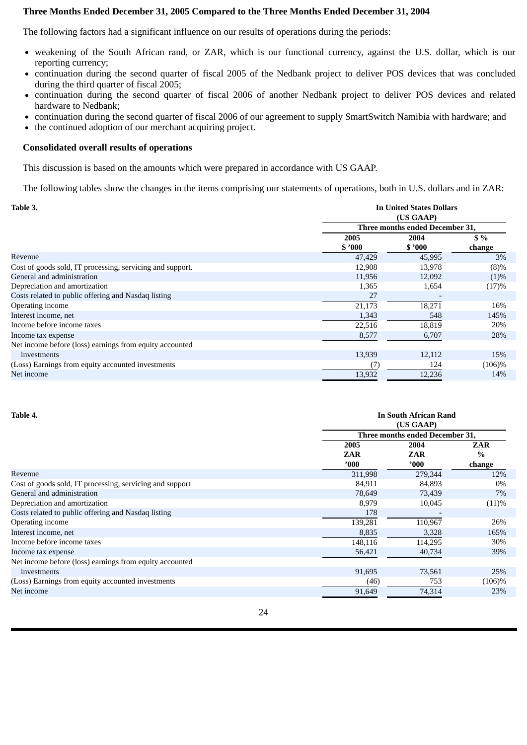### **Three Months Ended December 31, 2005 Compared to the Three Months Ended December 31, 2004**

The following factors had a significant influence on our results of operations during the periods:

- weakening of the South African rand, or ZAR, which is our functional currency, against the U.S. dollar, which is our reporting currency;
- continuation during the second quarter of fiscal 2005 of the Nedbank project to deliver POS devices that was concluded during the third quarter of fiscal 2005;
- continuation during the second quarter of fiscal 2006 of another Nedbank project to deliver POS devices and related hardware to Nedbank;
- continuation during the second quarter of fiscal 2006 of our agreement to supply SmartSwitch Namibia with hardware; and
- the continued adoption of our merchant acquiring project.  $\bullet$

### **Consolidated overall results of operations**

This discussion is based on the amounts which were prepared in accordance with US GAAP.

The following tables show the changes in the items comprising our statements of operations, both in U.S. dollars and in ZAR:

| Table 3.                                                  |        | <b>In United States Dollars</b> |           |  |  |  |  |  |
|-----------------------------------------------------------|--------|---------------------------------|-----------|--|--|--|--|--|
|                                                           |        | (US GAAP)                       |           |  |  |  |  |  |
|                                                           |        | Three months ended December 31, |           |  |  |  |  |  |
|                                                           | 2005   | 2004                            | $$ \%$    |  |  |  |  |  |
|                                                           | \$2000 | \$3000                          | change    |  |  |  |  |  |
| Revenue                                                   | 47,429 | 45,995                          | 3%        |  |  |  |  |  |
| Cost of goods sold, IT processing, servicing and support. | 12,908 | 13,978                          | $(8)\%$   |  |  |  |  |  |
| General and administration                                | 11,956 | 12,092                          | $(1)\%$   |  |  |  |  |  |
| Depreciation and amortization                             | 1,365  | 1,654                           | (17)%     |  |  |  |  |  |
| Costs related to public offering and Nasdaq listing       | 27     |                                 |           |  |  |  |  |  |
| Operating income                                          | 21,173 | 18,271                          | 16%       |  |  |  |  |  |
| Interest income, net                                      | 1,343  | 548                             | 145%      |  |  |  |  |  |
| Income before income taxes                                | 22,516 | 18,819                          | 20%       |  |  |  |  |  |
| Income tax expense                                        | 8,577  | 6,707                           | 28%       |  |  |  |  |  |
| Net income before (loss) earnings from equity accounted   |        |                                 |           |  |  |  |  |  |
| investments                                               | 13,939 | 12,112                          | 15%       |  |  |  |  |  |
| (Loss) Earnings from equity accounted investments         | (7)    | 124                             | $(106)\%$ |  |  |  |  |  |
| Net income                                                | 13,932 | 12,236                          | 14%       |  |  |  |  |  |

| Table 4.                                                 |                | <b>In South African Rand</b>    |            |  |  |  |  |  |
|----------------------------------------------------------|----------------|---------------------------------|------------|--|--|--|--|--|
|                                                          |                | (US GAAP)                       |            |  |  |  |  |  |
|                                                          |                | Three months ended December 31, |            |  |  |  |  |  |
|                                                          | 2005           | 2004                            | <b>ZAR</b> |  |  |  |  |  |
|                                                          | <b>ZAR</b>     | ZAR                             | $\%$       |  |  |  |  |  |
|                                                          | $^{\prime}000$ | '000'                           | change     |  |  |  |  |  |
| Revenue                                                  | 311,998        | 279,344                         | 12%        |  |  |  |  |  |
| Cost of goods sold, IT processing, servicing and support | 84,911         | 84,893                          | 0%         |  |  |  |  |  |
| General and administration                               | 78,649         | 73,439                          | 7%         |  |  |  |  |  |
| Depreciation and amortization                            | 8,979          | 10,045                          | (11)%      |  |  |  |  |  |
| Costs related to public offering and Nasdaq listing      | 178            |                                 |            |  |  |  |  |  |
| Operating income                                         | 139,281        | 110,967                         | 26%        |  |  |  |  |  |
| Interest income, net                                     | 8,835          | 3,328                           | 165%       |  |  |  |  |  |
| Income before income taxes                               | 148,116        | 114,295                         | 30%        |  |  |  |  |  |
| Income tax expense                                       | 56,421         | 40,734                          | 39%        |  |  |  |  |  |
| Net income before (loss) earnings from equity accounted  |                |                                 |            |  |  |  |  |  |
| investments                                              | 91,695         | 73,561                          | 25%        |  |  |  |  |  |
| (Loss) Earnings from equity accounted investments        | (46)           | 753                             | $(106)\%$  |  |  |  |  |  |
| Net income                                               | 91,649         | 74,314                          | 23%        |  |  |  |  |  |
|                                                          |                |                                 |            |  |  |  |  |  |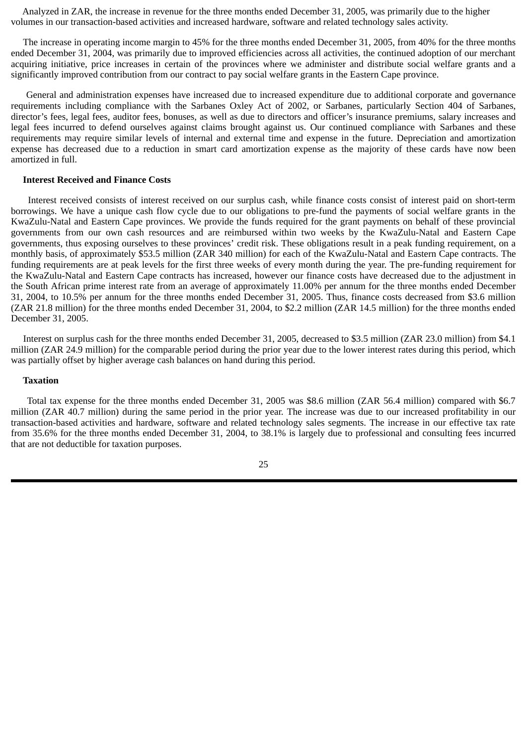Analyzed in ZAR, the increase in revenue for the three months ended December 31, 2005, was primarily due to the higher volumes in our transaction-based activities and increased hardware, software and related technology sales activity.

The increase in operating income margin to 45% for the three months ended December 31, 2005, from 40% for the three months ended December 31, 2004, was primarily due to improved efficiencies across all activities, the continued adoption of our merchant acquiring initiative, price increases in certain of the provinces where we administer and distribute social welfare grants and a significantly improved contribution from our contract to pay social welfare grants in the Eastern Cape province.

General and administration expenses have increased due to increased expenditure due to additional corporate and governance requirements including compliance with the Sarbanes Oxley Act of 2002, or Sarbanes, particularly Section 404 of Sarbanes, director's fees, legal fees, auditor fees, bonuses, as well as due to directors and officer's insurance premiums, salary increases and legal fees incurred to defend ourselves against claims brought against us. Our continued compliance with Sarbanes and these requirements may require similar levels of internal and external time and expense in the future. Depreciation and amortization expense has decreased due to a reduction in smart card amortization expense as the majority of these cards have now been amortized in full.

#### **Interest Received and Finance Costs**

Interest received consists of interest received on our surplus cash, while finance costs consist of interest paid on short-term borrowings. We have a unique cash flow cycle due to our obligations to pre-fund the payments of social welfare grants in the KwaZulu-Natal and Eastern Cape provinces. We provide the funds required for the grant payments on behalf of these provincial governments from our own cash resources and are reimbursed within two weeks by the KwaZulu-Natal and Eastern Cape governments, thus exposing ourselves to these provinces' credit risk. These obligations result in a peak funding requirement, on a monthly basis, of approximately \$53.5 million (ZAR 340 million) for each of the KwaZulu-Natal and Eastern Cape contracts. The funding requirements are at peak levels for the first three weeks of every month during the year. The pre-funding requirement for the KwaZulu-Natal and Eastern Cape contracts has increased, however our finance costs have decreased due to the adjustment in the South African prime interest rate from an average of approximately 11.00% per annum for the three months ended December 31, 2004, to 10.5% per annum for the three months ended December 31, 2005. Thus, finance costs decreased from \$3.6 million (ZAR 21.8 million) for the three months ended December 31, 2004, to \$2.2 million (ZAR 14.5 million) for the three months ended December 31, 2005.

Interest on surplus cash for the three months ended December 31, 2005, decreased to \$3.5 million (ZAR 23.0 million) from \$4.1 million (ZAR 24.9 million) for the comparable period during the prior year due to the lower interest rates during this period, which was partially offset by higher average cash balances on hand during this period.

### **Taxation**

Total tax expense for the three months ended December 31, 2005 was \$8.6 million (ZAR 56.4 million) compared with \$6.7 million (ZAR 40.7 million) during the same period in the prior year. The increase was due to our increased profitability in our transaction-based activities and hardware, software and related technology sales segments. The increase in our effective tax rate from 35.6% for the three months ended December 31, 2004, to 38.1% is largely due to professional and consulting fees incurred that are not deductible for taxation purposes.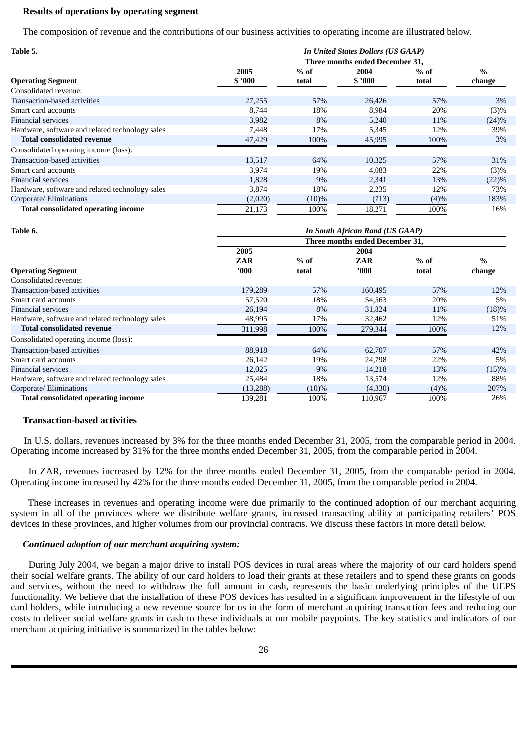#### **Results of operations by operating segment**

The composition of revenue and the contributions of our business activities to operating income are illustrated below.

| Table 5.                                        |         | <b>In United States Dollars (US GAAP)</b><br>Three months ended December 31. |        |        |               |  |  |  |  |
|-------------------------------------------------|---------|------------------------------------------------------------------------------|--------|--------|---------------|--|--|--|--|
|                                                 |         |                                                                              |        |        |               |  |  |  |  |
|                                                 | 2005    | $%$ of                                                                       | 2004   | $%$ of | $\frac{0}{0}$ |  |  |  |  |
| <b>Operating Segment</b>                        | \$'000  | total                                                                        | \$2000 | total  | change        |  |  |  |  |
| Consolidated revenue:                           |         |                                                                              |        |        |               |  |  |  |  |
| Transaction-based activities                    | 27,255  | 57%                                                                          | 26,426 | 57%    | 3%            |  |  |  |  |
| Smart card accounts                             | 8,744   | 18%                                                                          | 8,984  | 20%    | $(3)\%$       |  |  |  |  |
| <b>Financial services</b>                       | 3,982   | 8%                                                                           | 5,240  | 11%    | $(24)\%$      |  |  |  |  |
| Hardware, software and related technology sales | 7,448   | 17%                                                                          | 5,345  | 12%    | 39%           |  |  |  |  |
| <b>Total consolidated revenue</b>               | 47,429  | 100%                                                                         | 45,995 | 100%   | 3%            |  |  |  |  |
| Consolidated operating income (loss):           |         |                                                                              |        |        |               |  |  |  |  |
| Transaction-based activities                    | 13,517  | 64%                                                                          | 10,325 | 57%    | 31%           |  |  |  |  |
| Smart card accounts                             | 3,974   | 19%                                                                          | 4,083  | 22%    | $(3)\%$       |  |  |  |  |
| <b>Financial services</b>                       | 1,828   | 9%                                                                           | 2,341  | 13%    | (22)%         |  |  |  |  |
| Hardware, software and related technology sales | 3,874   | 18%                                                                          | 2,235  | 12%    | 73%           |  |  |  |  |
| Corporate/ Eliminations                         | (2,020) | $(10)\%$                                                                     | (713)  | (4)%   | 183%          |  |  |  |  |
| <b>Total consolidated operating income</b>      | 21,173  | 100%                                                                         | 18,271 | 100%   | 16%           |  |  |  |  |

| Table 6.                                        | <b>In South African Rand (US GAAP)</b> |          |                                 |        |        |  |  |  |  |
|-------------------------------------------------|----------------------------------------|----------|---------------------------------|--------|--------|--|--|--|--|
|                                                 |                                        |          | Three months ended December 31, |        |        |  |  |  |  |
|                                                 | 2005                                   |          |                                 |        |        |  |  |  |  |
|                                                 | <b>ZAR</b>                             | $%$ of   | ZAR                             | $%$ of | $\%$   |  |  |  |  |
| <b>Operating Segment</b>                        | '000                                   | total    | '000                            | total  | change |  |  |  |  |
| Consolidated revenue:                           |                                        |          |                                 |        |        |  |  |  |  |
| Transaction-based activities                    | 179,289                                | 57%      | 160,495                         | 57%    | 12%    |  |  |  |  |
| Smart card accounts                             | 57,520                                 | 18%      | 54,563                          | 20%    | 5%     |  |  |  |  |
| Financial services                              | 26,194                                 | 8%       | 31,824                          | 11%    | (18)%  |  |  |  |  |
| Hardware, software and related technology sales | 48,995                                 | 17%      | 32,462                          | 12%    | 51%    |  |  |  |  |
| <b>Total consolidated revenue</b>               | 311,998                                | 100%     | 279,344                         | 100%   | 12%    |  |  |  |  |
| Consolidated operating income (loss):           |                                        |          |                                 |        |        |  |  |  |  |
| Transaction-based activities                    | 88,918                                 | 64%      | 62,707                          | 57%    | 42%    |  |  |  |  |
| Smart card accounts                             | 26,142                                 | 19%      | 24,798                          | 22%    | 5%     |  |  |  |  |
| Financial services                              | 12,025                                 | 9%       | 14,218                          | 13%    | (15)%  |  |  |  |  |
| Hardware, software and related technology sales | 25,484                                 | 18%      | 13,574                          | 12%    | 88%    |  |  |  |  |
| Corporate/ Eliminations                         | (13,288)                               | $(10)\%$ | (4,330)                         | (4)%   | 207%   |  |  |  |  |
| <b>Total consolidated operating income</b>      | 139,281                                | 100%     | 110,967                         | 100%   | 26%    |  |  |  |  |

#### **Transaction-based activities**

In U.S. dollars, revenues increased by 3% for the three months ended December 31, 2005, from the comparable period in 2004. Operating income increased by 31% for the three months ended December 31, 2005, from the comparable period in 2004.

In ZAR, revenues increased by 12% for the three months ended December 31, 2005, from the comparable period in 2004. Operating income increased by 42% for the three months ended December 31, 2005, from the comparable period in 2004.

These increases in revenues and operating income were due primarily to the continued adoption of our merchant acquiring system in all of the provinces where we distribute welfare grants, increased transacting ability at participating retailers' POS devices in these provinces, and higher volumes from our provincial contracts. We discuss these factors in more detail below.

#### *Continued adoption of our merchant acquiring system:*

During July 2004, we began a major drive to install POS devices in rural areas where the majority of our card holders spend their social welfare grants. The ability of our card holders to load their grants at these retailers and to spend these grants on goods and services, without the need to withdraw the full amount in cash, represents the basic underlying principles of the UEPS functionality. We believe that the installation of these POS devices has resulted in a significant improvement in the lifestyle of our card holders, while introducing a new revenue source for us in the form of merchant acquiring transaction fees and reducing our costs to deliver social welfare grants in cash to these individuals at our mobile paypoints. The key statistics and indicators of our merchant acquiring initiative is summarized in the tables below: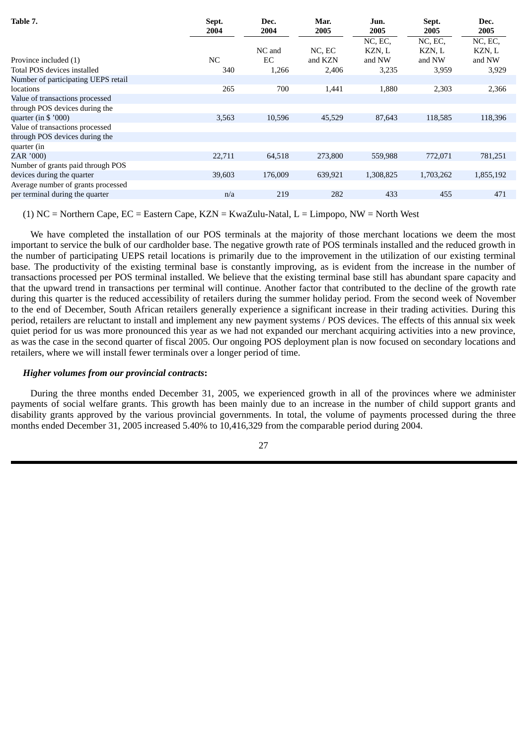| Table 7.                            | Sept.<br>2004 | Dec.<br>2004 | Mar.<br>2005 | Jun.<br>2005 | Sept.<br>2005 | Dec.<br>2005 |
|-------------------------------------|---------------|--------------|--------------|--------------|---------------|--------------|
|                                     |               |              |              | NC, EC,      | NC, EC,       | NC, EC,      |
|                                     |               | NC and       | NC, EC       | KZN, L       | KZN, L        | KZN, L       |
| Province included (1)               | NC            | EC           | and KZN      | and NW       | and NW        | and NW       |
| Total POS devices installed         | 340           | 1,266        | 2,406        | 3,235        | 3,959         | 3,929        |
| Number of participating UEPS retail |               |              |              |              |               |              |
| locations                           | 265           | 700          | 1,441        | 1,880        | 2,303         | 2,366        |
| Value of transactions processed     |               |              |              |              |               |              |
| through POS devices during the      |               |              |              |              |               |              |
| quarter (in $$$ '000)               | 3,563         | 10,596       | 45,529       | 87,643       | 118,585       | 118,396      |
| Value of transactions processed     |               |              |              |              |               |              |
| through POS devices during the      |               |              |              |              |               |              |
| quarter (in                         |               |              |              |              |               |              |
| ZAR '000)                           | 22,711        | 64,518       | 273,800      | 559,988      | 772,071       | 781,251      |
| Number of grants paid through POS   |               |              |              |              |               |              |
| devices during the quarter          | 39,603        | 176,009      | 639,921      | 1,308,825    | 1,703,262     | 1,855,192    |
| Average number of grants processed  |               |              |              |              |               |              |
| per terminal during the quarter     | n/a           | 219          | 282          | 433          | 455           | 471          |

(1) NC = Northern Cape, EC = Eastern Cape, KZN = KwaZulu-Natal, L = Limpopo, NW = North West

We have completed the installation of our POS terminals at the majority of those merchant locations we deem the most important to service the bulk of our cardholder base. The negative growth rate of POS terminals installed and the reduced growth in the number of participating UEPS retail locations is primarily due to the improvement in the utilization of our existing terminal base. The productivity of the existing terminal base is constantly improving, as is evident from the increase in the number of transactions processed per POS terminal installed. We believe that the existing terminal base still has abundant spare capacity and that the upward trend in transactions per terminal will continue. Another factor that contributed to the decline of the growth rate during this quarter is the reduced accessibility of retailers during the summer holiday period. From the second week of November to the end of December, South African retailers generally experience a significant increase in their trading activities. During this period, retailers are reluctant to install and implement any new payment systems / POS devices. The effects of this annual six week quiet period for us was more pronounced this year as we had not expanded our merchant acquiring activities into a new province, as was the case in the second quarter of fiscal 2005. Our ongoing POS deployment plan is now focused on secondary locations and retailers, where we will install fewer terminals over a longer period of time.

### *Higher volumes from our provincial contracts***:**

During the three months ended December 31, 2005, we experienced growth in all of the provinces where we administer payments of social welfare grants. This growth has been mainly due to an increase in the number of child support grants and disability grants approved by the various provincial governments. In total, the volume of payments processed during the three months ended December 31, 2005 increased 5.40% to 10,416,329 from the comparable period during 2004.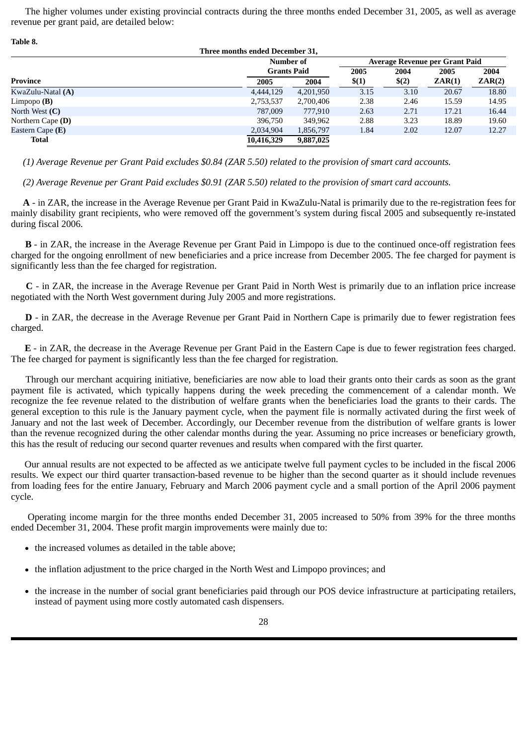The higher volumes under existing provincial contracts during the three months ended December 31, 2005, as well as average revenue per grant paid, are detailed below:

| Table 8.                        |            |                            |                                |       |        |        |  |  |  |
|---------------------------------|------------|----------------------------|--------------------------------|-------|--------|--------|--|--|--|
| Three months ended December 31, |            |                            |                                |       |        |        |  |  |  |
|                                 | Number of  |                            | Average Revenue per Grant Paid |       |        |        |  |  |  |
|                                 |            | <b>Grants Paid</b><br>2005 |                                |       | 2005   | 2004   |  |  |  |
| Province                        | 2005       | 2004                       | \$(1)                          | \$(2) | ZAR(1) | ZAR(2) |  |  |  |
| KwaZulu-Natal (A)               | 4,444,129  | 4,201,950                  | 3.15                           | 3.10  | 20.67  | 18.80  |  |  |  |
| Limpopo $(B)$                   | 2,753,537  | 2,700,406                  | 2.38                           | 2.46  | 15.59  | 14.95  |  |  |  |
| North West $(C)$                | 787,009    | 777,910                    | 2.63                           | 2.71  | 17.21  | 16.44  |  |  |  |
| Northern Cape $(D)$             | 396.750    | 349,962                    | 2.88                           | 3.23  | 18.89  | 19.60  |  |  |  |
| Eastern Cape (E)                | 2,034,904  | 1,856,797                  | 1.84                           | 2.02  | 12.07  | 12.27  |  |  |  |
| Total                           | 10,416,329 | 9,887,025                  |                                |       |        |        |  |  |  |

 *(1) Average Revenue per Grant Paid excludes \$0.84 (ZAR 5.50) related to the provision of smart card accounts.*

 *(2) Average Revenue per Grant Paid excludes \$0.91 (ZAR 5.50) related to the provision of smart card accounts.*

 **A** - in ZAR, the increase in the Average Revenue per Grant Paid in KwaZulu-Natal is primarily due to the re-registration fees for mainly disability grant recipients, who were removed off the government's system during fiscal 2005 and subsequently re-instated during fiscal 2006.

**B** - in ZAR, the increase in the Average Revenue per Grant Paid in Limpopo is due to the continued once-off registration fees charged for the ongoing enrollment of new beneficiaries and a price increase from December 2005. The fee charged for payment is significantly less than the fee charged for registration.

**C** - in ZAR, the increase in the Average Revenue per Grant Paid in North West is primarily due to an inflation price increase negotiated with the North West government during July 2005 and more registrations.

**D** - in ZAR, the decrease in the Average Revenue per Grant Paid in Northern Cape is primarily due to fewer registration fees charged.

**E** - in ZAR, the decrease in the Average Revenue per Grant Paid in the Eastern Cape is due to fewer registration fees charged. The fee charged for payment is significantly less than the fee charged for registration.

Through our merchant acquiring initiative, beneficiaries are now able to load their grants onto their cards as soon as the grant payment file is activated, which typically happens during the week preceding the commencement of a calendar month. We recognize the fee revenue related to the distribution of welfare grants when the beneficiaries load the grants to their cards. The general exception to this rule is the January payment cycle, when the payment file is normally activated during the first week of January and not the last week of December. Accordingly, our December revenue from the distribution of welfare grants is lower than the revenue recognized during the other calendar months during the year. Assuming no price increases or beneficiary growth, this has the result of reducing our second quarter revenues and results when compared with the first quarter.

Our annual results are not expected to be affected as we anticipate twelve full payment cycles to be included in the fiscal 2006 results. We expect our third quarter transaction-based revenue to be higher than the second quarter as it should include revenues from loading fees for the entire January, February and March 2006 payment cycle and a small portion of the April 2006 payment cycle.

Operating income margin for the three months ended December 31, 2005 increased to 50% from 39% for the three months ended December 31, 2004. These profit margin improvements were mainly due to:

- the increased volumes as detailed in the table above;
- the inflation adjustment to the price charged in the North West and Limpopo provinces; and
- the increase in the number of social grant beneficiaries paid through our POS device infrastructure at participating retailers,  $\bullet$ instead of payment using more costly automated cash dispensers.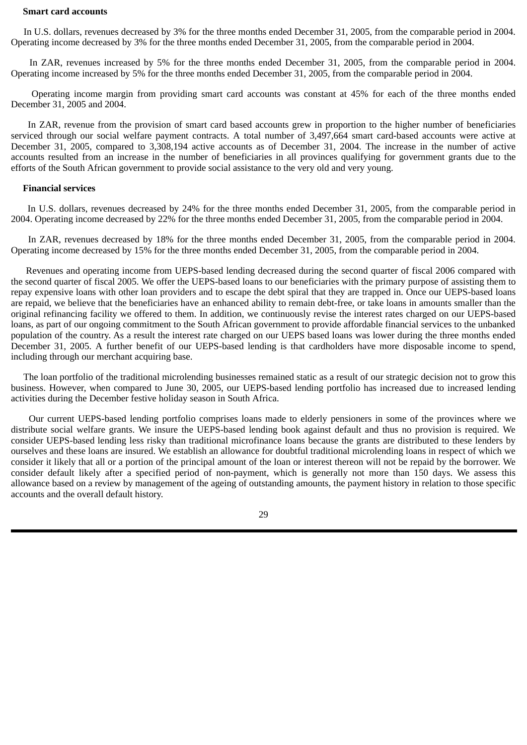#### **Smart card accounts**

In U.S. dollars, revenues decreased by 3% for the three months ended December 31, 2005, from the comparable period in 2004. Operating income decreased by 3% for the three months ended December 31, 2005, from the comparable period in 2004.

In ZAR, revenues increased by 5% for the three months ended December 31, 2005, from the comparable period in 2004. Operating income increased by 5% for the three months ended December 31, 2005, from the comparable period in 2004.

Operating income margin from providing smart card accounts was constant at 45% for each of the three months ended December 31, 2005 and 2004.

In ZAR, revenue from the provision of smart card based accounts grew in proportion to the higher number of beneficiaries serviced through our social welfare payment contracts. A total number of 3,497,664 smart card-based accounts were active at December 31, 2005, compared to 3,308,194 active accounts as of December 31, 2004. The increase in the number of active accounts resulted from an increase in the number of beneficiaries in all provinces qualifying for government grants due to the efforts of the South African government to provide social assistance to the very old and very young.

#### **Financial services**

In U.S. dollars, revenues decreased by 24% for the three months ended December 31, 2005, from the comparable period in 2004. Operating income decreased by 22% for the three months ended December 31, 2005, from the comparable period in 2004.

In ZAR, revenues decreased by 18% for the three months ended December 31, 2005, from the comparable period in 2004. Operating income decreased by 15% for the three months ended December 31, 2005, from the comparable period in 2004.

Revenues and operating income from UEPS-based lending decreased during the second quarter of fiscal 2006 compared with the second quarter of fiscal 2005. We offer the UEPS-based loans to our beneficiaries with the primary purpose of assisting them to repay expensive loans with other loan providers and to escape the debt spiral that they are trapped in. Once our UEPS-based loans are repaid, we believe that the beneficiaries have an enhanced ability to remain debt-free, or take loans in amounts smaller than the original refinancing facility we offered to them. In addition, we continuously revise the interest rates charged on our UEPS-based loans, as part of our ongoing commitment to the South African government to provide affordable financial services to the unbanked population of the country. As a result the interest rate charged on our UEPS based loans was lower during the three months ended December 31, 2005. A further benefit of our UEPS-based lending is that cardholders have more disposable income to spend, including through our merchant acquiring base.

The loan portfolio of the traditional microlending businesses remained static as a result of our strategic decision not to grow this business. However, when compared to June 30, 2005, our UEPS-based lending portfolio has increased due to increased lending activities during the December festive holiday season in South Africa.

Our current UEPS-based lending portfolio comprises loans made to elderly pensioners in some of the provinces where we distribute social welfare grants. We insure the UEPS-based lending book against default and thus no provision is required. We consider UEPS-based lending less risky than traditional microfinance loans because the grants are distributed to these lenders by ourselves and these loans are insured. We establish an allowance for doubtful traditional microlending loans in respect of which we consider it likely that all or a portion of the principal amount of the loan or interest thereon will not be repaid by the borrower. We consider default likely after a specified period of non-payment, which is generally not more than 150 days. We assess this allowance based on a review by management of the ageing of outstanding amounts, the payment history in relation to those specific accounts and the overall default history.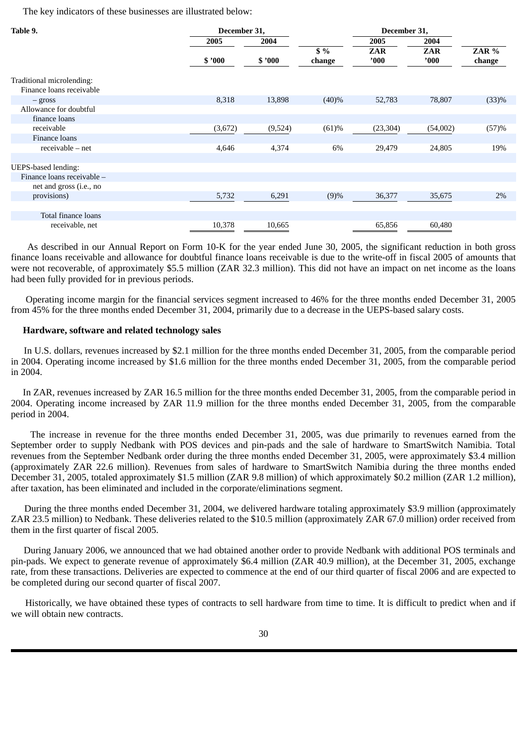The key indicators of these businesses are illustrated below:

| Table 9.<br>December 31,                              |         |         |                  | December 31,       |             |                 |
|-------------------------------------------------------|---------|---------|------------------|--------------------|-------------|-----------------|
|                                                       | 2005    | 2004    |                  | 2005               | 2004        |                 |
|                                                       | \$'000  | \$'000  | $$ \%$<br>change | <b>ZAR</b><br>'000 | ZAR<br>'000 | ZAR %<br>change |
| Traditional microlending:<br>Finance loans receivable |         |         |                  |                    |             |                 |
| $-$ gross                                             | 8,318   | 13,898  | (40)%            | 52,783             | 78,807      | (33)%           |
| Allowance for doubtful                                |         |         |                  |                    |             |                 |
| finance loans                                         |         |         |                  |                    |             |                 |
| receivable                                            | (3,672) | (9,524) | (61)%            | (23, 304)          | (54,002)    | (57)%           |
| Finance loans                                         |         |         |                  |                    |             |                 |
| receivable – net                                      | 4,646   | 4,374   | 6%               | 29,479             | 24,805      | 19%             |
|                                                       |         |         |                  |                    |             |                 |
| <b>UEPS-based lending:</b>                            |         |         |                  |                    |             |                 |
| Finance loans receivable -                            |         |         |                  |                    |             |                 |
| net and gross (i.e., no                               |         |         |                  |                    |             |                 |
| provisions)                                           | 5,732   | 6,291   | (9)%             | 36,377             | 35,675      | 2%              |
|                                                       |         |         |                  |                    |             |                 |
| Total finance loans                                   |         |         |                  |                    |             |                 |
| receivable, net                                       | 10,378  | 10,665  |                  | 65,856             | 60,480      |                 |

As described in our Annual Report on Form 10-K for the year ended June 30, 2005, the significant reduction in both gross finance loans receivable and allowance for doubtful finance loans receivable is due to the write-off in fiscal 2005 of amounts that were not recoverable, of approximately \$5.5 million (ZAR 32.3 million). This did not have an impact on net income as the loans had been fully provided for in previous periods.

Operating income margin for the financial services segment increased to 46% for the three months ended December 31, 2005 from 45% for the three months ended December 31, 2004, primarily due to a decrease in the UEPS-based salary costs.

#### **Hardware, software and related technology sales**

In U.S. dollars, revenues increased by \$2.1 million for the three months ended December 31, 2005, from the comparable period in 2004. Operating income increased by \$1.6 million for the three months ended December 31, 2005, from the comparable period in 2004.

 In ZAR, revenues increased by ZAR 16.5 million for the three months ended December 31, 2005, from the comparable period in 2004. Operating income increased by ZAR 11.9 million for the three months ended December 31, 2005, from the comparable period in 2004.

The increase in revenue for the three months ended December 31, 2005, was due primarily to revenues earned from the September order to supply Nedbank with POS devices and pin-pads and the sale of hardware to SmartSwitch Namibia. Total revenues from the September Nedbank order during the three months ended December 31, 2005, were approximately \$3.4 million (approximately ZAR 22.6 million). Revenues from sales of hardware to SmartSwitch Namibia during the three months ended December 31, 2005, totaled approximately \$1.5 million (ZAR 9.8 million) of which approximately \$0.2 million (ZAR 1.2 million), after taxation, has been eliminated and included in the corporate/eliminations segment.

During the three months ended December 31, 2004, we delivered hardware totaling approximately \$3.9 million (approximately ZAR 23.5 million) to Nedbank. These deliveries related to the \$10.5 million (approximately ZAR 67.0 million) order received from them in the first quarter of fiscal 2005.

During January 2006, we announced that we had obtained another order to provide Nedbank with additional POS terminals and pin-pads. We expect to generate revenue of approximately \$6.4 million (ZAR 40.9 million), at the December 31, 2005, exchange rate, from these transactions. Deliveries are expected to commence at the end of our third quarter of fiscal 2006 and are expected to be completed during our second quarter of fiscal 2007.

Historically, we have obtained these types of contracts to sell hardware from time to time. It is difficult to predict when and if we will obtain new contracts.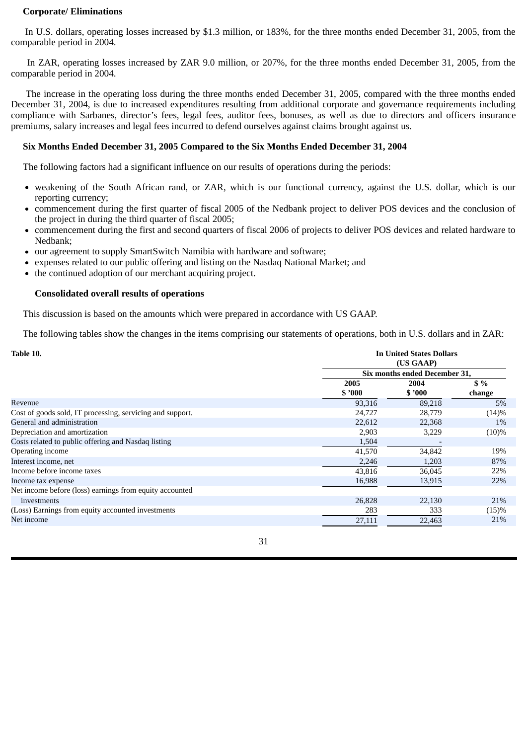### **Corporate/ Eliminations**

In U.S. dollars, operating losses increased by \$1.3 million, or 183%, for the three months ended December 31, 2005, from the comparable period in 2004.

In ZAR, operating losses increased by ZAR 9.0 million, or 207%, for the three months ended December 31, 2005, from the comparable period in 2004.

The increase in the operating loss during the three months ended December 31, 2005, compared with the three months ended December 31, 2004, is due to increased expenditures resulting from additional corporate and governance requirements including compliance with Sarbanes, director's fees, legal fees, auditor fees, bonuses, as well as due to directors and officers insurance premiums, salary increases and legal fees incurred to defend ourselves against claims brought against us.

### **Six Months Ended December 31, 2005 Compared to the Six Months Ended December 31, 2004**

The following factors had a significant influence on our results of operations during the periods:

- weakening of the South African rand, or ZAR, which is our functional currency, against the U.S. dollar, which is our reporting currency;
- commencement during the first quarter of fiscal 2005 of the Nedbank project to deliver POS devices and the conclusion of the project in during the third quarter of fiscal 2005;
- commencement during the first and second quarters of fiscal 2006 of projects to deliver POS devices and related hardware to  $\bullet$ Nedbank;
- our agreement to supply SmartSwitch Namibia with hardware and software;
- expenses related to our public offering and listing on the Nasdaq National Market; and  $\bullet$
- the continued adoption of our merchant acquiring project.  $\bullet$

#### **Consolidated overall results of operations**

This discussion is based on the amounts which were prepared in accordance with US GAAP.

The following tables show the changes in the items comprising our statements of operations, both in U.S. dollars and in ZAR:

| Table 10.                                                 | <b>In United States Dollars</b><br>(US GAAP) |                               |          |  |  |  |
|-----------------------------------------------------------|----------------------------------------------|-------------------------------|----------|--|--|--|
|                                                           |                                              | Six months ended December 31, |          |  |  |  |
|                                                           | 2005                                         | 2004                          | \$%      |  |  |  |
|                                                           | \$3000                                       | \$2000                        | change   |  |  |  |
| Revenue                                                   | 93,316                                       | 89,218                        | 5%       |  |  |  |
| Cost of goods sold, IT processing, servicing and support. | 24,727                                       | 28,779                        | (14)%    |  |  |  |
| General and administration                                | 22,612                                       | 22,368                        | 1%       |  |  |  |
| Depreciation and amortization                             | 2,903                                        | 3,229                         | $(10)\%$ |  |  |  |
| Costs related to public offering and Nasdaq listing       | 1,504                                        |                               |          |  |  |  |
| Operating income                                          | 41,570                                       | 34,842                        | 19%      |  |  |  |
| Interest income, net                                      | 2,246                                        | 1,203                         | 87%      |  |  |  |
| Income before income taxes                                | 43,816                                       | 36,045                        | 22%      |  |  |  |
| Income tax expense                                        | 16,988                                       | 13,915                        | 22%      |  |  |  |
| Net income before (loss) earnings from equity accounted   |                                              |                               |          |  |  |  |
| investments                                               | 26,828                                       | 22,130                        | 21%      |  |  |  |
| (Loss) Earnings from equity accounted investments         | 283                                          | 333                           | (15)%    |  |  |  |
| Net income                                                | 27,111                                       | 22,463                        | 21%      |  |  |  |
|                                                           |                                              |                               |          |  |  |  |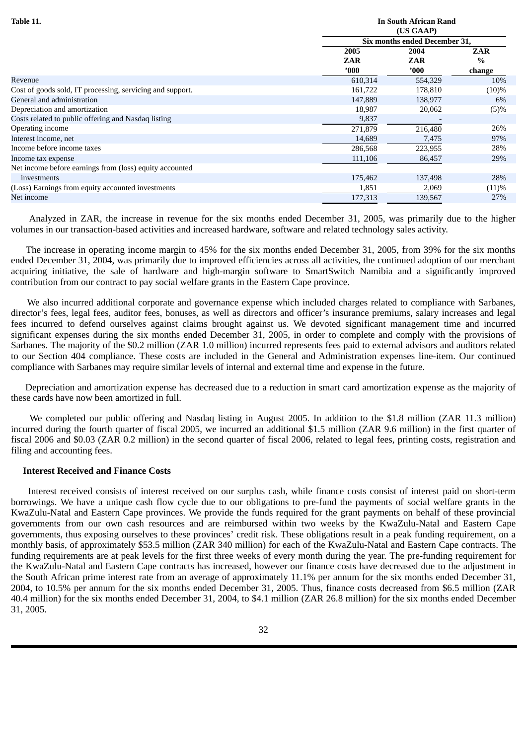| (US GAAP)<br>Six months ended December 31,<br>2005<br><b>ZAR</b><br>2004<br>$\frac{0}{0}$<br>ZAR<br>ZAR<br>'000'<br>'000'<br>change<br>Revenue<br>610,314<br>554,329 |         |
|----------------------------------------------------------------------------------------------------------------------------------------------------------------------|---------|
|                                                                                                                                                                      |         |
|                                                                                                                                                                      |         |
|                                                                                                                                                                      |         |
|                                                                                                                                                                      |         |
|                                                                                                                                                                      |         |
|                                                                                                                                                                      | 10%     |
| Cost of goods sold, IT processing, servicing and support.<br>161,722<br>178,810<br>$(10)\%$                                                                          |         |
| General and administration<br>147,889<br>138,977                                                                                                                     | 6%      |
| Depreciation and amortization<br>18,987<br>20,062                                                                                                                    | $(5)\%$ |
| Costs related to public offering and Nasdaq listing<br>9,837                                                                                                         |         |
| Operating income<br>271,879<br>216,480                                                                                                                               | 26%     |
| Interest income, net<br>14,689<br>7,475                                                                                                                              | 97%     |
| Income before income taxes<br>286,568<br>223,955                                                                                                                     | 28%     |
| 111,106<br>86,457<br>Income tax expense                                                                                                                              | 29%     |
| Net income before earnings from (loss) equity accounted                                                                                                              |         |
| 175,462<br>137,498<br>investments                                                                                                                                    | 28%     |
| (Loss) Earnings from equity accounted investments<br>1,851<br>2,069                                                                                                  | (11)%   |
| Net income<br>177,313<br>139,567                                                                                                                                     | 27%     |

Analyzed in ZAR, the increase in revenue for the six months ended December 31, 2005, was primarily due to the higher volumes in our transaction-based activities and increased hardware, software and related technology sales activity.

The increase in operating income margin to 45% for the six months ended December 31, 2005, from 39% for the six months ended December 31, 2004, was primarily due to improved efficiencies across all activities, the continued adoption of our merchant acquiring initiative, the sale of hardware and high-margin software to SmartSwitch Namibia and a significantly improved contribution from our contract to pay social welfare grants in the Eastern Cape province.

We also incurred additional corporate and governance expense which included charges related to compliance with Sarbanes, director's fees, legal fees, auditor fees, bonuses, as well as directors and officer's insurance premiums, salary increases and legal fees incurred to defend ourselves against claims brought against us. We devoted significant management time and incurred significant expenses during the six months ended December 31, 2005, in order to complete and comply with the provisions of Sarbanes. The majority of the \$0.2 million (ZAR 1.0 million) incurred represents fees paid to external advisors and auditors related to our Section 404 compliance. These costs are included in the General and Administration expenses line-item. Our continued compliance with Sarbanes may require similar levels of internal and external time and expense in the future.

Depreciation and amortization expense has decreased due to a reduction in smart card amortization expense as the majority of these cards have now been amortized in full.

We completed our public offering and Nasdaq listing in August 2005. In addition to the \$1.8 million (ZAR 11.3 million) incurred during the fourth quarter of fiscal 2005, we incurred an additional \$1.5 million (ZAR 9.6 million) in the first quarter of fiscal 2006 and \$0.03 (ZAR 0.2 million) in the second quarter of fiscal 2006, related to legal fees, printing costs, registration and filing and accounting fees.

#### **Interest Received and Finance Costs**

Interest received consists of interest received on our surplus cash, while finance costs consist of interest paid on short-term borrowings. We have a unique cash flow cycle due to our obligations to pre-fund the payments of social welfare grants in the KwaZulu-Natal and Eastern Cape provinces. We provide the funds required for the grant payments on behalf of these provincial governments from our own cash resources and are reimbursed within two weeks by the KwaZulu-Natal and Eastern Cape governments, thus exposing ourselves to these provinces' credit risk. These obligations result in a peak funding requirement, on a monthly basis, of approximately \$53.5 million (ZAR 340 million) for each of the KwaZulu-Natal and Eastern Cape contracts. The funding requirements are at peak levels for the first three weeks of every month during the year. The pre-funding requirement for the KwaZulu-Natal and Eastern Cape contracts has increased, however our finance costs have decreased due to the adjustment in the South African prime interest rate from an average of approximately 11.1% per annum for the six months ended December 31, 2004, to 10.5% per annum for the six months ended December 31, 2005. Thus, finance costs decreased from \$6.5 million (ZAR 40.4 million) for the six months ended December 31, 2004, to \$4.1 million (ZAR 26.8 million) for the six months ended December 31, 2005.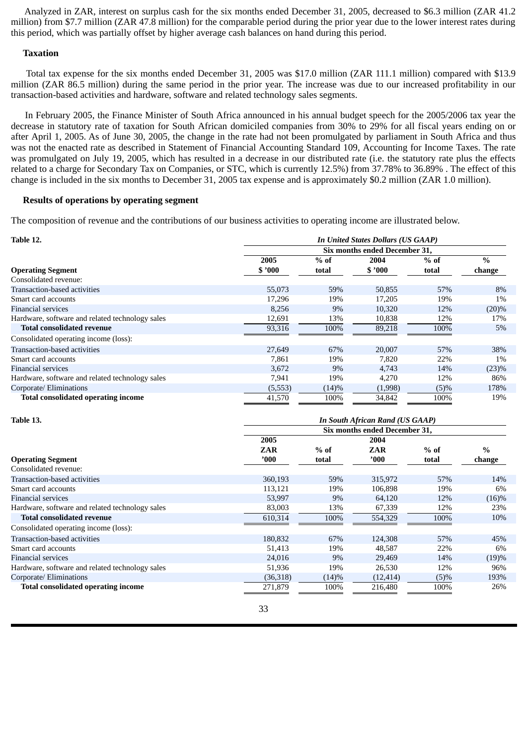Analyzed in ZAR, interest on surplus cash for the six months ended December 31, 2005, decreased to \$6.3 million (ZAR 41.2 million) from \$7.7 million (ZAR 47.8 million) for the comparable period during the prior year due to the lower interest rates during this period, which was partially offset by higher average cash balances on hand during this period.

### **Taxation**

Total tax expense for the six months ended December 31, 2005 was \$17.0 million (ZAR 111.1 million) compared with \$13.9 million (ZAR 86.5 million) during the same period in the prior year. The increase was due to our increased profitability in our transaction-based activities and hardware, software and related technology sales segments.

In February 2005, the Finance Minister of South Africa announced in his annual budget speech for the 2005/2006 tax year the decrease in statutory rate of taxation for South African domiciled companies from 30% to 29% for all fiscal years ending on or after April 1, 2005. As of June 30, 2005, the change in the rate had not been promulgated by parliament in South Africa and thus was not the enacted rate as described in Statement of Financial Accounting Standard 109, Accounting for Income Taxes. The rate was promulgated on July 19, 2005, which has resulted in a decrease in our distributed rate (i.e. the statutory rate plus the effects related to a charge for Secondary Tax on Companies, or STC, which is currently 12.5%) from 37.78% to 36.89% . The effect of this change is included in the six months to December 31, 2005 tax expense and is approximately \$0.2 million (ZAR 1.0 million).

#### **Results of operations by operating segment**

The composition of revenue and the contributions of our business activities to operating income are illustrated below.

| Table 12.                                       |         |        | <b>In United States Dollars (US GAAP)</b> |        |               |
|-------------------------------------------------|---------|--------|-------------------------------------------|--------|---------------|
|                                                 |         |        | Six months ended December 31.             |        |               |
|                                                 | 2005    | $%$ of | 2004                                      | $%$ of | $\frac{0}{0}$ |
| <b>Operating Segment</b>                        | \$'000  | total  | \$'000                                    | total  | change        |
| Consolidated revenue:                           |         |        |                                           |        |               |
| Transaction-based activities                    | 55,073  | 59%    | 50,855                                    | 57%    | 8%            |
| Smart card accounts                             | 17,296  | 19%    | 17,205                                    | 19%    | $1\%$         |
| <b>Financial services</b>                       | 8,256   | 9%     | 10,320                                    | 12%    | $(20)\%$      |
| Hardware, software and related technology sales | 12,691  | 13%    | 10,838                                    | 12%    | 17%           |
| <b>Total consolidated revenue</b>               | 93,316  | 100%   | 89,218                                    | 100%   | 5%            |
| Consolidated operating income (loss):           |         |        |                                           |        |               |
| Transaction-based activities                    | 27,649  | 67%    | 20,007                                    | 57%    | 38%           |
| Smart card accounts                             | 7,861   | 19%    | 7,820                                     | 22%    | $1\%$         |
| <b>Financial services</b>                       | 3.672   | 9%     | 4.743                                     | 14%    | $(23)\%$      |
| Hardware, software and related technology sales | 7,941   | 19%    | 4,270                                     | 12%    | 86%           |
| Corporate/ Eliminations                         | (5,553) | (14)%  | (1,998)                                   | (5)%   | 178%          |
| <b>Total consolidated operating income</b>      | 41,570  | 100%   | 34,842                                    | 100%   | 19%           |

| Table 13.                                       |            |        | <b>In South African Rand (US GAAP)</b> |         |               |
|-------------------------------------------------|------------|--------|----------------------------------------|---------|---------------|
|                                                 |            |        | Six months ended December 31,          |         |               |
|                                                 | 2005       |        | 2004                                   |         |               |
|                                                 | <b>ZAR</b> | $%$ of | ZAR                                    | $%$ of  | $\frac{0}{0}$ |
| <b>Operating Segment</b>                        | '000       | total  | '000'                                  | total   | change        |
| Consolidated revenue:                           |            |        |                                        |         |               |
| Transaction-based activities                    | 360,193    | 59%    | 315,972                                | 57%     | 14%           |
| Smart card accounts                             | 113,121    | 19%    | 106,898                                | 19%     | 6%            |
| Financial services                              | 53,997     | $9\%$  | 64,120                                 | 12%     | (16)%         |
| Hardware, software and related technology sales | 83,003     | 13%    | 67,339                                 | 12%     | 23%           |
| <b>Total consolidated revenue</b>               | 610,314    | 100%   | 554,329                                | 100%    | 10%           |
| Consolidated operating income (loss):           |            |        |                                        |         |               |
| Transaction-based activities                    | 180,832    | 67%    | 124,308                                | 57%     | 45%           |
| Smart card accounts                             | 51,413     | 19%    | 48,587                                 | 22%     | 6%            |
| Financial services                              | 24,016     | $9\%$  | 29,469                                 | 14%     | (19)%         |
| Hardware, software and related technology sales | 51,936     | 19%    | 26,530                                 | 12%     | 96%           |
| Corporate/ Eliminations                         | (36,318)   | (14)%  | (12, 414)                              | $(5)\%$ | 193%          |
| <b>Total consolidated operating income</b>      | 271,879    | 100%   | 216,480                                | 100%    | 26%           |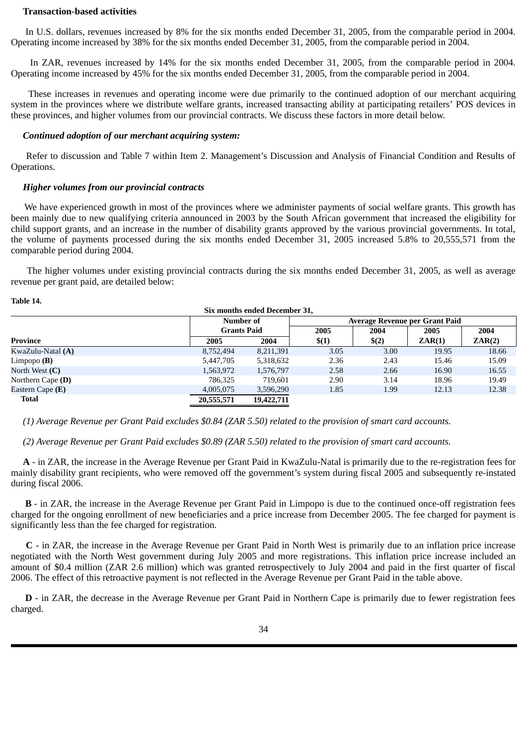#### **Transaction-based activities**

In U.S. dollars, revenues increased by 8% for the six months ended December 31, 2005, from the comparable period in 2004. Operating income increased by 38% for the six months ended December 31, 2005, from the comparable period in 2004.

In ZAR, revenues increased by 14% for the six months ended December 31, 2005, from the comparable period in 2004. Operating income increased by 45% for the six months ended December 31, 2005, from the comparable period in 2004.

These increases in revenues and operating income were due primarily to the continued adoption of our merchant acquiring system in the provinces where we distribute welfare grants, increased transacting ability at participating retailers' POS devices in these provinces, and higher volumes from our provincial contracts. We discuss these factors in more detail below.

#### *Continued adoption of our merchant acquiring system:*

Refer to discussion and Table 7 within Item 2. Management's Discussion and Analysis of Financial Condition and Results of Operations.

#### *Higher volumes from our provincial contracts*

We have experienced growth in most of the provinces where we administer payments of social welfare grants. This growth has been mainly due to new qualifying criteria announced in 2003 by the South African government that increased the eligibility for child support grants, and an increase in the number of disability grants approved by the various provincial governments. In total, the volume of payments processed during the six months ended December 31, 2005 increased 5.8% to 20,555,571 from the comparable period during 2004.

The higher volumes under existing provincial contracts during the six months ended December 31, 2005, as well as average revenue per grant paid, are detailed below:

**Table 14.**

|                   |                    | Six months ended December 31, |       |       |                                |        |
|-------------------|--------------------|-------------------------------|-------|-------|--------------------------------|--------|
|                   | Number of          |                               |       |       | Average Revenue per Grant Paid |        |
|                   | <b>Grants Paid</b> |                               | 2005  | 2004  | 2005                           | 2004   |
| Province          | 2005               | 2004                          | \$(1) | \$(2) | ZAR(1)                         | ZAR(2) |
| KwaZulu-Natal (A) | 8,752,494          | 8,211,391                     | 3.05  | 3.00  | 19.95                          | 18.66  |
| Limpopo $(B)$     | 5,447,705          | 5,318,632                     | 2.36  | 2.43  | 15.46                          | 15.09  |
| North West $(C)$  | 1,563,972          | 1,576,797                     | 2.58  | 2.66  | 16.90                          | 16.55  |
| Northern Cape (D) | 786.325            | 719.601                       | 2.90  | 3.14  | 18.96                          | 19.49  |
| Eastern Cape (E)  | 4,005,075          | 3,596,290                     | 1.85  | 1.99  | 12.13                          | 12.38  |
| <b>Total</b>      | 20,555,571         | 19,422,711                    |       |       |                                |        |

 *(1) Average Revenue per Grant Paid excludes \$0.84 (ZAR 5.50) related to the provision of smart card accounts.*

 *(2) Average Revenue per Grant Paid excludes \$0.89 (ZAR 5.50) related to the provision of smart card accounts.*

 **A** - in ZAR, the increase in the Average Revenue per Grant Paid in KwaZulu-Natal is primarily due to the re-registration fees for mainly disability grant recipients, who were removed off the government's system during fiscal 2005 and subsequently re-instated during fiscal 2006.

**B** - in ZAR, the increase in the Average Revenue per Grant Paid in Limpopo is due to the continued once-off registration fees charged for the ongoing enrollment of new beneficiaries and a price increase from December 2005. The fee charged for payment is significantly less than the fee charged for registration.

**C** - in ZAR, the increase in the Average Revenue per Grant Paid in North West is primarily due to an inflation price increase negotiated with the North West government during July 2005 and more registrations. This inflation price increase included an amount of \$0.4 million (ZAR 2.6 million) which was granted retrospectively to July 2004 and paid in the first quarter of fiscal 2006. The effect of this retroactive payment is not reflected in the Average Revenue per Grant Paid in the table above.

**D** - in ZAR, the decrease in the Average Revenue per Grant Paid in Northern Cape is primarily due to fewer registration fees charged.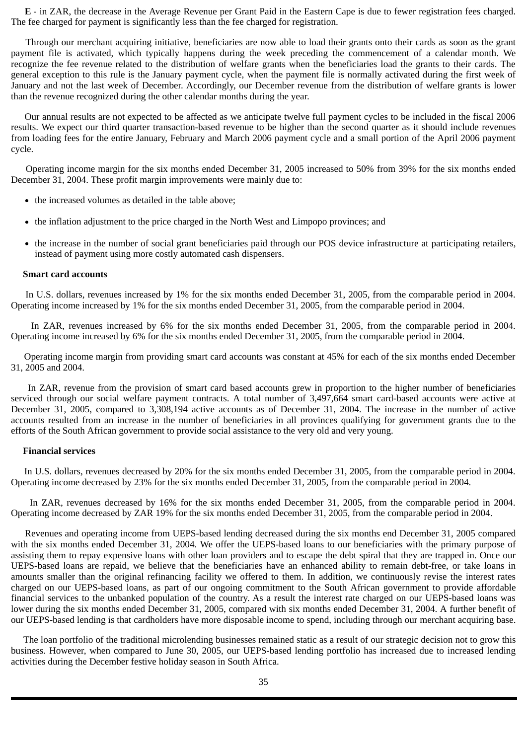**E** - in ZAR, the decrease in the Average Revenue per Grant Paid in the Eastern Cape is due to fewer registration fees charged. The fee charged for payment is significantly less than the fee charged for registration.

Through our merchant acquiring initiative, beneficiaries are now able to load their grants onto their cards as soon as the grant payment file is activated, which typically happens during the week preceding the commencement of a calendar month. We recognize the fee revenue related to the distribution of welfare grants when the beneficiaries load the grants to their cards. The general exception to this rule is the January payment cycle, when the payment file is normally activated during the first week of January and not the last week of December. Accordingly, our December revenue from the distribution of welfare grants is lower than the revenue recognized during the other calendar months during the year.

Our annual results are not expected to be affected as we anticipate twelve full payment cycles to be included in the fiscal 2006 results. We expect our third quarter transaction-based revenue to be higher than the second quarter as it should include revenues from loading fees for the entire January, February and March 2006 payment cycle and a small portion of the April 2006 payment cycle.

Operating income margin for the six months ended December 31, 2005 increased to 50% from 39% for the six months ended December 31, 2004. These profit margin improvements were mainly due to:

- the increased volumes as detailed in the table above;
- the inflation adjustment to the price charged in the North West and Limpopo provinces; and
- the increase in the number of social grant beneficiaries paid through our POS device infrastructure at participating retailers,  $\bullet$ instead of payment using more costly automated cash dispensers.

#### **Smart card accounts**

In U.S. dollars, revenues increased by 1% for the six months ended December 31, 2005, from the comparable period in 2004. Operating income increased by 1% for the six months ended December 31, 2005, from the comparable period in 2004.

In ZAR, revenues increased by 6% for the six months ended December 31, 2005, from the comparable period in 2004. Operating income increased by 6% for the six months ended December 31, 2005, from the comparable period in 2004.

Operating income margin from providing smart card accounts was constant at 45% for each of the six months ended December 31, 2005 and 2004.

In ZAR, revenue from the provision of smart card based accounts grew in proportion to the higher number of beneficiaries serviced through our social welfare payment contracts. A total number of 3,497,664 smart card-based accounts were active at December 31, 2005, compared to 3,308,194 active accounts as of December 31, 2004. The increase in the number of active accounts resulted from an increase in the number of beneficiaries in all provinces qualifying for government grants due to the efforts of the South African government to provide social assistance to the very old and very young.

#### **Financial services**

In U.S. dollars, revenues decreased by 20% for the six months ended December 31, 2005, from the comparable period in 2004. Operating income decreased by 23% for the six months ended December 31, 2005, from the comparable period in 2004.

In ZAR, revenues decreased by 16% for the six months ended December 31, 2005, from the comparable period in 2004. Operating income decreased by ZAR 19% for the six months ended December 31, 2005, from the comparable period in 2004.

Revenues and operating income from UEPS-based lending decreased during the six months end December 31, 2005 compared with the six months ended December 31, 2004. We offer the UEPS-based loans to our beneficiaries with the primary purpose of assisting them to repay expensive loans with other loan providers and to escape the debt spiral that they are trapped in. Once our UEPS-based loans are repaid, we believe that the beneficiaries have an enhanced ability to remain debt-free, or take loans in amounts smaller than the original refinancing facility we offered to them. In addition, we continuously revise the interest rates charged on our UEPS-based loans, as part of our ongoing commitment to the South African government to provide affordable financial services to the unbanked population of the country. As a result the interest rate charged on our UEPS-based loans was lower during the six months ended December 31, 2005, compared with six months ended December 31, 2004. A further benefit of our UEPS-based lending is that cardholders have more disposable income to spend, including through our merchant acquiring base.

The loan portfolio of the traditional microlending businesses remained static as a result of our strategic decision not to grow this business. However, when compared to June 30, 2005, our UEPS-based lending portfolio has increased due to increased lending activities during the December festive holiday season in South Africa.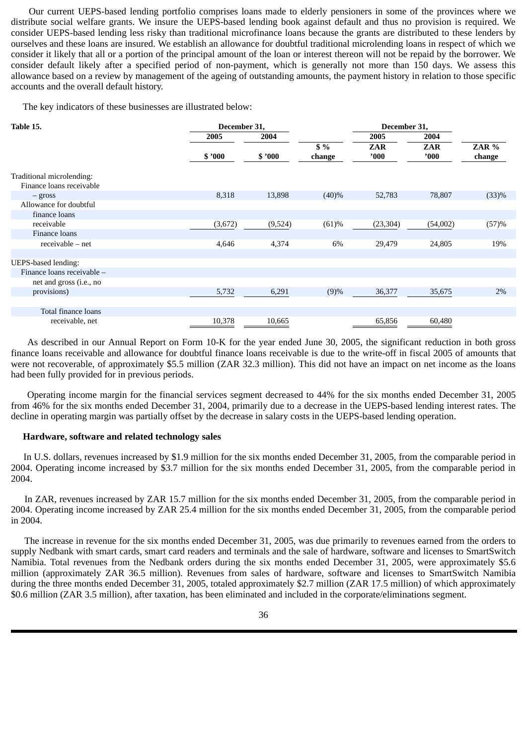Our current UEPS-based lending portfolio comprises loans made to elderly pensioners in some of the provinces where we distribute social welfare grants. We insure the UEPS-based lending book against default and thus no provision is required. We consider UEPS-based lending less risky than traditional microfinance loans because the grants are distributed to these lenders by ourselves and these loans are insured. We establish an allowance for doubtful traditional microlending loans in respect of which we consider it likely that all or a portion of the principal amount of the loan or interest thereon will not be repaid by the borrower. We consider default likely after a specified period of non-payment, which is generally not more than 150 days. We assess this allowance based on a review by management of the ageing of outstanding amounts, the payment history in relation to those specific accounts and the overall default history.

The key indicators of these businesses are illustrated below:

| Table 15.                  | December 31, |         |        | December 31, |            |        |
|----------------------------|--------------|---------|--------|--------------|------------|--------|
|                            | 2005         | 2004    |        | 2005         | 2004       |        |
|                            |              |         | $$ \%$ | <b>ZAR</b>   | <b>ZAR</b> | ZAR %  |
|                            | \$'000       | \$'000  | change | '000         | '000       | change |
| Traditional microlending:  |              |         |        |              |            |        |
| Finance loans receivable   |              |         |        |              |            |        |
| $-$ gross                  | 8,318        | 13,898  | (40)%  | 52,783       | 78,807     | (33)%  |
| Allowance for doubtful     |              |         |        |              |            |        |
| finance loans              |              |         |        |              |            |        |
| receivable                 | (3,672)      | (9,524) | (61)%  | (23, 304)    | (54,002)   | (57)%  |
| Finance loans              |              |         |        |              |            |        |
| $receivable - net$         | 4,646        | 4,374   | 6%     | 29,479       | 24,805     | 19%    |
|                            |              |         |        |              |            |        |
| <b>UEPS-based lending:</b> |              |         |        |              |            |        |
| Finance loans receivable - |              |         |        |              |            |        |
| net and gross (i.e., no    |              |         |        |              |            |        |
| provisions)                | 5,732        | 6,291   | (9)%   | 36,377       | 35,675     | $2\%$  |
|                            |              |         |        |              |            |        |
| Total finance loans        |              |         |        |              |            |        |
| receivable, net            | 10,378       | 10,665  |        | 65,856       | 60,480     |        |

As described in our Annual Report on Form 10-K for the year ended June 30, 2005, the significant reduction in both gross finance loans receivable and allowance for doubtful finance loans receivable is due to the write-off in fiscal 2005 of amounts that were not recoverable, of approximately \$5.5 million (ZAR 32.3 million). This did not have an impact on net income as the loans had been fully provided for in previous periods.

Operating income margin for the financial services segment decreased to 44% for the six months ended December 31, 2005 from 46% for the six months ended December 31, 2004, primarily due to a decrease in the UEPS-based lending interest rates. The decline in operating margin was partially offset by the decrease in salary costs in the UEPS-based lending operation.

#### **Hardware, software and related technology sales**

In U.S. dollars, revenues increased by \$1.9 million for the six months ended December 31, 2005, from the comparable period in 2004. Operating income increased by \$3.7 million for the six months ended December 31, 2005, from the comparable period in 2004.

In ZAR, revenues increased by ZAR 15.7 million for the six months ended December 31, 2005, from the comparable period in 2004. Operating income increased by ZAR 25.4 million for the six months ended December 31, 2005, from the comparable period in 2004.

The increase in revenue for the six months ended December 31, 2005, was due primarily to revenues earned from the orders to supply Nedbank with smart cards, smart card readers and terminals and the sale of hardware, software and licenses to SmartSwitch Namibia. Total revenues from the Nedbank orders during the six months ended December 31, 2005, were approximately \$5.6 million (approximately ZAR 36.5 million). Revenues from sales of hardware, software and licenses to SmartSwitch Namibia during the three months ended December 31, 2005, totaled approximately \$2.7 million (ZAR 17.5 million) of which approximately \$0.6 million (ZAR 3.5 million), after taxation, has been eliminated and included in the corporate/eliminations segment.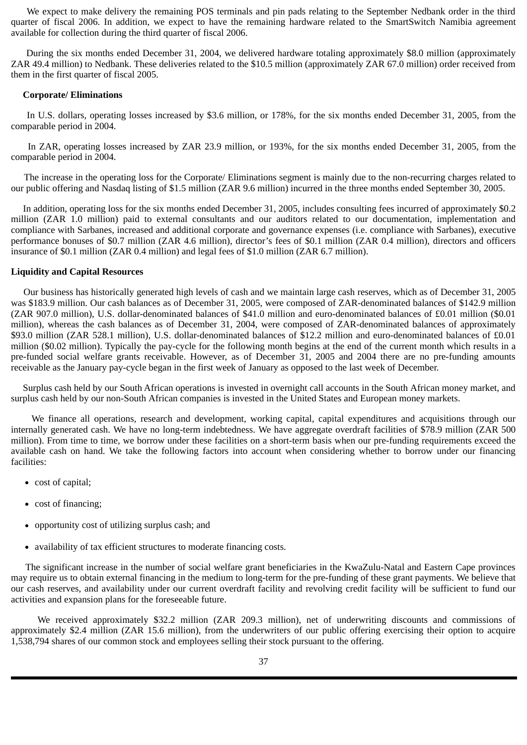We expect to make delivery the remaining POS terminals and pin pads relating to the September Nedbank order in the third quarter of fiscal 2006. In addition, we expect to have the remaining hardware related to the SmartSwitch Namibia agreement available for collection during the third quarter of fiscal 2006.

During the six months ended December 31, 2004, we delivered hardware totaling approximately \$8.0 million (approximately ZAR 49.4 million) to Nedbank. These deliveries related to the \$10.5 million (approximately ZAR 67.0 million) order received from them in the first quarter of fiscal 2005.

#### **Corporate/ Eliminations**

In U.S. dollars, operating losses increased by \$3.6 million, or 178%, for the six months ended December 31, 2005, from the comparable period in 2004.

In ZAR, operating losses increased by ZAR 23.9 million, or 193%, for the six months ended December 31, 2005, from the comparable period in 2004.

The increase in the operating loss for the Corporate/ Eliminations segment is mainly due to the non-recurring charges related to our public offering and Nasdaq listing of \$1.5 million (ZAR 9.6 million) incurred in the three months ended September 30, 2005.

In addition, operating loss for the six months ended December 31, 2005, includes consulting fees incurred of approximately \$0.2 million (ZAR 1.0 million) paid to external consultants and our auditors related to our documentation, implementation and compliance with Sarbanes, increased and additional corporate and governance expenses (i.e. compliance with Sarbanes), executive performance bonuses of \$0.7 million (ZAR 4.6 million), director's fees of \$0.1 million (ZAR 0.4 million), directors and officers insurance of \$0.1 million (ZAR 0.4 million) and legal fees of \$1.0 million (ZAR 6.7 million).

### **Liquidity and Capital Resources**

Our business has historically generated high levels of cash and we maintain large cash reserves, which as of December 31, 2005 was \$183.9 million. Our cash balances as of December 31, 2005, were composed of ZAR-denominated balances of \$142.9 million (ZAR 907.0 million), U.S. dollar-denominated balances of \$41.0 million and euro-denominated balances of £0.01 million (\$0.01 million), whereas the cash balances as of December 31, 2004, were composed of ZAR-denominated balances of approximately \$93.0 million (ZAR 528.1 million), U.S. dollar-denominated balances of \$12.2 million and euro-denominated balances of £0.01 million (\$0.02 million). Typically the pay-cycle for the following month begins at the end of the current month which results in a pre-funded social welfare grants receivable. However, as of December 31, 2005 and 2004 there are no pre-funding amounts receivable as the January pay-cycle began in the first week of January as opposed to the last week of December.

 Surplus cash held by our South African operations is invested in overnight call accounts in the South African money market, and surplus cash held by our non-South African companies is invested in the United States and European money markets.

We finance all operations, research and development, working capital, capital expenditures and acquisitions through our internally generated cash. We have no long-term indebtedness. We have aggregate overdraft facilities of \$78.9 million (ZAR 500 million). From time to time, we borrow under these facilities on a short-term basis when our pre-funding requirements exceed the available cash on hand. We take the following factors into account when considering whether to borrow under our financing facilities:

- cost of capital;
- cost of financing;
- $\bullet$ opportunity cost of utilizing surplus cash; and
- availability of tax efficient structures to moderate financing costs.

The significant increase in the number of social welfare grant beneficiaries in the KwaZulu-Natal and Eastern Cape provinces may require us to obtain external financing in the medium to long-term for the pre-funding of these grant payments. We believe that our cash reserves, and availability under our current overdraft facility and revolving credit facility will be sufficient to fund our activities and expansion plans for the foreseeable future.

We received approximately \$32.2 million (ZAR 209.3 million), net of underwriting discounts and commissions of approximately \$2.4 million (ZAR 15.6 million), from the underwriters of our public offering exercising their option to acquire 1,538,794 shares of our common stock and employees selling their stock pursuant to the offering.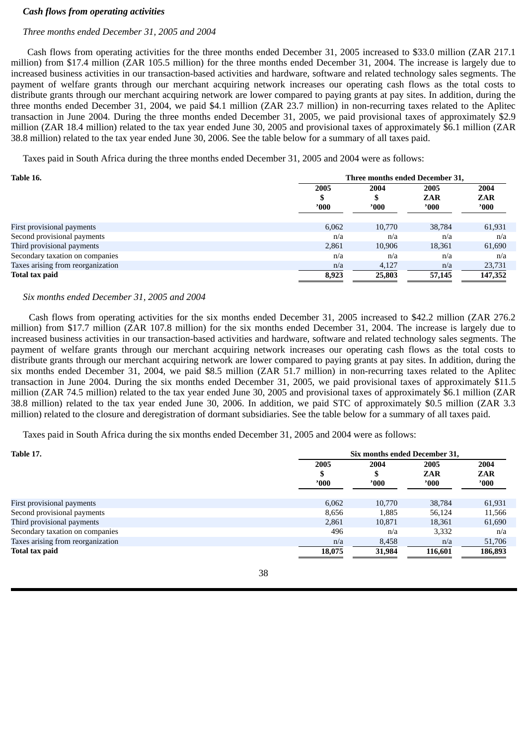#### *Cash flows from operating activities*

### *Three months ended December 31, 2005 and 2004*

Cash flows from operating activities for the three months ended December 31, 2005 increased to \$33.0 million (ZAR 217.1 million) from \$17.4 million (ZAR 105.5 million) for the three months ended December 31, 2004. The increase is largely due to increased business activities in our transaction-based activities and hardware, software and related technology sales segments. The payment of welfare grants through our merchant acquiring network increases our operating cash flows as the total costs to distribute grants through our merchant acquiring network are lower compared to paying grants at pay sites. In addition, during the three months ended December 31, 2004, we paid \$4.1 million (ZAR 23.7 million) in non-recurring taxes related to the Aplitec transaction in June 2004. During the three months ended December 31, 2005, we paid provisional taxes of approximately \$2.9 million (ZAR 18.4 million) related to the tax year ended June 30, 2005 and provisional taxes of approximately \$6.1 million (ZAR 38.8 million) related to the tax year ended June 30, 2006. See the table below for a summary of all taxes paid.

Taxes paid in South Africa during the three months ended December 31, 2005 and 2004 were as follows:

| Table 16.                         | Three months ended December 31, |        |                |            |
|-----------------------------------|---------------------------------|--------|----------------|------------|
|                                   | 2005                            | 2004   | 2005           | 2004       |
|                                   | \$                              | D      | <b>ZAR</b>     | <b>ZAR</b> |
|                                   | '000                            | '000'  | $^{\prime}000$ | '000'      |
|                                   |                                 |        |                |            |
| First provisional payments        | 6,062                           | 10,770 | 38,784         | 61,931     |
| Second provisional payments       | n/a                             | n/a    | n/a            | n/a        |
| Third provisional payments        | 2,861                           | 10,906 | 18,361         | 61,690     |
| Secondary taxation on companies   | n/a                             | n/a    | n/a            | n/a        |
| Taxes arising from reorganization | n/a                             | 4,127  | n/a            | 23,731     |
| Total tax paid                    | 8,923                           | 25,803 | 57,145         | 147,352    |

### *Six months ended December 31, 2005 and 2004*

Cash flows from operating activities for the six months ended December 31, 2005 increased to \$42.2 million (ZAR 276.2 million) from \$17.7 million (ZAR 107.8 million) for the six months ended December 31, 2004. The increase is largely due to increased business activities in our transaction-based activities and hardware, software and related technology sales segments. The payment of welfare grants through our merchant acquiring network increases our operating cash flows as the total costs to distribute grants through our merchant acquiring network are lower compared to paying grants at pay sites. In addition, during the six months ended December 31, 2004, we paid \$8.5 million (ZAR 51.7 million) in non-recurring taxes related to the Aplitec transaction in June 2004. During the six months ended December 31, 2005, we paid provisional taxes of approximately \$11.5 million (ZAR 74.5 million) related to the tax year ended June 30, 2005 and provisional taxes of approximately \$6.1 million (ZAR 38.8 million) related to the tax year ended June 30, 2006. In addition, we paid STC of approximately \$0.5 million (ZAR 3.3 million) related to the closure and deregistration of dormant subsidiaries. See the table below for a summary of all taxes paid.

Taxes paid in South Africa during the six months ended December 31, 2005 and 2004 were as follows:

| <b>Table 17.</b>                  |        | Six months ended December 31, |            |                |
|-----------------------------------|--------|-------------------------------|------------|----------------|
|                                   | 2005   | 2004                          | 2005       | 2004           |
|                                   | S      | J.                            | <b>ZAR</b> | <b>ZAR</b>     |
|                                   | '000'  | '000'                         | '000'      | $^{\prime}000$ |
| First provisional payments        | 6.062  | 10,770                        | 38,784     | 61,931         |
| Second provisional payments       | 8,656  | 1,885                         | 56.124     | 11,566         |
| Third provisional payments        | 2,861  | 10,871                        | 18,361     | 61,690         |
| Secondary taxation on companies   | 496    | n/a                           | 3,332      | n/a            |
| Taxes arising from reorganization | n/a    | 8,458                         | n/a        | 51,706         |
| <b>Total tax paid</b>             | 18,075 | 31,984                        | 116,601    | 186,893        |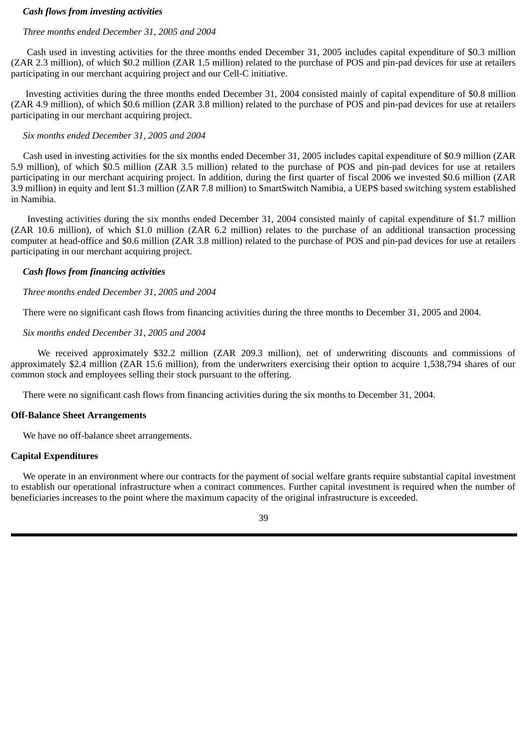### *Cash flows from investing activities*

### *Three months ended December 31, 2005 and 2004*

Cash used in investing activities for the three months ended December 31, 2005 includes capital expenditure of \$0.3 million (ZAR 2.3 million), of which \$0.2 million (ZAR 1.5 million) related to the purchase of POS and pin-pad devices for use at retailers participating in our merchant acquiring project and our Cell-C initiative.

Investing activities during the three months ended December 31, 2004 consisted mainly of capital expenditure of \$0.8 million (ZAR 4.9 million), of which \$0.6 million (ZAR 3.8 million) related to the purchase of POS and pin-pad devices for use at retailers participating in our merchant acquiring project.

### *Six months ended December 31, 2005 and 2004*

Cash used in investing activities for the six months ended December 31, 2005 includes capital expenditure of \$0.9 million (ZAR 5.9 million), of which \$0.5 million (ZAR 3.5 million) related to the purchase of POS and pin-pad devices for use at retailers participating in our merchant acquiring project. In addition, during the first quarter of fiscal 2006 we invested \$0.6 million (ZAR 3.9 million) in equity and lent \$1.3 million (ZAR 7.8 million) to SmartSwitch Namibia, a UEPS based switching system established in Namibia.

Investing activities during the six months ended December 31, 2004 consisted mainly of capital expenditure of \$1.7 million (ZAR 10.6 million), of which \$1.0 million (ZAR 6.2 million) relates to the purchase of an additional transaction processing computer at head-office and \$0.6 million (ZAR 3.8 million) related to the purchase of POS and pin-pad devices for use at retailers participating in our merchant acquiring project.

### *Cash flows from financing activities*

### *Three months ended December 31, 2005 and 2004*

There were no significant cash flows from financing activities during the three months to December 31, 2005 and 2004.

### *Six months ended December 31, 2005 and 2004*

We received approximately \$32.2 million (ZAR 209.3 million), net of underwriting discounts and commissions of approximately \$2.4 million (ZAR 15.6 million), from the underwriters exercising their option to acquire 1,538,794 shares of our common stock and employees selling their stock pursuant to the offering.

There were no significant cash flows from financing activities during the six months to December 31, 2004.

#### **Off-Balance Sheet Arrangements**

We have no off-balance sheet arrangements.

### **Capital Expenditures**

We operate in an environment where our contracts for the payment of social welfare grants require substantial capital investment to establish our operational infrastructure when a contract commences. Further capital investment is required when the number of beneficiaries increases to the point where the maximum capacity of the original infrastructure is exceeded.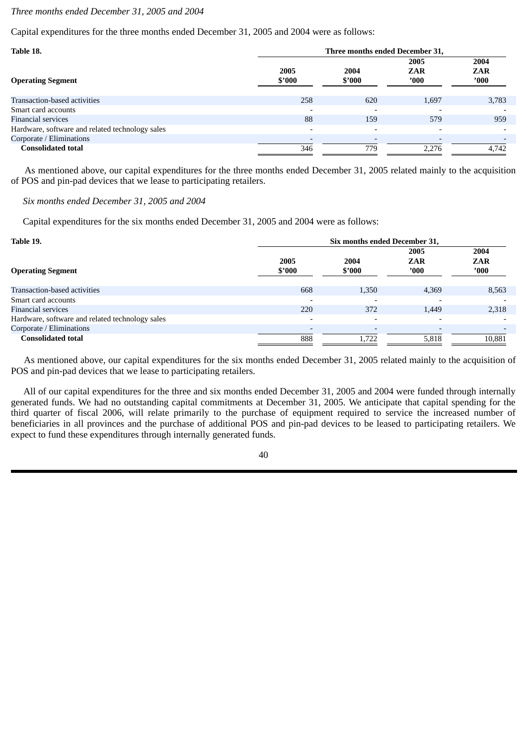### *Three months ended December 31, 2005 and 2004*

Capital expenditures for the three months ended December 31, 2005 and 2004 were as follows:

| Table 18.                                       |                          | Three months ended December 31, |                            |                             |
|-------------------------------------------------|--------------------------|---------------------------------|----------------------------|-----------------------------|
| <b>Operating Segment</b>                        | 2005<br>\$'000           | 2004<br>\$'000                  | 2005<br><b>ZAR</b><br>'000 | 2004<br><b>ZAR</b><br>'000' |
| Transaction-based activities                    | 258                      | 620                             | 1,697                      | 3,783                       |
| Smart card accounts                             |                          | $\overline{\phantom{0}}$        | $\overline{\phantom{a}}$   |                             |
| Financial services                              | 88                       | 159                             | 579                        | 959                         |
| Hardware, software and related technology sales | $\overline{\phantom{0}}$ | $\overline{\phantom{0}}$        | $\overline{\phantom{0}}$   |                             |
| Corporate / Eliminations                        |                          | $\overline{\phantom{0}}$        | $\overline{\phantom{a}}$   |                             |
| <b>Consolidated total</b>                       | 346                      | 779                             | 2.276                      | 4,742                       |

As mentioned above, our capital expenditures for the three months ended December 31, 2005 related mainly to the acquisition of POS and pin-pad devices that we lease to participating retailers.

 *Six months ended December 31, 2005 and 2004*

Capital expenditures for the six months ended December 31, 2005 and 2004 were as follows:

| Table 19.                                       |                | Six months ended December 31, |                            |                             |
|-------------------------------------------------|----------------|-------------------------------|----------------------------|-----------------------------|
| <b>Operating Segment</b>                        | 2005<br>\$'000 | 2004<br>\$2000                | 2005<br><b>ZAR</b><br>'000 | 2004<br><b>ZAR</b><br>'000' |
| Transaction-based activities                    | 668            | 1,350                         | 4,369                      | 8,563                       |
| Smart card accounts                             |                | $\overline{\phantom{a}}$      |                            |                             |
| <b>Financial services</b>                       | 220            | 372                           | 1,449                      | 2,318                       |
| Hardware, software and related technology sales |                | $\overline{\phantom{a}}$      |                            |                             |
| Corporate / Eliminations                        |                |                               |                            |                             |
| <b>Consolidated total</b>                       | 888            | 1.722                         | 5.818                      | 10,881                      |

As mentioned above, our capital expenditures for the six months ended December 31, 2005 related mainly to the acquisition of POS and pin-pad devices that we lease to participating retailers.

All of our capital expenditures for the three and six months ended December 31, 2005 and 2004 were funded through internally generated funds. We had no outstanding capital commitments at December 31, 2005. We anticipate that capital spending for the third quarter of fiscal 2006, will relate primarily to the purchase of equipment required to service the increased number of beneficiaries in all provinces and the purchase of additional POS and pin-pad devices to be leased to participating retailers. We expect to fund these expenditures through internally generated funds.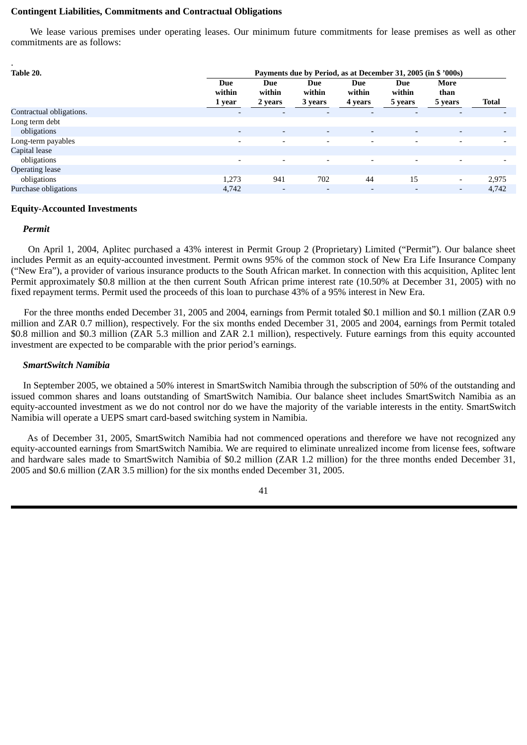### **Contingent Liabilities, Commitments and Contractual Obligations**

We lease various premises under operating leases. Our minimum future commitments for lease premises as well as other commitments are as follows:

| $\bullet$<br>Table 20.   |                          |                          | Payments due by Period, as at December 31, 2005 (in \$ '000s) |                                 |                                 |                          |                          |
|--------------------------|--------------------------|--------------------------|---------------------------------------------------------------|---------------------------------|---------------------------------|--------------------------|--------------------------|
|                          | Due<br>within<br>1 year  | Due<br>within<br>2 years | <b>Due</b><br>within<br>3 years                               | <b>Due</b><br>within<br>4 years | <b>Due</b><br>within<br>5 years | More<br>than<br>5 years  | Total                    |
| Contractual obligations. | $\overline{\phantom{a}}$ | $\overline{\phantom{a}}$ | $\overline{\phantom{a}}$                                      |                                 | $\overline{\phantom{a}}$        | $\overline{\phantom{0}}$ |                          |
| Long term debt           |                          |                          |                                                               |                                 |                                 |                          |                          |
| obligations              | $\overline{\phantom{a}}$ | $\overline{\phantom{a}}$ | $\overline{\phantom{a}}$                                      | ۰.                              | $\overline{\phantom{a}}$        | -                        | $\overline{\phantom{0}}$ |
| Long-term payables       | ۰.                       | $\overline{\phantom{0}}$ | $\overline{\phantom{0}}$                                      | -                               | $\overline{\phantom{a}}$        |                          |                          |
| Capital lease            |                          |                          |                                                               |                                 |                                 |                          |                          |
| obligations              | $\overline{\phantom{0}}$ | $\overline{\phantom{a}}$ | $\overline{\phantom{0}}$                                      |                                 | $\overline{\phantom{a}}$        |                          |                          |
| <b>Operating lease</b>   |                          |                          |                                                               |                                 |                                 |                          |                          |
| obligations              | 1,273                    | 941                      | 702                                                           | 44                              | 15                              | Ξ.                       | 2,975                    |
| Purchase obligations     | 4,742                    | $\overline{\phantom{a}}$ | $\overline{\phantom{a}}$                                      |                                 | $\overline{\phantom{a}}$        | -                        | 4,742                    |

#### **Equity-Accounted Investments**

#### *Permit*

On April 1, 2004, Aplitec purchased a 43% interest in Permit Group 2 (Proprietary) Limited ("Permit"). Our balance sheet includes Permit as an equity-accounted investment. Permit owns 95% of the common stock of New Era Life Insurance Company ("New Era"), a provider of various insurance products to the South African market. In connection with this acquisition, Aplitec lent Permit approximately \$0.8 million at the then current South African prime interest rate (10.50% at December 31, 2005) with no fixed repayment terms. Permit used the proceeds of this loan to purchase 43% of a 95% interest in New Era.

For the three months ended December 31, 2005 and 2004, earnings from Permit totaled \$0.1 million and \$0.1 million (ZAR 0.9 million and ZAR 0.7 million), respectively. For the six months ended December 31, 2005 and 2004, earnings from Permit totaled \$0.8 million and \$0.3 million (ZAR 5.3 million and ZAR 2.1 million), respectively. Future earnings from this equity accounted investment are expected to be comparable with the prior period's earnings.

#### *SmartSwitch Namibia*

In September 2005, we obtained a 50% interest in SmartSwitch Namibia through the subscription of 50% of the outstanding and issued common shares and loans outstanding of SmartSwitch Namibia. Our balance sheet includes SmartSwitch Namibia as an equity-accounted investment as we do not control nor do we have the majority of the variable interests in the entity. SmartSwitch Namibia will operate a UEPS smart card-based switching system in Namibia.

As of December 31, 2005, SmartSwitch Namibia had not commenced operations and therefore we have not recognized any equity-accounted earnings from SmartSwitch Namibia. We are required to eliminate unrealized income from license fees, software and hardware sales made to SmartSwitch Namibia of \$0.2 million (ZAR 1.2 million) for the three months ended December 31, 2005 and \$0.6 million (ZAR 3.5 million) for the six months ended December 31, 2005.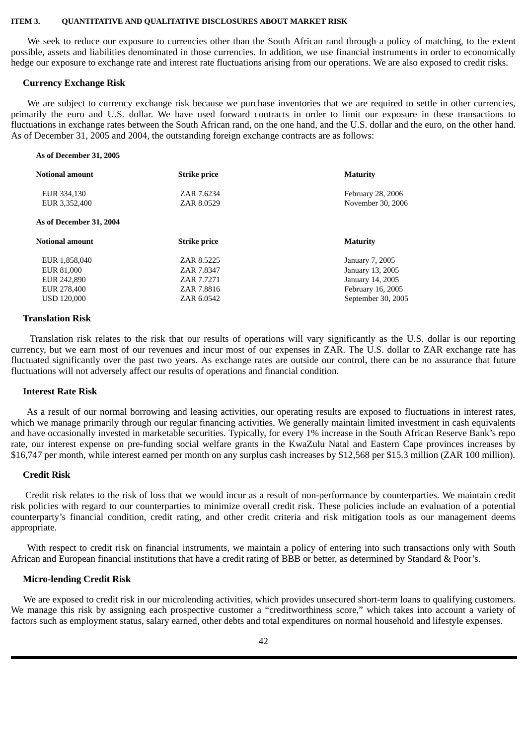#### <span id="page-42-0"></span>**ITEM 3. QUANTITATIVE AND QUALITATIVE DISCLOSURES ABOUT MARKET RISK**

We seek to reduce our exposure to currencies other than the South African rand through a policy of matching, to the extent possible, assets and liabilities denominated in those currencies. In addition, we use financial instruments in order to economically hedge our exposure to exchange rate and interest rate fluctuations arising from our operations. We are also exposed to credit risks.

#### **Currency Exchange Risk**

We are subject to currency exchange risk because we purchase inventories that we are required to settle in other currencies, primarily the euro and U.S. dollar. We have used forward contracts in order to limit our exposure in these transactions to fluctuations in exchange rates between the South African rand, on the one hand, and the U.S. dollar and the euro, on the other hand. As of December 31, 2005 and 2004, the outstanding foreign exchange contracts are as follows:

#### **As of December 31, 2005**

| <b>Notional amount</b>       | <b>Strike price</b>      | <b>Maturity</b>                        |
|------------------------------|--------------------------|----------------------------------------|
| EUR 334,130<br>EUR 3,352,400 | ZAR 7.6234<br>ZAR 8.0529 | February 28, 2006<br>November 30, 2006 |
| As of December 31, 2004      |                          |                                        |
|                              |                          |                                        |
| <b>Notional amount</b>       | <b>Strike price</b>      | <b>Maturity</b>                        |
| EUR 1,858,040                | ZAR 8.5225               | January 7, 2005                        |
| EUR 81,000                   | ZAR 7.8347               | January 13, 2005                       |
| EUR 242,890                  | ZAR 7.7271               | January 14, 2005                       |
| EUR 278,400                  | ZAR 7.8816               | February 16, 2005                      |

#### **Translation Risk**

Translation risk relates to the risk that our results of operations will vary significantly as the U.S. dollar is our reporting currency, but we earn most of our revenues and incur most of our expenses in ZAR. The U.S. dollar to ZAR exchange rate has fluctuated significantly over the past two years. As exchange rates are outside our control, there can be no assurance that future fluctuations will not adversely affect our results of operations and financial condition.

#### **Interest Rate Risk**

As a result of our normal borrowing and leasing activities, our operating results are exposed to fluctuations in interest rates, which we manage primarily through our regular financing activities. We generally maintain limited investment in cash equivalents and have occasionally invested in marketable securities. Typically, for every 1% increase in the South African Reserve Bank's repo rate, our interest expense on pre-funding social welfare grants in the KwaZulu Natal and Eastern Cape provinces increases by \$16,747 per month, while interest earned per month on any surplus cash increases by \$12,568 per \$15.3 million (ZAR 100 million).

#### **Credit Risk**

Credit risk relates to the risk of loss that we would incur as a result of non-performance by counterparties. We maintain credit risk policies with regard to our counterparties to minimize overall credit risk. These policies include an evaluation of a potential counterparty's financial condition, credit rating, and other credit criteria and risk mitigation tools as our management deems appropriate.

With respect to credit risk on financial instruments, we maintain a policy of entering into such transactions only with South African and European financial institutions that have a credit rating of BBB or better, as determined by Standard & Poor's.

#### **Micro-lending Credit Risk**

We are exposed to credit risk in our microlending activities, which provides unsecured short-term loans to qualifying customers. We manage this risk by assigning each prospective customer a "creditworthiness score," which takes into account a variety of factors such as employment status, salary earned, other debts and total expenditures on normal household and lifestyle expenses.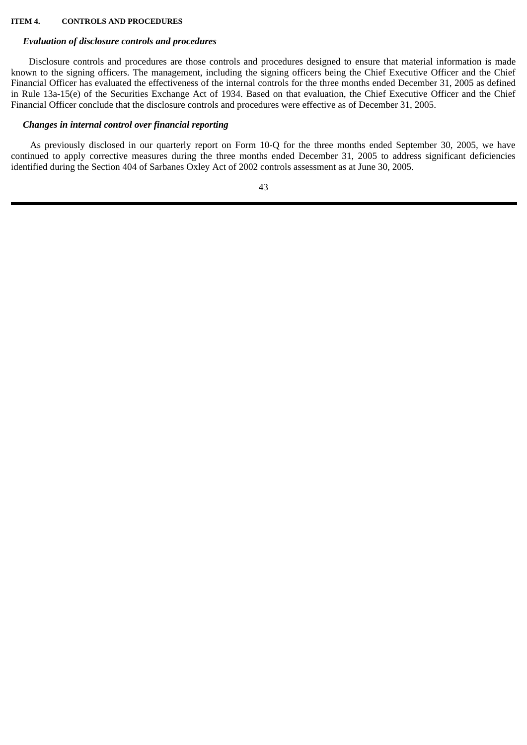#### <span id="page-43-0"></span>**ITEM 4. CONTROLS AND PROCEDURES**

#### *Evaluation of disclosure controls and procedures*

Disclosure controls and procedures are those controls and procedures designed to ensure that material information is made known to the signing officers. The management, including the signing officers being the Chief Executive Officer and the Chief Financial Officer has evaluated the effectiveness of the internal controls for the three months ended December 31, 2005 as defined in Rule 13a-15(e) of the Securities Exchange Act of 1934. Based on that evaluation, the Chief Executive Officer and the Chief Financial Officer conclude that the disclosure controls and procedures were effective as of December 31, 2005.

### *Changes in internal control over financial reporting*

As previously disclosed in our quarterly report on Form 10-Q for the three months ended September 30, 2005, we have continued to apply corrective measures during the three months ended December 31, 2005 to address significant deficiencies identified during the Section 404 of Sarbanes Oxley Act of 2002 controls assessment as at June 30, 2005.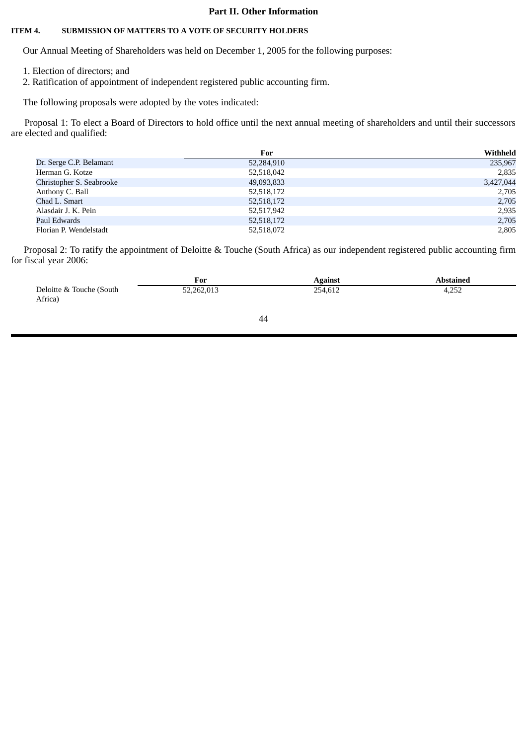### **Part II. Other Information**

#### <span id="page-44-0"></span>**ITEM 4. SUBMISSION OF MATTERS TO A VOTE OF SECURITY HOLDERS**

Our Annual Meeting of Shareholders was held on December 1, 2005 for the following purposes:

- 1. Election of directors; and
- 2. Ratification of appointment of independent registered public accounting firm.

The following proposals were adopted by the votes indicated:

Proposal 1: To elect a Board of Directors to hold office until the next annual meeting of shareholders and until their successors are elected and qualified:

|                          | For        | Withheld  |
|--------------------------|------------|-----------|
| Dr. Serge C.P. Belamant  | 52,284,910 | 235,967   |
| Herman G. Kotze          | 52,518,042 | 2,835     |
| Christopher S. Seabrooke | 49,093,833 | 3,427,044 |
| Anthony C. Ball          | 52,518,172 | 2,705     |
| Chad L. Smart            | 52,518,172 | 2,705     |
| Alasdair J. K. Pein      | 52,517,942 | 2,935     |
| Paul Edwards             | 52,518,172 | 2,705     |
| Florian P. Wendelstadt   | 52,518,072 | 2,805     |

Proposal 2: To ratify the appointment of Deloitte & Touche (South Africa) as our independent registered public accounting firm for fiscal year 2006:

|                                     | For        | Against | Abstained     |
|-------------------------------------|------------|---------|---------------|
| Deloitte & Touche (South<br>Africa) | 52.262.013 | 254,612 | ים כ<br>4,∠⊃∠ |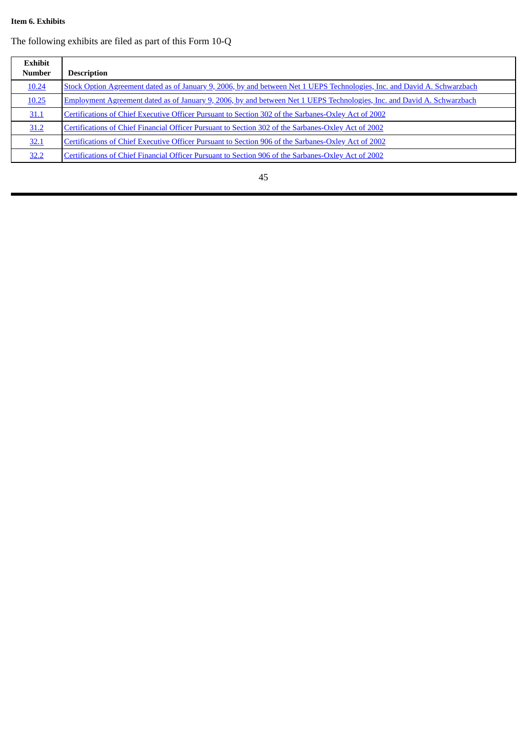### <span id="page-45-0"></span>**Item 6. Exhibits**

The following exhibits are filed as part of this Form 10-Q

| Exhibit<br><b>Number</b> | <b>Description</b>                                                                                                        |
|--------------------------|---------------------------------------------------------------------------------------------------------------------------|
| 10.24                    | Stock Option Agreement dated as of January 9, 2006, by and between Net 1 UEPS Technologies, Inc. and David A. Schwarzbach |
| 10.25                    | Employment Agreement dated as of January 9, 2006, by and between Net 1 UEPS Technologies, Inc. and David A. Schwarzbach   |
| 31.1                     | Certifications of Chief Executive Officer Pursuant to Section 302 of the Sarbanes-Oxley Act of 2002                       |
| 31.2                     | Certifications of Chief Financial Officer Pursuant to Section 302 of the Sarbanes-Oxley Act of 2002                       |
| 32.1                     | Certifications of Chief Executive Officer Pursuant to Section 906 of the Sarbanes-Oxley Act of 2002                       |
| 32.2                     | Certifications of Chief Financial Officer Pursuant to Section 906 of the Sarbanes-Oxley Act of 2002                       |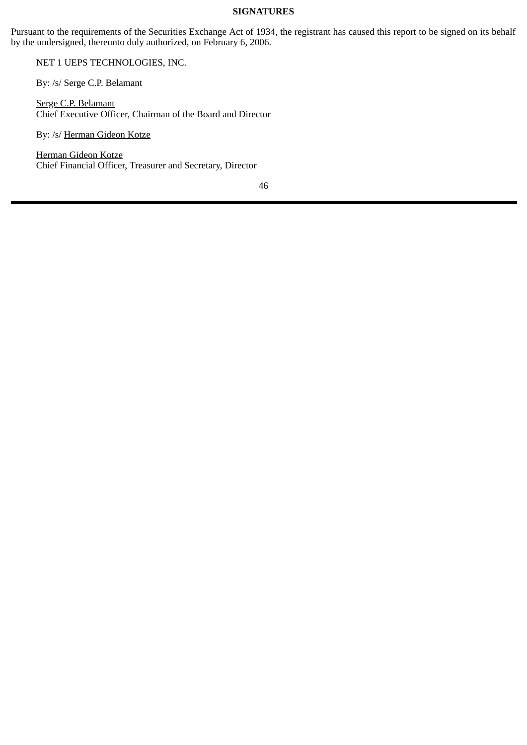### **SIGNATURES**

<span id="page-46-0"></span>Pursuant to the requirements of the Securities Exchange Act of 1934, the registrant has caused this report to be signed on its behalf by the undersigned, thereunto duly authorized, on February 6, 2006.

NET 1 UEPS TECHNOLOGIES, INC.

By: /s/ Serge C.P. Belamant

Serge C.P. Belamant Chief Executive Officer, Chairman of the Board and Director

By: /s/ Herman Gideon Kotze

Herman Gideon Kotze Chief Financial Officer, Treasurer and Secretary, Director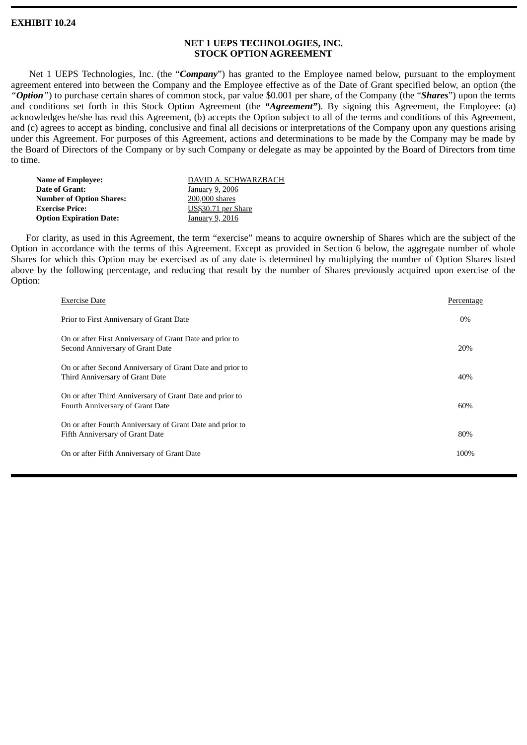### **EXHIBIT 10.24**

### **NET 1 UEPS TECHNOLOGIES, INC. STOCK OPTION AGREEMENT**

Net 1 UEPS Technologies, Inc. (the "*Company*") has granted to the Employee named below, pursuant to the employment agreement entered into between the Company and the Employee effective as of the Date of Grant specified below, an option (the *"Option"*) to purchase certain shares of common stock, par value \$0.001 per share, of the Company (the "*Shares*") upon the terms and conditions set forth in this Stock Option Agreement (the *"Agreement"*). By signing this Agreement, the Employee: (a) acknowledges he/she has read this Agreement, (b) accepts the Option subject to all of the terms and conditions of this Agreement, and (c) agrees to accept as binding, conclusive and final all decisions or interpretations of the Company upon any questions arising under this Agreement. For purposes of this Agreement, actions and determinations to be made by the Company may be made by the Board of Directors of the Company or by such Company or delegate as may be appointed by the Board of Directors from time to time.

| Name of Employee:              | DAVID A. SCHWARZBACH |
|--------------------------------|----------------------|
| Date of Grant:                 | January 9, 2006      |
| Number of Option Shares:       | 200,000 shares       |
| <b>Exercise Price:</b>         | US\$30.71 per Share  |
| <b>Option Expiration Date:</b> | January 9, 2016      |

For clarity, as used in this Agreement, the term "exercise" means to acquire ownership of Shares which are the subject of the Option in accordance with the terms of this Agreement. Except as provided in Section 6 below, the aggregate number of whole Shares for which this Option may be exercised as of any date is determined by multiplying the number of Option Shares listed above by the following percentage, and reducing that result by the number of Shares previously acquired upon exercise of the Option:

| <b>Exercise Date</b>                                                                         | Percentage |
|----------------------------------------------------------------------------------------------|------------|
| Prior to First Anniversary of Grant Date                                                     | 0%         |
| On or after First Anniversary of Grant Date and prior to<br>Second Anniversary of Grant Date | 20%        |
| On or after Second Anniversary of Grant Date and prior to<br>Third Anniversary of Grant Date | 40%        |
| On or after Third Anniversary of Grant Date and prior to<br>Fourth Anniversary of Grant Date | 60%        |
| On or after Fourth Anniversary of Grant Date and prior to<br>Fifth Anniversary of Grant Date | 80%        |
| On or after Fifth Anniversary of Grant Date                                                  | 100%       |
|                                                                                              |            |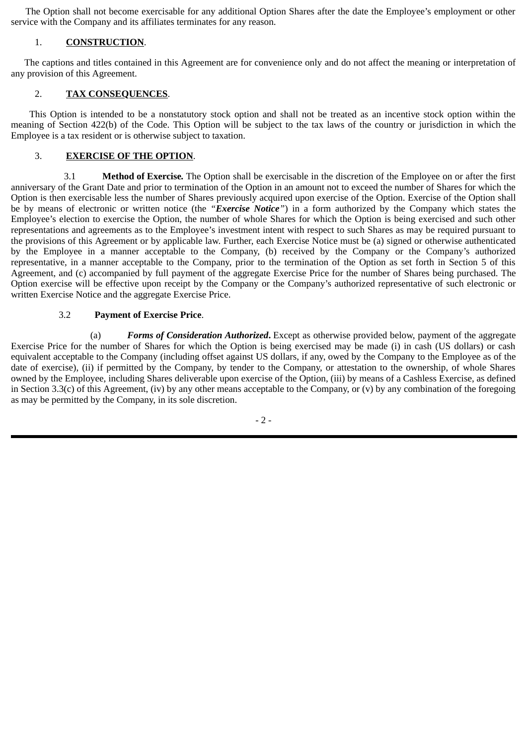The Option shall not become exercisable for any additional Option Shares after the date the Employee's employment or other service with the Company and its affiliates terminates for any reason.

### 1. **CONSTRUCTION**.

The captions and titles contained in this Agreement are for convenience only and do not affect the meaning or interpretation of any provision of this Agreement.

### 2. **TAX CONSEQUENCES**.

This Option is intended to be a nonstatutory stock option and shall not be treated as an incentive stock option within the meaning of Section 422(b) of the Code. This Option will be subject to the tax laws of the country or jurisdiction in which the Employee is a tax resident or is otherwise subject to taxation.

### 3. **EXERCISE OF THE OPTION**.

3.1 **Method of Exercise***.* The Option shall be exercisable in the discretion of the Employee on or after the first anniversary of the Grant Date and prior to termination of the Option in an amount not to exceed the number of Shares for which the Option is then exercisable less the number of Shares previously acquired upon exercise of the Option. Exercise of the Option shall be by means of electronic or written notice (the *"Exercise Notice"*) in a form authorized by the Company which states the Employee's election to exercise the Option, the number of whole Shares for which the Option is being exercised and such other representations and agreements as to the Employee's investment intent with respect to such Shares as may be required pursuant to the provisions of this Agreement or by applicable law. Further, each Exercise Notice must be (a) signed or otherwise authenticated by the Employee in a manner acceptable to the Company, (b) received by the Company or the Company's authorized representative, in a manner acceptable to the Company, prior to the termination of the Option as set forth in Section 5 of this Agreement, and (c) accompanied by full payment of the aggregate Exercise Price for the number of Shares being purchased. The Option exercise will be effective upon receipt by the Company or the Company's authorized representative of such electronic or written Exercise Notice and the aggregate Exercise Price.

### 3.2 **Payment of Exercise Price**.

(a) *Forms of Consideration Authorized***.** Except as otherwise provided below, payment of the aggregate Exercise Price for the number of Shares for which the Option is being exercised may be made (i) in cash (US dollars) or cash equivalent acceptable to the Company (including offset against US dollars, if any, owed by the Company to the Employee as of the date of exercise), (ii) if permitted by the Company, by tender to the Company, or attestation to the ownership, of whole Shares owned by the Employee, including Shares deliverable upon exercise of the Option, (iii) by means of a Cashless Exercise, as defined in Section 3.3(c) of this Agreement, (iv) by any other means acceptable to the Company, or (v) by any combination of the foregoing as may be permitted by the Company, in its sole discretion.

 $-2-$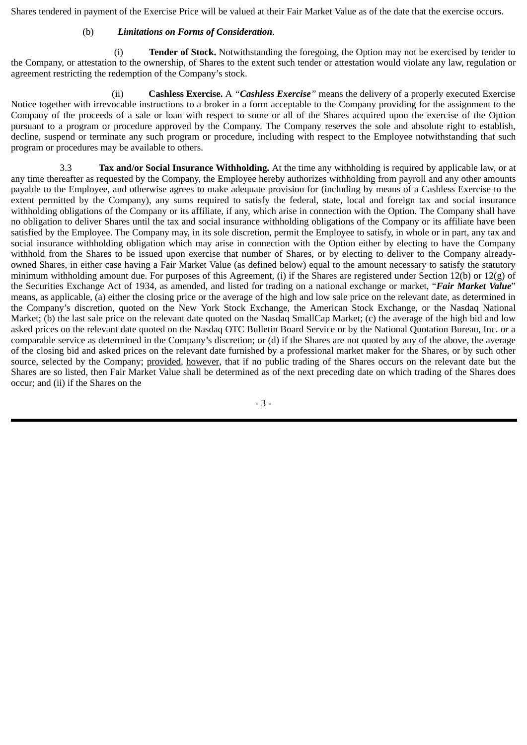Shares tendered in payment of the Exercise Price will be valued at their Fair Market Value as of the date that the exercise occurs.

### (b) *Limitations on Forms of Consideration*.

(i) **Tender of Stock.** Notwithstanding the foregoing, the Option may not be exercised by tender to the Company, or attestation to the ownership, of Shares to the extent such tender or attestation would violate any law, regulation or agreement restricting the redemption of the Company's stock.

(ii) **Cashless Exercise.** A *"Cashless Exercise"* means the delivery of a properly executed Exercise Notice together with irrevocable instructions to a broker in a form acceptable to the Company providing for the assignment to the Company of the proceeds of a sale or loan with respect to some or all of the Shares acquired upon the exercise of the Option pursuant to a program or procedure approved by the Company. The Company reserves the sole and absolute right to establish, decline, suspend or terminate any such program or procedure, including with respect to the Employee notwithstanding that such program or procedures may be available to others.

3.3 **Tax and/or Social Insurance Withholding***.* At the time any withholding is required by applicable law, or at any time thereafter as requested by the Company, the Employee hereby authorizes withholding from payroll and any other amounts payable to the Employee, and otherwise agrees to make adequate provision for (including by means of a Cashless Exercise to the extent permitted by the Company), any sums required to satisfy the federal, state, local and foreign tax and social insurance withholding obligations of the Company or its affiliate, if any, which arise in connection with the Option. The Company shall have no obligation to deliver Shares until the tax and social insurance withholding obligations of the Company or its affiliate have been satisfied by the Employee. The Company may, in its sole discretion, permit the Employee to satisfy, in whole or in part, any tax and social insurance withholding obligation which may arise in connection with the Option either by electing to have the Company withhold from the Shares to be issued upon exercise that number of Shares, or by electing to deliver to the Company alreadyowned Shares, in either case having a Fair Market Value (as defined below) equal to the amount necessary to satisfy the statutory minimum withholding amount due. For purposes of this Agreement, (i) if the Shares are registered under Section 12(b) or 12(g) of the Securities Exchange Act of 1934, as amended, and listed for trading on a national exchange or market, "*Fair Market Value*" means, as applicable, (a) either the closing price or the average of the high and low sale price on the relevant date, as determined in the Company's discretion, quoted on the New York Stock Exchange, the American Stock Exchange, or the Nasdaq National Market; (b) the last sale price on the relevant date quoted on the Nasdaq SmallCap Market; (c) the average of the high bid and low asked prices on the relevant date quoted on the Nasdaq OTC Bulletin Board Service or by the National Quotation Bureau, Inc. or a comparable service as determined in the Company's discretion; or (d) if the Shares are not quoted by any of the above, the average of the closing bid and asked prices on the relevant date furnished by a professional market maker for the Shares, or by such other source, selected by the Company; provided, however, that if no public trading of the Shares occurs on the relevant date but the Shares are so listed, then Fair Market Value shall be determined as of the next preceding date on which trading of the Shares does occur; and (ii) if the Shares on the

- 3 -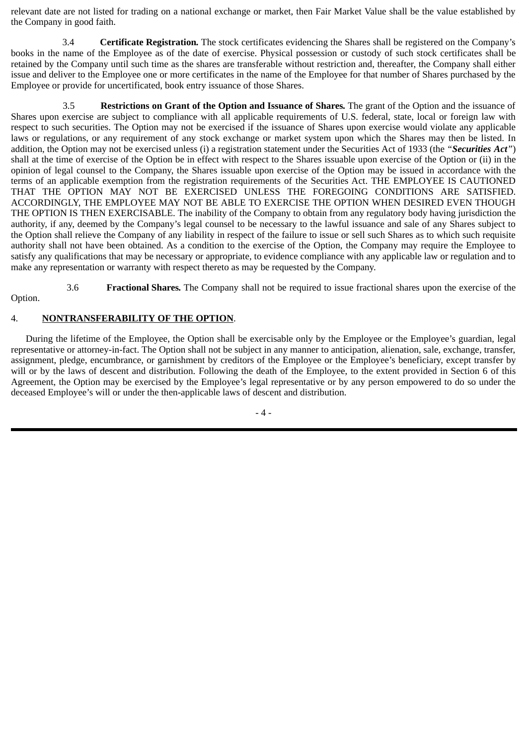relevant date are not listed for trading on a national exchange or market, then Fair Market Value shall be the value established by the Company in good faith.

3.4 **Certificate Registration***.* The stock certificates evidencing the Shares shall be registered on the Company's books in the name of the Employee as of the date of exercise. Physical possession or custody of such stock certificates shall be retained by the Company until such time as the shares are transferable without restriction and, thereafter, the Company shall either issue and deliver to the Employee one or more certificates in the name of the Employee for that number of Shares purchased by the Employee or provide for uncertificated, book entry issuance of those Shares.

3.5 **Restrictions on Grant of the Option and Issuance of Shares***.* The grant of the Option and the issuance of Shares upon exercise are subject to compliance with all applicable requirements of U.S. federal, state, local or foreign law with respect to such securities. The Option may not be exercised if the issuance of Shares upon exercise would violate any applicable laws or regulations, or any requirement of any stock exchange or market system upon which the Shares may then be listed. In addition, the Option may not be exercised unless (i) a registration statement under the Securities Act of 1933 (the *"Securities Act"*) shall at the time of exercise of the Option be in effect with respect to the Shares issuable upon exercise of the Option or (ii) in the opinion of legal counsel to the Company, the Shares issuable upon exercise of the Option may be issued in accordance with the terms of an applicable exemption from the registration requirements of the Securities Act. THE EMPLOYEE IS CAUTIONED THAT THE OPTION MAY NOT BE EXERCISED UNLESS THE FOREGOING CONDITIONS ARE SATISFIED. ACCORDINGLY, THE EMPLOYEE MAY NOT BE ABLE TO EXERCISE THE OPTION WHEN DESIRED EVEN THOUGH THE OPTION IS THEN EXERCISABLE. The inability of the Company to obtain from any regulatory body having jurisdiction the authority, if any, deemed by the Company's legal counsel to be necessary to the lawful issuance and sale of any Shares subject to the Option shall relieve the Company of any liability in respect of the failure to issue or sell such Shares as to which such requisite authority shall not have been obtained. As a condition to the exercise of the Option, the Company may require the Employee to satisfy any qualifications that may be necessary or appropriate, to evidence compliance with any applicable law or regulation and to make any representation or warranty with respect thereto as may be requested by the Company.

3.6 **Fractional Shares***.* The Company shall not be required to issue fractional shares upon the exercise of the Option.

### 4. **NONTRANSFERABILITY OF THE OPTION**.

During the lifetime of the Employee, the Option shall be exercisable only by the Employee or the Employee's guardian, legal representative or attorney-in-fact. The Option shall not be subject in any manner to anticipation, alienation, sale, exchange, transfer, assignment, pledge, encumbrance, or garnishment by creditors of the Employee or the Employee's beneficiary, except transfer by will or by the laws of descent and distribution. Following the death of the Employee, to the extent provided in Section 6 of this Agreement, the Option may be exercised by the Employee's legal representative or by any person empowered to do so under the deceased Employee's will or under the then-applicable laws of descent and distribution.

- 4 -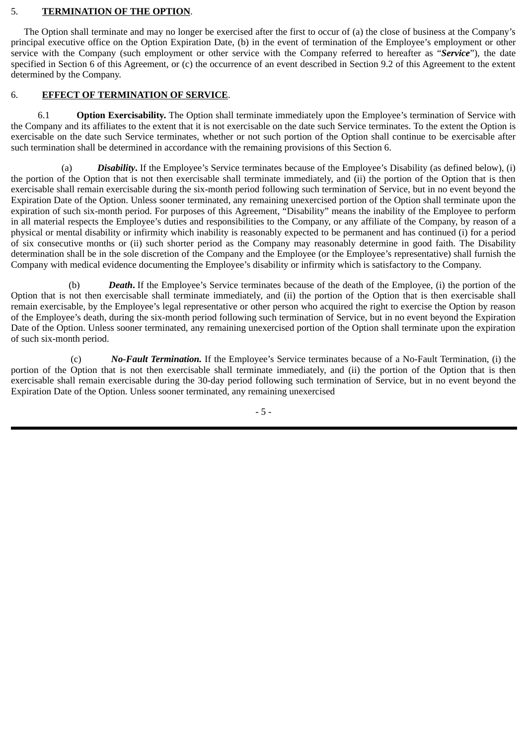### 5. **TERMINATION OF THE OPTION**.

The Option shall terminate and may no longer be exercised after the first to occur of (a) the close of business at the Company's principal executive office on the Option Expiration Date, (b) in the event of termination of the Employee's employment or other service with the Company (such employment or other service with the Company referred to hereafter as "*Service*"), the date specified in Section 6 of this Agreement, or (c) the occurrence of an event described in Section 9.2 of this Agreement to the extent determined by the Company.

### 6. **EFFECT OF TERMINATION OF SERVICE**.

6.1 **Option Exercisability.** The Option shall terminate immediately upon the Employee's termination of Service with the Company and its affiliates to the extent that it is not exercisable on the date such Service terminates. To the extent the Option is exercisable on the date such Service terminates, whether or not such portion of the Option shall continue to be exercisable after such termination shall be determined in accordance with the remaining provisions of this Section 6.

(a) *Disability***.** If the Employee's Service terminates because of the Employee's Disability (as defined below), (i) the portion of the Option that is not then exercisable shall terminate immediately, and (ii) the portion of the Option that is then exercisable shall remain exercisable during the six-month period following such termination of Service, but in no event beyond the Expiration Date of the Option. Unless sooner terminated, any remaining unexercised portion of the Option shall terminate upon the expiration of such six-month period. For purposes of this Agreement, "Disability" means the inability of the Employee to perform in all material respects the Employee's duties and responsibilities to the Company, or any affiliate of the Company, by reason of a physical or mental disability or infirmity which inability is reasonably expected to be permanent and has continued (i) for a period of six consecutive months or (ii) such shorter period as the Company may reasonably determine in good faith. The Disability determination shall be in the sole discretion of the Company and the Employee (or the Employee's representative) shall furnish the Company with medical evidence documenting the Employee's disability or infirmity which is satisfactory to the Company.

(b) *Death***.** If the Employee's Service terminates because of the death of the Employee, (i) the portion of the Option that is not then exercisable shall terminate immediately, and (ii) the portion of the Option that is then exercisable shall remain exercisable, by the Employee's legal representative or other person who acquired the right to exercise the Option by reason of the Employee's death, during the six-month period following such termination of Service, but in no event beyond the Expiration Date of the Option. Unless sooner terminated, any remaining unexercised portion of the Option shall terminate upon the expiration of such six-month period.

(c) *No-Fault Termination.* If the Employee's Service terminates because of a No-Fault Termination, (i) the portion of the Option that is not then exercisable shall terminate immediately, and (ii) the portion of the Option that is then exercisable shall remain exercisable during the 30-day period following such termination of Service, but in no event beyond the Expiration Date of the Option. Unless sooner terminated, any remaining unexercised

- 5 -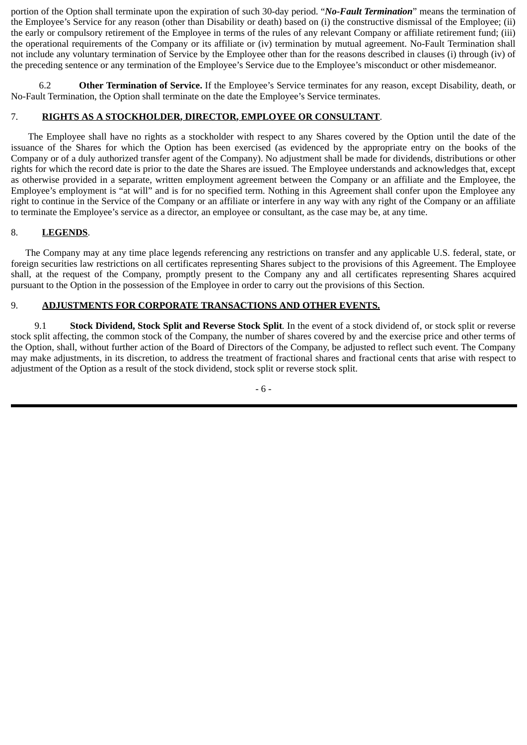portion of the Option shall terminate upon the expiration of such 30-day period. "*No-Fault Termination*" means the termination of the Employee's Service for any reason (other than Disability or death) based on (i) the constructive dismissal of the Employee; (ii) the early or compulsory retirement of the Employee in terms of the rules of any relevant Company or affiliate retirement fund; (iii) the operational requirements of the Company or its affiliate or (iv) termination by mutual agreement. No-Fault Termination shall not include any voluntary termination of Service by the Employee other than for the reasons described in clauses (i) through (iv) of the preceding sentence or any termination of the Employee's Service due to the Employee's misconduct or other misdemeanor*.*

6.2 **Other Termination of Service.** If the Employee's Service terminates for any reason, except Disability, death, or No-Fault Termination, the Option shall terminate on the date the Employee's Service terminates.

### 7. **RIGHTS AS A STOCKHOLDER, DIRECTOR, EMPLOYEE OR CONSULTANT**.

The Employee shall have no rights as a stockholder with respect to any Shares covered by the Option until the date of the issuance of the Shares for which the Option has been exercised (as evidenced by the appropriate entry on the books of the Company or of a duly authorized transfer agent of the Company). No adjustment shall be made for dividends, distributions or other rights for which the record date is prior to the date the Shares are issued. The Employee understands and acknowledges that, except as otherwise provided in a separate, written employment agreement between the Company or an affiliate and the Employee, the Employee's employment is "at will" and is for no specified term. Nothing in this Agreement shall confer upon the Employee any right to continue in the Service of the Company or an affiliate or interfere in any way with any right of the Company or an affiliate to terminate the Employee's service as a director, an employee or consultant, as the case may be, at any time.

### 8. **LEGENDS**.

The Company may at any time place legends referencing any restrictions on transfer and any applicable U.S. federal, state, or foreign securities law restrictions on all certificates representing Shares subject to the provisions of this Agreement. The Employee shall, at the request of the Company, promptly present to the Company any and all certificates representing Shares acquired pursuant to the Option in the possession of the Employee in order to carry out the provisions of this Section.

### 9. **ADJUSTMENTS FOR CORPORATE TRANSACTIONS AND OTHER EVENTS.**

9.1 **Stock Dividend, Stock Split and Reverse Stock Split***.* In the event of a stock dividend of, or stock split or reverse stock split affecting, the common stock of the Company, the number of shares covered by and the exercise price and other terms of the Option, shall, without further action of the Board of Directors of the Company, be adjusted to reflect such event. The Company may make adjustments, in its discretion, to address the treatment of fractional shares and fractional cents that arise with respect to adjustment of the Option as a result of the stock dividend, stock split or reverse stock split.

- 6 -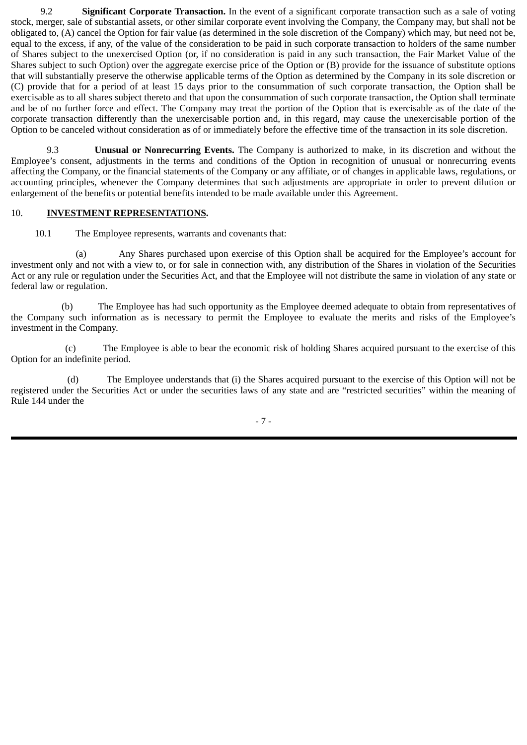9.2 **Significant Corporate Transaction.** In the event of a significant corporate transaction such as a sale of voting stock, merger, sale of substantial assets, or other similar corporate event involving the Company, the Company may, but shall not be obligated to, (A) cancel the Option for fair value (as determined in the sole discretion of the Company) which may, but need not be, equal to the excess, if any, of the value of the consideration to be paid in such corporate transaction to holders of the same number of Shares subject to the unexercised Option (or, if no consideration is paid in any such transaction, the Fair Market Value of the Shares subject to such Option) over the aggregate exercise price of the Option or (B) provide for the issuance of substitute options that will substantially preserve the otherwise applicable terms of the Option as determined by the Company in its sole discretion or (C) provide that for a period of at least 15 days prior to the consummation of such corporate transaction, the Option shall be exercisable as to all shares subject thereto and that upon the consummation of such corporate transaction, the Option shall terminate and be of no further force and effect. The Company may treat the portion of the Option that is exercisable as of the date of the corporate transaction differently than the unexercisable portion and, in this regard, may cause the unexercisable portion of the Option to be canceled without consideration as of or immediately before the effective time of the transaction in its sole discretion.

9.3 **Unusual or Nonrecurring Events.** The Company is authorized to make, in its discretion and without the Employee's consent, adjustments in the terms and conditions of the Option in recognition of unusual or nonrecurring events affecting the Company, or the financial statements of the Company or any affiliate, or of changes in applicable laws, regulations, or accounting principles, whenever the Company determines that such adjustments are appropriate in order to prevent dilution or enlargement of the benefits or potential benefits intended to be made available under this Agreement.

### 10. **INVESTMENT REPRESENTATIONS.**

10.1 The Employee represents, warrants and covenants that:

(a) Any Shares purchased upon exercise of this Option shall be acquired for the Employee's account for investment only and not with a view to, or for sale in connection with, any distribution of the Shares in violation of the Securities Act or any rule or regulation under the Securities Act, and that the Employee will not distribute the same in violation of any state or federal law or regulation.

(b) The Employee has had such opportunity as the Employee deemed adequate to obtain from representatives of the Company such information as is necessary to permit the Employee to evaluate the merits and risks of the Employee's investment in the Company.

(c) The Employee is able to bear the economic risk of holding Shares acquired pursuant to the exercise of this Option for an indefinite period.

(d) The Employee understands that (i) the Shares acquired pursuant to the exercise of this Option will not be registered under the Securities Act or under the securities laws of any state and are "restricted securities" within the meaning of Rule 144 under the

- 7 -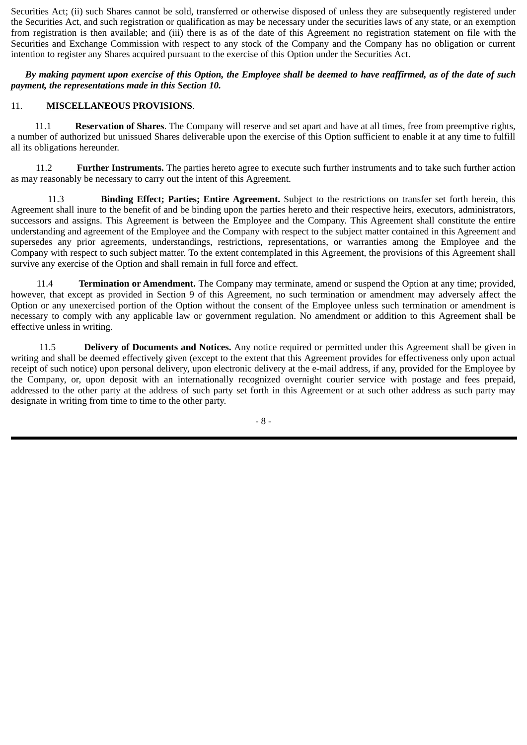Securities Act; (ii) such Shares cannot be sold, transferred or otherwise disposed of unless they are subsequently registered under the Securities Act, and such registration or qualification as may be necessary under the securities laws of any state, or an exemption from registration is then available; and (iii) there is as of the date of this Agreement no registration statement on file with the Securities and Exchange Commission with respect to any stock of the Company and the Company has no obligation or current intention to register any Shares acquired pursuant to the exercise of this Option under the Securities Act.

*By making payment upon exercise of this Option, the Employee shall be deemed to have reaffirmed, as of the date of such payment, the representations made in this Section 10.*

### 11. **MISCELLANEOUS PROVISIONS**.

 11.1 **Reservation of Shares**. The Company will reserve and set apart and have at all times, free from preemptive rights, a number of authorized but unissued Shares deliverable upon the exercise of this Option sufficient to enable it at any time to fulfill all its obligations hereunder.

11.2 **Further Instruments.** The parties hereto agree to execute such further instruments and to take such further action as may reasonably be necessary to carry out the intent of this Agreement.

11.3 **Binding Effect; Parties; Entire Agreement.** Subject to the restrictions on transfer set forth herein, this Agreement shall inure to the benefit of and be binding upon the parties hereto and their respective heirs, executors, administrators, successors and assigns. This Agreement is between the Employee and the Company. This Agreement shall constitute the entire understanding and agreement of the Employee and the Company with respect to the subject matter contained in this Agreement and supersedes any prior agreements, understandings, restrictions, representations, or warranties among the Employee and the Company with respect to such subject matter. To the extent contemplated in this Agreement, the provisions of this Agreement shall survive any exercise of the Option and shall remain in full force and effect.

11.4 **Termination or Amendment.** The Company may terminate, amend or suspend the Option at any time; provided, however, that except as provided in Section 9 of this Agreement, no such termination or amendment may adversely affect the Option or any unexercised portion of the Option without the consent of the Employee unless such termination or amendment is necessary to comply with any applicable law or government regulation. No amendment or addition to this Agreement shall be effective unless in writing.

11.5 **Delivery of Documents and Notices.** Any notice required or permitted under this Agreement shall be given in writing and shall be deemed effectively given (except to the extent that this Agreement provides for effectiveness only upon actual receipt of such notice) upon personal delivery, upon electronic delivery at the e-mail address, if any, provided for the Employee by the Company, or, upon deposit with an internationally recognized overnight courier service with postage and fees prepaid, addressed to the other party at the address of such party set forth in this Agreement or at such other address as such party may designate in writing from time to time to the other party.

- 8 -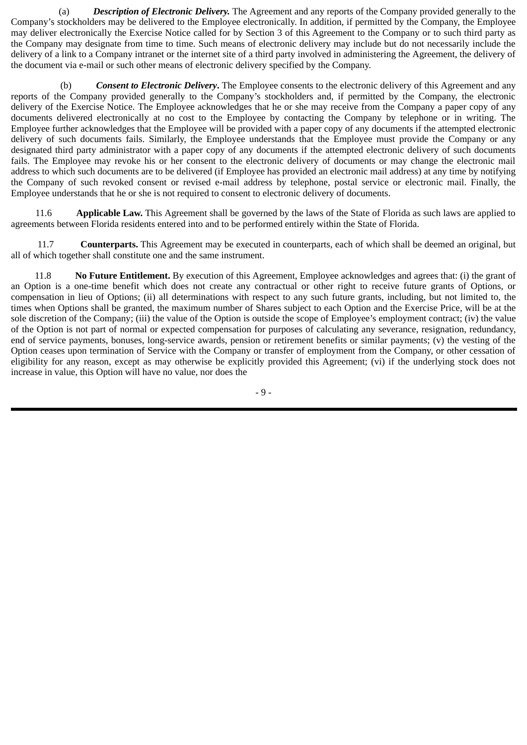(a) *Description of Electronic Delivery.* The Agreement and any reports of the Company provided generally to the Company's stockholders may be delivered to the Employee electronically. In addition, if permitted by the Company, the Employee may deliver electronically the Exercise Notice called for by Section 3 of this Agreement to the Company or to such third party as the Company may designate from time to time. Such means of electronic delivery may include but do not necessarily include the delivery of a link to a Company intranet or the internet site of a third party involved in administering the Agreement, the delivery of the document via e-mail or such other means of electronic delivery specified by the Company.

(b) *Consent to Electronic Delivery***.** The Employee consents to the electronic delivery of this Agreement and any reports of the Company provided generally to the Company's stockholders and, if permitted by the Company, the electronic delivery of the Exercise Notice. The Employee acknowledges that he or she may receive from the Company a paper copy of any documents delivered electronically at no cost to the Employee by contacting the Company by telephone or in writing. The Employee further acknowledges that the Employee will be provided with a paper copy of any documents if the attempted electronic delivery of such documents fails. Similarly, the Employee understands that the Employee must provide the Company or any designated third party administrator with a paper copy of any documents if the attempted electronic delivery of such documents fails. The Employee may revoke his or her consent to the electronic delivery of documents or may change the electronic mail address to which such documents are to be delivered (if Employee has provided an electronic mail address) at any time by notifying the Company of such revoked consent or revised e-mail address by telephone, postal service or electronic mail. Finally, the Employee understands that he or she is not required to consent to electronic delivery of documents.

11.6 **Applicable Law.** This Agreement shall be governed by the laws of the State of Florida as such laws are applied to agreements between Florida residents entered into and to be performed entirely within the State of Florida.

11.7 **Counterparts.** This Agreement may be executed in counterparts, each of which shall be deemed an original, but all of which together shall constitute one and the same instrument.

 11.8 **No Future Entitlement.** By execution of this Agreement, Employee acknowledges and agrees that: (i) the grant of an Option is a one-time benefit which does not create any contractual or other right to receive future grants of Options, or compensation in lieu of Options; (ii) all determinations with respect to any such future grants, including, but not limited to, the times when Options shall be granted, the maximum number of Shares subject to each Option and the Exercise Price, will be at the sole discretion of the Company; (iii) the value of the Option is outside the scope of Employee's employment contract; (iv) the value of the Option is not part of normal or expected compensation for purposes of calculating any severance, resignation, redundancy, end of service payments, bonuses, long-service awards, pension or retirement benefits or similar payments; (v) the vesting of the Option ceases upon termination of Service with the Company or transfer of employment from the Company, or other cessation of eligibility for any reason, except as may otherwise be explicitly provided this Agreement; (vi) if the underlying stock does not increase in value, this Option will have no value, nor does the

- 9 -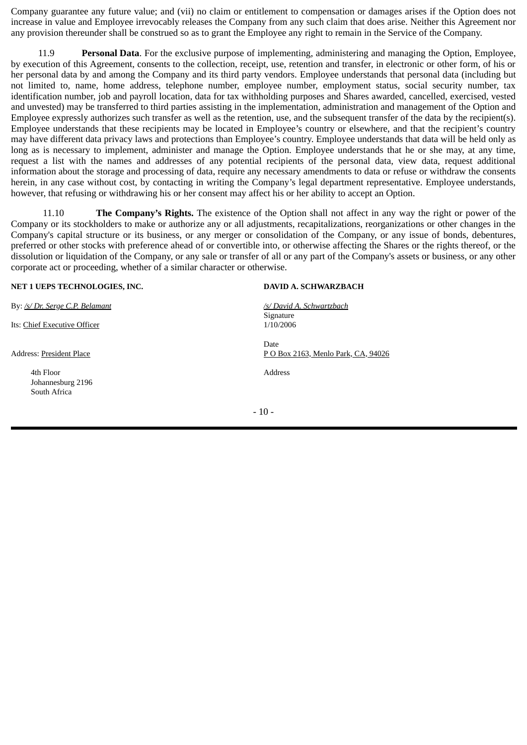Company guarantee any future value; and (vii) no claim or entitlement to compensation or damages arises if the Option does not increase in value and Employee irrevocably releases the Company from any such claim that does arise. Neither this Agreement nor any provision thereunder shall be construed so as to grant the Employee any right to remain in the Service of the Company.

11.9 **Personal Data**. For the exclusive purpose of implementing, administering and managing the Option, Employee, by execution of this Agreement, consents to the collection, receipt, use, retention and transfer, in electronic or other form, of his or her personal data by and among the Company and its third party vendors. Employee understands that personal data (including but not limited to, name, home address, telephone number, employee number, employment status, social security number, tax identification number, job and payroll location, data for tax withholding purposes and Shares awarded, cancelled, exercised, vested and unvested) may be transferred to third parties assisting in the implementation, administration and management of the Option and Employee expressly authorizes such transfer as well as the retention, use, and the subsequent transfer of the data by the recipient(s). Employee understands that these recipients may be located in Employee's country or elsewhere, and that the recipient's country may have different data privacy laws and protections than Employee's country. Employee understands that data will be held only as long as is necessary to implement, administer and manage the Option. Employee understands that he or she may, at any time, request a list with the names and addresses of any potential recipients of the personal data, view data, request additional information about the storage and processing of data, require any necessary amendments to data or refuse or withdraw the consents herein, in any case without cost, by contacting in writing the Company's legal department representative. Employee understands, however, that refusing or withdrawing his or her consent may affect his or her ability to accept an Option.

11.10 **The Company's Rights.** The existence of the Option shall not affect in any way the right or power of the Company or its stockholders to make or authorize any or all adjustments, recapitalizations, reorganizations or other changes in the Company's capital structure or its business, or any merger or consolidation of the Company, or any issue of bonds, debentures, preferred or other stocks with preference ahead of or convertible into, or otherwise affecting the Shares or the rights thereof, or the dissolution or liquidation of the Company, or any sale or transfer of all or any part of the Company's assets or business, or any other corporate act or proceeding, whether of a similar character or otherwise.

#### **NET 1 UEPS TECHNOLOGIES, INC. DAVID A. SCHWARZBACH**

By: */s/ Dr. Serge C.P. Belamant /s/ David A. Schwartzbach*

Its: Chief Executive Officer 1/10/2006

4th Floor Address Johannesburg 2196 South Africa

Signature Date Address: President Place P O Box 2163, Menlo Park, CA, 94026

- 10 -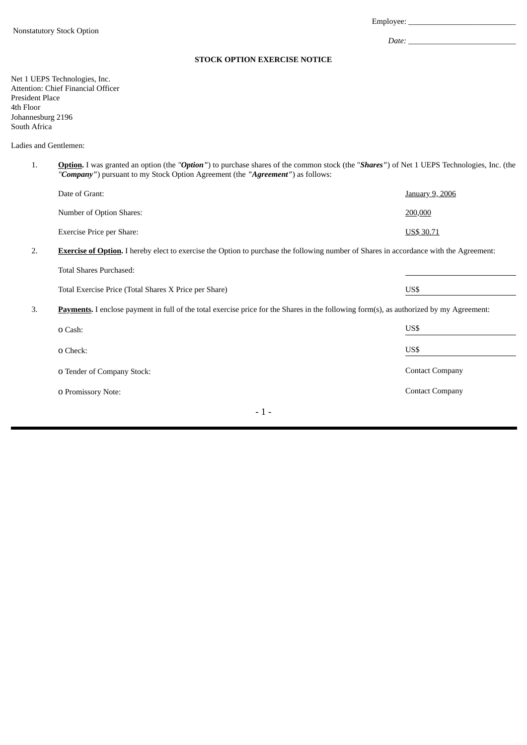Employee: *\_\_\_\_\_\_\_\_\_\_\_\_\_\_\_\_\_\_\_\_\_\_\_\_\_\_\_*

*Date: \_\_\_\_\_\_\_\_\_\_\_\_\_\_\_\_\_\_\_\_\_\_\_\_\_\_\_*

#### **STOCK OPTION EXERCISE NOTICE**

Net 1 UEPS Technologies, Inc. Attention: Chief Financial Officer President Place 4th Floor Johannesburg 2196 South Africa

Total Shares Purchased:

Ladies and Gentlemen:

1. **Option.** I was granted an option (the *"Option"*) to purchase shares of the common stock (the "*Shares"*) of Net 1 UEPS Technologies, Inc. (the *"Company"*) pursuant to my Stock Option Agreement (the *"Agreement"*) as follows:

| Date of Grant:            | <u>January 9, 2006</u> |
|---------------------------|------------------------|
| Number of Option Shares:  | 200,000                |
| Exercise Price per Share: | US\$ 30.71             |

2. **Exercise of Option.** I hereby elect to exercise the Option to purchase the following number of Shares in accordance with the Agreement:

| Total Exercise Price (Total Shares X Price per Share) | US\$ |
|-------------------------------------------------------|------|

3. **Payments.** I enclose payment in full of the total exercise price for the Shares in the following form(s), as authorized by my Agreement:

| O Cash:                    | US\$                   |
|----------------------------|------------------------|
| <b>O</b> Check:            | US\$                   |
| O Tender of Company Stock: | <b>Contact Company</b> |
| <b>O</b> Promissory Note:  | <b>Contact Company</b> |
|                            |                        |

- 1 -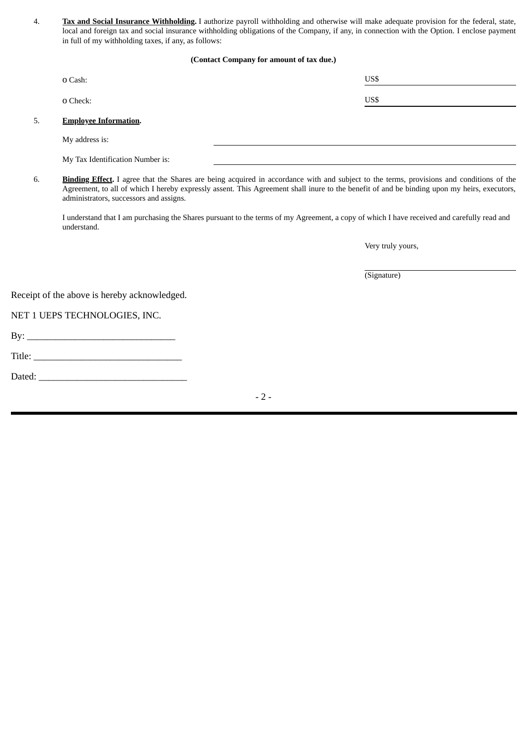4. **Tax and Social Insurance Withholding.** I authorize payroll withholding and otherwise will make adequate provision for the federal, state, local and foreign tax and social insurance withholding obligations of the Company, if any, in connection with the Option. I enclose payment in full of my withholding taxes, if any, as follows:

#### **(Contact Company for amount of tax due.)**

|    | O Cash:                          | US\$ |  |
|----|----------------------------------|------|--|
|    | <b>O</b> Check:                  | US\$ |  |
| 5. | <b>Employee Information.</b>     |      |  |
|    | My address is:                   |      |  |
|    | My Tax Identification Number is: |      |  |

6. **Binding Effect.** I agree that the Shares are being acquired in accordance with and subject to the terms, provisions and conditions of the Agreement, to all of which I hereby expressly assent. This Agreement shall inure to the benefit of and be binding upon my heirs, executors, administrators, successors and assigns.

I understand that I am purchasing the Shares pursuant to the terms of my Agreement, a copy of which I have received and carefully read and understand.

Very truly yours,

(Signature)

Receipt of the above is hereby acknowledged.

NET 1 UEPS TECHNOLOGIES, INC.

By: \_\_\_\_\_\_\_\_\_\_\_\_\_\_\_\_\_\_\_\_\_\_\_\_\_\_\_\_\_\_\_

Title: \_\_\_\_\_\_\_\_\_\_\_\_\_\_\_\_\_\_\_\_\_\_\_\_\_\_\_\_\_\_\_

Dated: \_\_\_\_\_\_\_\_\_\_\_\_\_\_\_\_\_\_\_\_\_\_\_\_\_\_\_\_\_\_\_

 $-2-$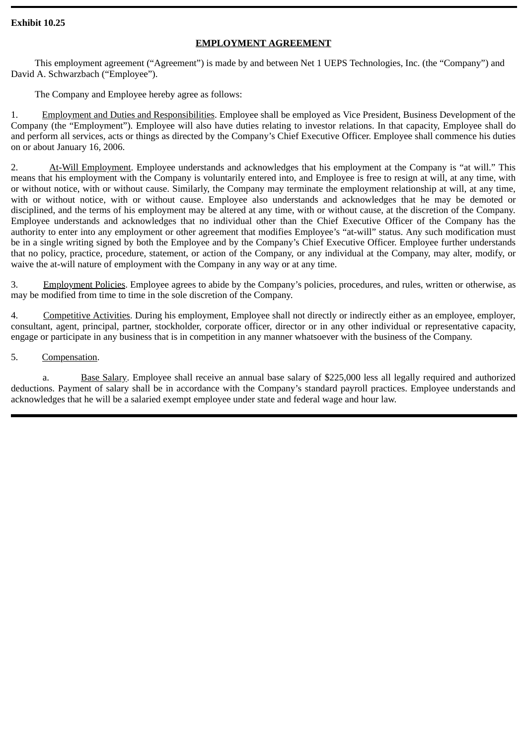### **Exhibit 10.25**

### **EMPLOYMENT AGREEMENT**

This employment agreement ("Agreement") is made by and between Net 1 UEPS Technologies, Inc. (the "Company") and David A. Schwarzbach ("Employee").

The Company and Employee hereby agree as follows:

1.Employment and Duties and Responsibilities. Employee shall be employed as Vice President, Business Development of the Company (the "Employment"). Employee will also have duties relating to investor relations. In that capacity, Employee shall do and perform all services, acts or things as directed by the Company's Chief Executive Officer. Employee shall commence his duties on or about January 16, 2006.

2. At-Will Employment. Employee understands and acknowledges that his employment at the Company is "at will." This means that his employment with the Company is voluntarily entered into, and Employee is free to resign at will, at any time, with or without notice, with or without cause. Similarly, the Company may terminate the employment relationship at will, at any time, with or without notice, with or without cause. Employee also understands and acknowledges that he may be demoted or disciplined, and the terms of his employment may be altered at any time, with or without cause, at the discretion of the Company. Employee understands and acknowledges that no individual other than the Chief Executive Officer of the Company has the authority to enter into any employment or other agreement that modifies Employee's "at-will" status. Any such modification must be in a single writing signed by both the Employee and by the Company's Chief Executive Officer. Employee further understands that no policy, practice, procedure, statement, or action of the Company, or any individual at the Company, may alter, modify, or waive the at-will nature of employment with the Company in any way or at any time.

3. Employment Policies. Employee agrees to abide by the Company's policies, procedures, and rules, written or otherwise, as may be modified from time to time in the sole discretion of the Company.

4. Competitive Activities. During his employment, Employee shall not directly or indirectly either as an employee, employer, consultant, agent, principal, partner, stockholder, corporate officer, director or in any other individual or representative capacity, engage or participate in any business that is in competition in any manner whatsoever with the business of the Company.

5.Compensation.

a. Base Salary. Employee shall receive an annual base salary of \$225,000 less all legally required and authorized deductions. Payment of salary shall be in accordance with the Company's standard payroll practices. Employee understands and acknowledges that he will be a salaried exempt employee under state and federal wage and hour law.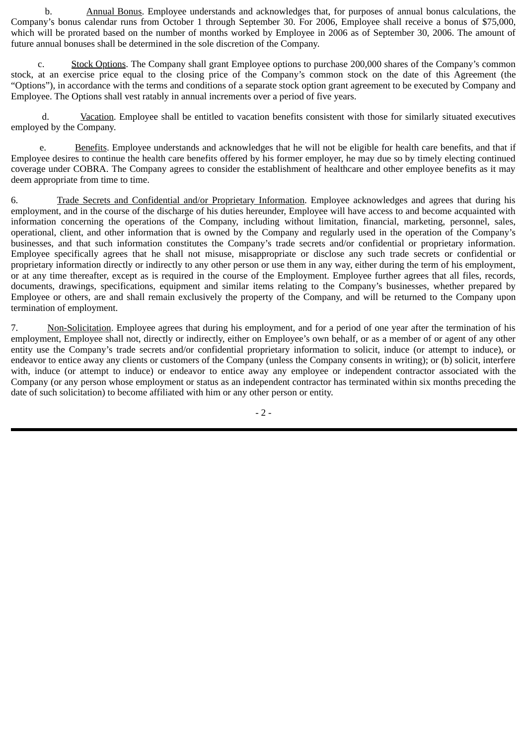b. Annual Bonus. Employee understands and acknowledges that, for purposes of annual bonus calculations, the Company's bonus calendar runs from October 1 through September 30. For 2006, Employee shall receive a bonus of \$75,000, which will be prorated based on the number of months worked by Employee in 2006 as of September 30, 2006. The amount of future annual bonuses shall be determined in the sole discretion of the Company.

c. Stock Options. The Company shall grant Employee options to purchase 200,000 shares of the Company's common stock, at an exercise price equal to the closing price of the Company's common stock on the date of this Agreement (the "Options"), in accordance with the terms and conditions of a separate stock option grant agreement to be executed by Company and Employee. The Options shall vest ratably in annual increments over a period of five years.

d. Vacation. Employee shall be entitled to vacation benefits consistent with those for similarly situated executives employed by the Company.

e. Benefits. Employee understands and acknowledges that he will not be eligible for health care benefits, and that if Employee desires to continue the health care benefits offered by his former employer, he may due so by timely electing continued coverage under COBRA. The Company agrees to consider the establishment of healthcare and other employee benefits as it may deem appropriate from time to time.

6. Trade Secrets and Confidential and/or Proprietary Information. Employee acknowledges and agrees that during his employment, and in the course of the discharge of his duties hereunder, Employee will have access to and become acquainted with information concerning the operations of the Company, including without limitation, financial, marketing, personnel, sales, operational, client, and other information that is owned by the Company and regularly used in the operation of the Company's businesses, and that such information constitutes the Company's trade secrets and/or confidential or proprietary information. Employee specifically agrees that he shall not misuse, misappropriate or disclose any such trade secrets or confidential or proprietary information directly or indirectly to any other person or use them in any way, either during the term of his employment, or at any time thereafter, except as is required in the course of the Employment. Employee further agrees that all files, records, documents, drawings, specifications, equipment and similar items relating to the Company's businesses, whether prepared by Employee or others, are and shall remain exclusively the property of the Company, and will be returned to the Company upon termination of employment.

7. Non-Solicitation. Employee agrees that during his employment, and for a period of one year after the termination of his employment, Employee shall not, directly or indirectly, either on Employee's own behalf, or as a member of or agent of any other entity use the Company's trade secrets and/or confidential proprietary information to solicit, induce (or attempt to induce), or endeavor to entice away any clients or customers of the Company (unless the Company consents in writing); or (b) solicit, interfere with, induce (or attempt to induce) or endeavor to entice away any employee or independent contractor associated with the Company (or any person whose employment or status as an independent contractor has terminated within six months preceding the date of such solicitation) to become affiliated with him or any other person or entity.

- 2 -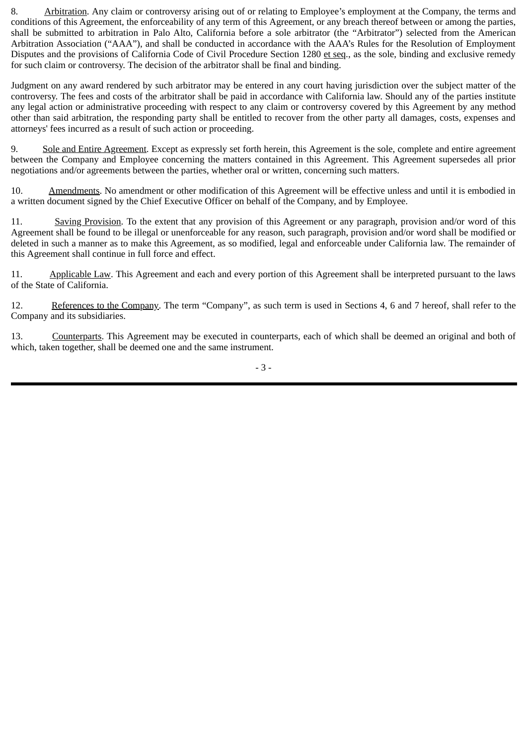8. Arbitration. Any claim or controversy arising out of or relating to Employee's employment at the Company, the terms and conditions of this Agreement, the enforceability of any term of this Agreement, or any breach thereof between or among the parties, shall be submitted to arbitration in Palo Alto, California before a sole arbitrator (the "Arbitrator") selected from the American Arbitration Association ("AAA"), and shall be conducted in accordance with the AAA's Rules for the Resolution of Employment Disputes and the provisions of California Code of Civil Procedure Section 1280 et seq., as the sole, binding and exclusive remedy for such claim or controversy. The decision of the arbitrator shall be final and binding.

Judgment on any award rendered by such arbitrator may be entered in any court having jurisdiction over the subject matter of the controversy. The fees and costs of the arbitrator shall be paid in accordance with California law. Should any of the parties institute any legal action or administrative proceeding with respect to any claim or controversy covered by this Agreement by any method other than said arbitration, the responding party shall be entitled to recover from the other party all damages, costs, expenses and attorneys' fees incurred as a result of such action or proceeding.

9. Sole and Entire Agreement. Except as expressly set forth herein, this Agreement is the sole, complete and entire agreement between the Company and Employee concerning the matters contained in this Agreement. This Agreement supersedes all prior negotiations and/or agreements between the parties, whether oral or written, concerning such matters.

10. Amendments. No amendment or other modification of this Agreement will be effective unless and until it is embodied in a written document signed by the Chief Executive Officer on behalf of the Company, and by Employee.

11. Saving Provision. To the extent that any provision of this Agreement or any paragraph, provision and/or word of this Agreement shall be found to be illegal or unenforceable for any reason, such paragraph, provision and/or word shall be modified or deleted in such a manner as to make this Agreement, as so modified, legal and enforceable under California law. The remainder of this Agreement shall continue in full force and effect.

11. Applicable Law. This Agreement and each and every portion of this Agreement shall be interpreted pursuant to the laws of the State of California.

12. References to the Company. The term "Company", as such term is used in Sections 4, 6 and 7 hereof, shall refer to the Company and its subsidiaries.

13. Counterparts. This Agreement may be executed in counterparts, each of which shall be deemed an original and both of which, taken together, shall be deemed one and the same instrument.

- 3 -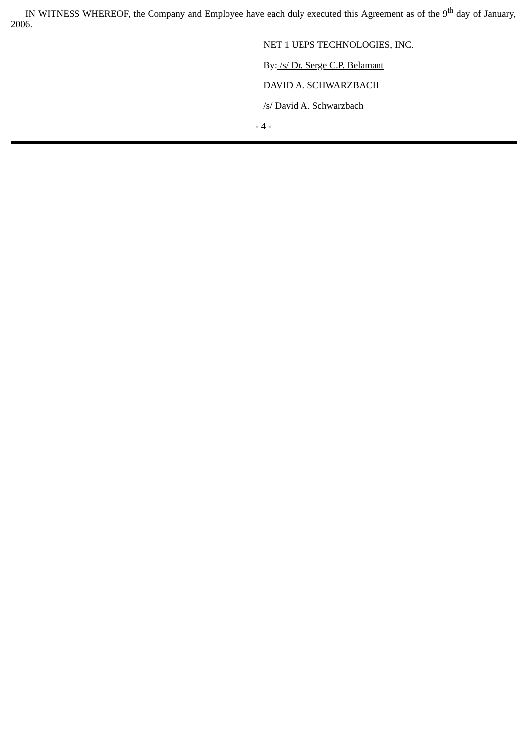IN WITNESS WHEREOF, the Company and Employee have each duly executed this Agreement as of the 9<sup>th</sup> day of January, 2006.

> NET 1 UEPS TECHNOLOGIES, INC. By: /s/ Dr. Serge C.P. Belamant DAVID A. SCHWARZBACH

/s/ David A. Schwarzbach

- 4 -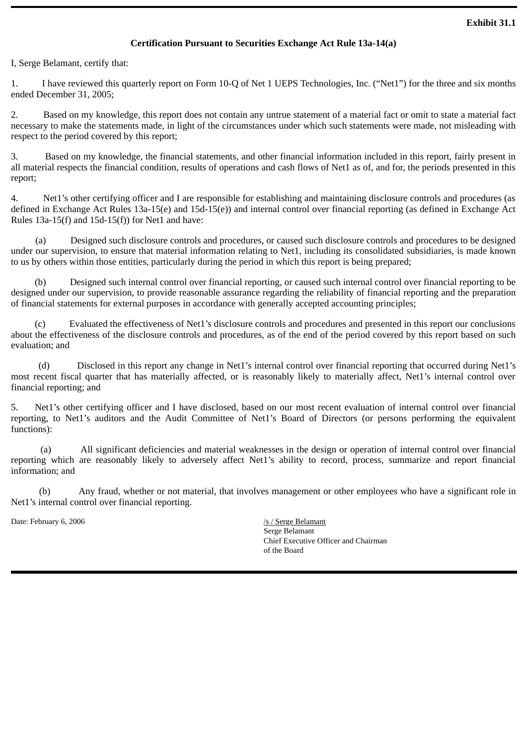### **Certification Pursuant to Securities Exchange Act Rule 13a-14(a)**

I, Serge Belamant, certify that:

1. I have reviewed this quarterly report on Form 10-Q of Net 1 UEPS Technologies, Inc. ("Net1") for the three and six months ended December 31, 2005;

2. Based on my knowledge, this report does not contain any untrue statement of a material fact or omit to state a material fact necessary to make the statements made, in light of the circumstances under which such statements were made, not misleading with respect to the period covered by this report;

3. Based on my knowledge, the financial statements, and other financial information included in this report, fairly present in all material respects the financial condition, results of operations and cash flows of Net1 as of, and for, the periods presented in this report;

4. Net1's other certifying officer and I are responsible for establishing and maintaining disclosure controls and procedures (as defined in Exchange Act Rules 13a-15(e) and 15d-15(e)) and internal control over financial reporting (as defined in Exchange Act Rules  $13a-15(f)$  and  $15d-15(f)$  for Net1 and have:

(a) Designed such disclosure controls and procedures, or caused such disclosure controls and procedures to be designed under our supervision, to ensure that material information relating to Net1, including its consolidated subsidiaries, is made known to us by others within those entities, particularly during the period in which this report is being prepared;

 (b) Designed such internal control over financial reporting, or caused such internal control over financial reporting to be designed under our supervision, to provide reasonable assurance regarding the reliability of financial reporting and the preparation of financial statements for external purposes in accordance with generally accepted accounting principles;

 (c) Evaluated the effectiveness of Net1's disclosure controls and procedures and presented in this report our conclusions about the effectiveness of the disclosure controls and procedures, as of the end of the period covered by this report based on such evaluation; and

(d) Disclosed in this report any change in Net1's internal control over financial reporting that occurred during Net1's most recent fiscal quarter that has materially affected, or is reasonably likely to materially affect, Net1's internal control over financial reporting; and

5. Net1's other certifying officer and I have disclosed, based on our most recent evaluation of internal control over financial reporting, to Net1's auditors and the Audit Committee of Net1's Board of Directors (or persons performing the equivalent functions):

(a) All significant deficiencies and material weaknesses in the design or operation of internal control over financial reporting which are reasonably likely to adversely affect Net1's ability to record, process, summarize and report financial information; and

(b) Any fraud, whether or not material, that involves management or other employees who have a significant role in Net1's internal control over financial reporting.

Date: February 6, 2006 *Date: February 6, 2006 Serge Belamant* 

Serge Belamant Chief Executive Officer and Chairman of the Board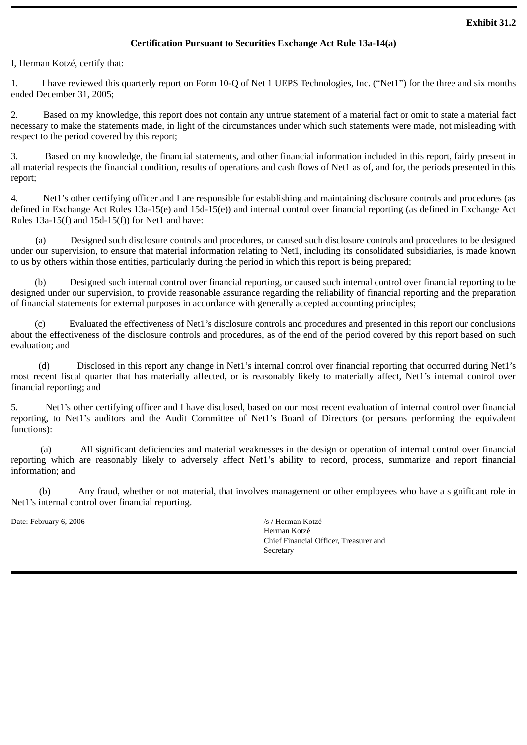### **Certification Pursuant to Securities Exchange Act Rule 13a-14(a)**

I, Herman Kotzé, certify that:

1. I have reviewed this quarterly report on Form 10-Q of Net 1 UEPS Technologies, Inc. ("Net1") for the three and six months ended December 31, 2005;

2. Based on my knowledge, this report does not contain any untrue statement of a material fact or omit to state a material fact necessary to make the statements made, in light of the circumstances under which such statements were made, not misleading with respect to the period covered by this report;

3. Based on my knowledge, the financial statements, and other financial information included in this report, fairly present in all material respects the financial condition, results of operations and cash flows of Net1 as of, and for, the periods presented in this report;

4. Net1's other certifying officer and I are responsible for establishing and maintaining disclosure controls and procedures (as defined in Exchange Act Rules 13a-15(e) and 15d-15(e)) and internal control over financial reporting (as defined in Exchange Act Rules  $13a-15(f)$  and  $15d-15(f)$  for Net1 and have:

(a) Designed such disclosure controls and procedures, or caused such disclosure controls and procedures to be designed under our supervision, to ensure that material information relating to Net1, including its consolidated subsidiaries, is made known to us by others within those entities, particularly during the period in which this report is being prepared;

 (b) Designed such internal control over financial reporting, or caused such internal control over financial reporting to be designed under our supervision, to provide reasonable assurance regarding the reliability of financial reporting and the preparation of financial statements for external purposes in accordance with generally accepted accounting principles;

 (c) Evaluated the effectiveness of Net1's disclosure controls and procedures and presented in this report our conclusions about the effectiveness of the disclosure controls and procedures, as of the end of the period covered by this report based on such evaluation; and

(d) Disclosed in this report any change in Net1's internal control over financial reporting that occurred during Net1's most recent fiscal quarter that has materially affected, or is reasonably likely to materially affect, Net1's internal control over financial reporting; and

5. Net1's other certifying officer and I have disclosed, based on our most recent evaluation of internal control over financial reporting, to Net1's auditors and the Audit Committee of Net1's Board of Directors (or persons performing the equivalent functions):

(a) All significant deficiencies and material weaknesses in the design or operation of internal control over financial reporting which are reasonably likely to adversely affect Net1's ability to record, process, summarize and report financial information; and

(b) Any fraud, whether or not material, that involves management or other employees who have a significant role in Net1's internal control over financial reporting.

Date: February 6, 2006 *Date: February 6, 2006 /s / Herman Kotzé* 

Herman Kotzé Chief Financial Officer, Treasurer and Secretary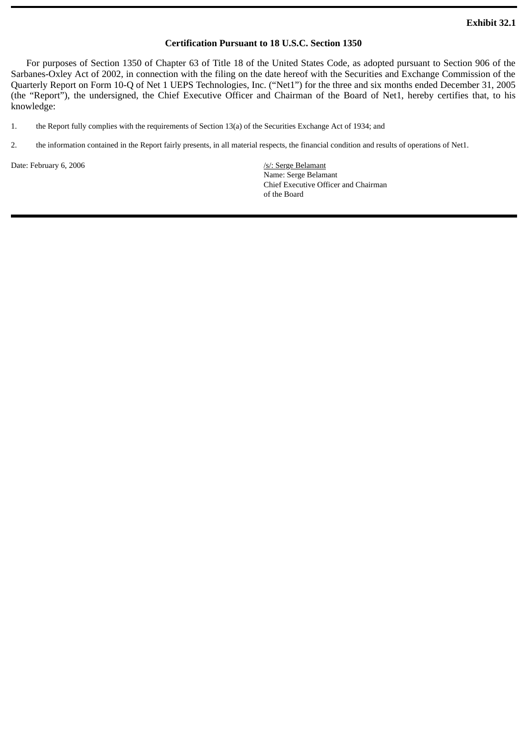### **Certification Pursuant to 18 U.S.C. Section 1350**

For purposes of Section 1350 of Chapter 63 of Title 18 of the United States Code, as adopted pursuant to Section 906 of the Sarbanes-Oxley Act of 2002, in connection with the filing on the date hereof with the Securities and Exchange Commission of the Quarterly Report on Form 10-Q of Net 1 UEPS Technologies, Inc. ("Net1") for the three and six months ended December 31, 2005 (the "Report"), the undersigned, the Chief Executive Officer and Chairman of the Board of Net1, hereby certifies that, to his knowledge:

1. the Report fully complies with the requirements of Section 13(a) of the Securities Exchange Act of 1934; and

2. the information contained in the Report fairly presents, in all material respects, the financial condition and results of operations of Net1.

Date: February 6, 2006 /s/: Serge Belamant

Name: Serge Belamant Chief Executive Officer and Chairman of the Board